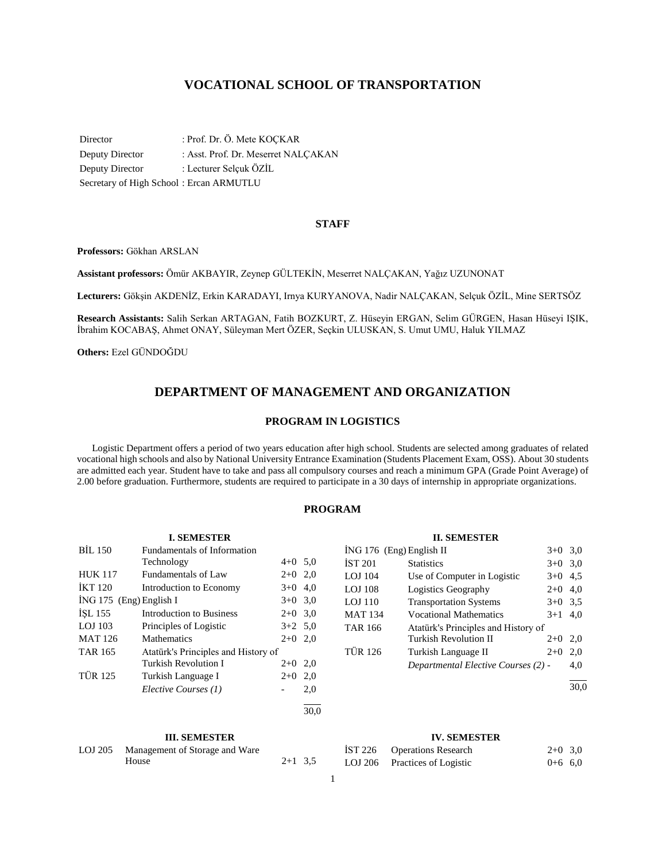# **VOCATIONAL SCHOOL OF TRANSPORTATION**

Director : Prof. Dr. Ö. Mete KOÇKAR Deputy Director : Asst. Prof. Dr. Meserret NALÇAKAN Deputy Director : Lecturer Selçuk ÖZİL Secretary of High School : Ercan ARMUTLU

#### **STAFF**

**Professors:** Gökhan ARSLAN

**Assistant professors:** Ömür AKBAYIR, Zeynep GÜLTEKİN, Meserret NALÇAKAN, Yağız UZUNONAT

**Lecturers:** Gökşin AKDENİZ, Erkin KARADAYI, Irnya KURYANOVA, Nadir NALÇAKAN, Selçuk ÖZİL, Mine SERTSÖZ

**Research Assistants:** Salih Serkan ARTAGAN, Fatih BOZKURT, Z. Hüseyin ERGAN, Selim GÜRGEN, Hasan Hüseyi IŞIK, İbrahim KOCABAŞ, Ahmet ONAY, Süleyman Mert ÖZER, Seçkin ULUSKAN, S. Umut UMU, Haluk YILMAZ

**Others:** Ezel GÜNDOĞDU

# **DEPARTMENT OF MANAGEMENT AND ORGANIZATION**

### **PROGRAM IN LOGISTICS**

 Logistic Department offers a period of two years education after high school. Students are selected among graduates of related vocational high schools and also by National University Entrance Examination (Students Placement Exam, OSS). About 30 students are admitted each year. Student have to take and pass all compulsory courses and reach a minimum GPA (Grade Point Average) of 2.00 before graduation. Furthermore, students are required to participate in a 30 days of internship in appropriate organizations.

# **PROGRAM**

|                           | <b>I. SEMESTER</b>                  |           |      |
|---------------------------|-------------------------------------|-----------|------|
| BIL 150                   | <b>Fundamentals of Information</b>  |           |      |
|                           | Technology                          | $4+0$ 5.0 |      |
| <b>HUK 117</b>            | <b>Fundamentals of Law</b>          | $2+0$ 2,0 |      |
| <b>İKT</b> 120            | Introduction to Economy             | $3+0$ 4.0 |      |
| $ING 175$ (Eng) English I |                                     | $3+0$ 3.0 |      |
| ISL 155                   | Introduction to Business            | $2+0$ 3.0 |      |
| $LOJ$ 103                 | Principles of Logistic              | $3+2$ 5.0 |      |
| <b>MAT 126</b>            | Mathematics                         | $2+0$     | 2,0  |
| <b>TAR 165</b>            | Atatürk's Principles and History of |           |      |
|                           | <b>Turkish Revolution I</b>         | $2+0$     | 2,0  |
| <b>TÜR 125</b>            | Turkish Language I                  | $2+0$     | 2,0  |
|                           | Elective Courses (1)                |           | 2,0  |
|                           |                                     |           | 30.0 |

| ING 176 (Eng) English II |                                     | $3+0$     | 3,0 |
|--------------------------|-------------------------------------|-----------|-----|
| <b>IST 201</b>           | <b>Statistics</b>                   | $3+0$ 3,0 |     |
| LOJ 104                  | Use of Computer in Logistic         | $3+0$ 4.5 |     |
| <b>LOJ</b> 108           | Logistics Geography                 | $2+0$     | 4,0 |
| <b>LOJ 110</b>           | <b>Transportation Systems</b>       | $3+0$ 3.5 |     |
| <b>MAT 134</b>           | <b>Vocational Mathematics</b>       | $3+1$     | 4.0 |
| <b>TAR 166</b>           | Atatürk's Principles and History of |           |     |
|                          | Turkish Revolution II               | $2+0$     | 2.0 |
| <b>TÜR 126</b>           | Turkish Language II                 | $2+0$     | 2,0 |
|                          | Departmental Elective Courses (2) - |           | 4,0 |
|                          |                                     |           |     |

**II. SEMESTER**

**III. SEMESTER**

| LOJ 205 | Management of Storage and Ware |           |  |
|---------|--------------------------------|-----------|--|
|         | House                          | $2+1$ 3.5 |  |

#### **IV. SEMESTER**

| IST 226 | <b>Operations Research</b>    | $2+0$ 3,0 |  |
|---------|-------------------------------|-----------|--|
|         | LOJ 206 Practices of Logistic | $0+6$ 6,0 |  |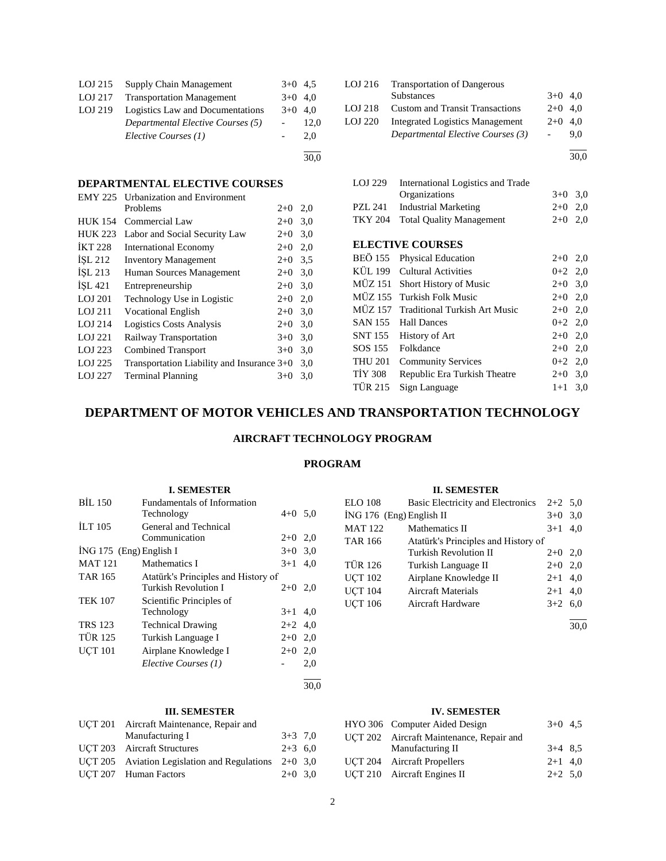| LOJ 215 | Supply Chain Management           | $3+0$ 4.5 |      |
|---------|-----------------------------------|-----------|------|
| LOJ 217 | <b>Transportation Management</b>  | $3+0$ 4.0 |      |
| LOJ 219 | Logistics Law and Documentations  | $3+0$ 4.0 |      |
|         | Departmental Elective Courses (5) |           | 12,0 |
|         | Elective Courses (1)              |           | 2.0  |
|         |                                   |           | 30.0 |

# **DEPARTMENTAL ELECTIVE COURSES**

| <b>EMY 225</b> | <b>Urbanization and Environment</b>        |       |     |
|----------------|--------------------------------------------|-------|-----|
|                | Problems                                   | $2+0$ | 2,0 |
| <b>HUK 154</b> | Commercial Law                             | $2+0$ | 3,0 |
| <b>HUK 223</b> | Labor and Social Security Law              | $2+0$ | 3,0 |
| <b>IKT 228</b> | <b>International Economy</b>               | $2+0$ | 2,0 |
| ISL 212        | <b>Inventory Management</b>                | $2+0$ | 3,5 |
| ISL 213        | Human Sources Management                   | $2+0$ | 3,0 |
| ISL 421        | Entrepreneurship                           | $2+0$ | 3,0 |
| LOJ 201        | Technology Use in Logistic                 | $2+0$ | 2,0 |
| LOJ 211        | <b>Vocational English</b>                  | $2+0$ | 3,0 |
| LOJ 214        | <b>Logistics Costs Analysis</b>            | $2+0$ | 3,0 |
| LOJ 221        | Railway Transportation                     | $3+0$ | 3,0 |
| LOJ 223        | <b>Combined Transport</b>                  | $3+0$ | 3,0 |
| LOJ 225        | Transportation Liability and Insurance 3+0 |       | 3,0 |
| <b>LOJ 227</b> | <b>Terminal Planning</b>                   | $3+0$ | 3,0 |
|                |                                            |       |     |

| LOJ 216 | <b>Transportation of Dangerous</b>     |           |     |
|---------|----------------------------------------|-----------|-----|
|         | <b>Substances</b>                      | $3+0$ 4,0 |     |
| LOJ 218 | <b>Custom and Transit Transactions</b> | $2+0$ 4.0 |     |
| LOJ 220 | <b>Integrated Logistics Management</b> | $2+0$ 4.0 |     |
|         | Departmental Elective Courses (3)      |           | 9.0 |
|         |                                        |           |     |

30,0

| LOJ 229 | International Logistics and Trade |           |  |
|---------|-----------------------------------|-----------|--|
|         | <b>Organizations</b>              | $3+0$ 3.0 |  |
| PZL 241 | Industrial Marketing              | $2+0$ 2,0 |  |
|         | TKY 204 Total Quality Management  | $2+0$ 2.0 |  |

## **ELECTIVE COURSES**

|         | BEÖ 155 Physical Education            | $2+0$ 2,0 |  |
|---------|---------------------------------------|-----------|--|
|         | KÜL 199 Cultural Activities           | $0+2$ 2,0 |  |
|         | MÜZ 151 Short History of Music        | $2+0$ 3,0 |  |
|         | MÜZ 155 Turkish Folk Music            | $2+0$ 2,0 |  |
|         | MÜZ 157 Traditional Turkish Art Music | $2+0$ 2,0 |  |
|         | SAN 155 Hall Dances                   | $0+2$ 2,0 |  |
|         | SNT 155 History of Art                | $2+0$ 2,0 |  |
|         | SOS 155 Folkdance                     | $2+0$ 2,0 |  |
| THU 201 | <b>Community Services</b>             | $0+2$ 2,0 |  |
| TİY 308 | Republic Era Turkish Theatre          | $2+0$ 3,0 |  |
| TÜR 215 | Sign Language                         | $1+1$ 3,0 |  |

# **DEPARTMENT OF MOTOR VEHICLES AND TRANSPORTATION TECHNOLOGY**

# **AIRCRAFT TECHNOLOGY PROGRAM**

# **PROGRAM**

# **I. SEMESTER** BİL 150 Fundamentals of Information Technology  $4+0$  5,0 İLT 105 General and Technical Communication 2+0 2,0  $i$ NG 175 (Eng) English I  $3+0$  3,0 MAT 121 Mathematics I  $3+1$  4,0 TAR 165 Atatürk's Principles and History of Turkish Revolution I  $2+0$  2,0 TEK 107 Scientific Principles of Technology 3+1 4,0 TRS 123 Technical Drawing  $2+2$  4,0 TÜR 125 Turkish Language I 2+0 2,0 UÇT 101 Airplane Knowledge I 2+0 2,0 *Elective Courses (1)* - 2,0 l

# **III. SEMESTER**

| UCT 201 Aircraft Maintenance, Repair and               |           |  |
|--------------------------------------------------------|-----------|--|
| Manufacturing I                                        | $3+3$ 7,0 |  |
| UCT 203 Aircraft Structures                            | $2+3$ 6,0 |  |
| UCT 205 Aviation Legislation and Regulations $2+0$ 3,0 |           |  |
| UCT 207 Human Factors                                  | $2+0$ 3.0 |  |

## **II. SEMESTER**

| ELO 108                    | Basic Electricity and Electronics   | $2+2$ 5.0 |     |
|----------------------------|-------------------------------------|-----------|-----|
| $ING 176$ (Eng) English II |                                     | $3+0$     | 3,0 |
| <b>MAT 122</b>             | Mathematics II                      | $3+1$     | 4.0 |
| <b>TAR 166</b>             | Atatürk's Principles and History of |           |     |
|                            | <b>Turkish Revolution II</b>        | $2+0$     | 2,0 |
| <b>TÜR 126</b>             | Turkish Language II                 | $2+0$     | 2,0 |
| <b>UCT 102</b>             | Airplane Knowledge II               | $2 + 1$   | 4,0 |
| <b>UCT 104</b>             | <b>Aircraft Materials</b>           | $2+1$ 4,0 |     |
| <b>UCT 106</b>             | Aircraft Hardware                   | $3+2$ 6,0 |     |
|                            |                                     |           |     |

30,0

# **IV. SEMESTER**

| HYO 306 Computer Aided Design            | $3+0$ 4.5 |  |
|------------------------------------------|-----------|--|
| UCT 202 Aircraft Maintenance, Repair and |           |  |
| Manufacturing II                         | $3+4$ 8.5 |  |
| <b>UCT 204</b> Aircraft Propellers       | $2+1$ 4.0 |  |
| UCT 210 Aircraft Engines II              | $2+2$ 5.0 |  |
|                                          |           |  |

30,0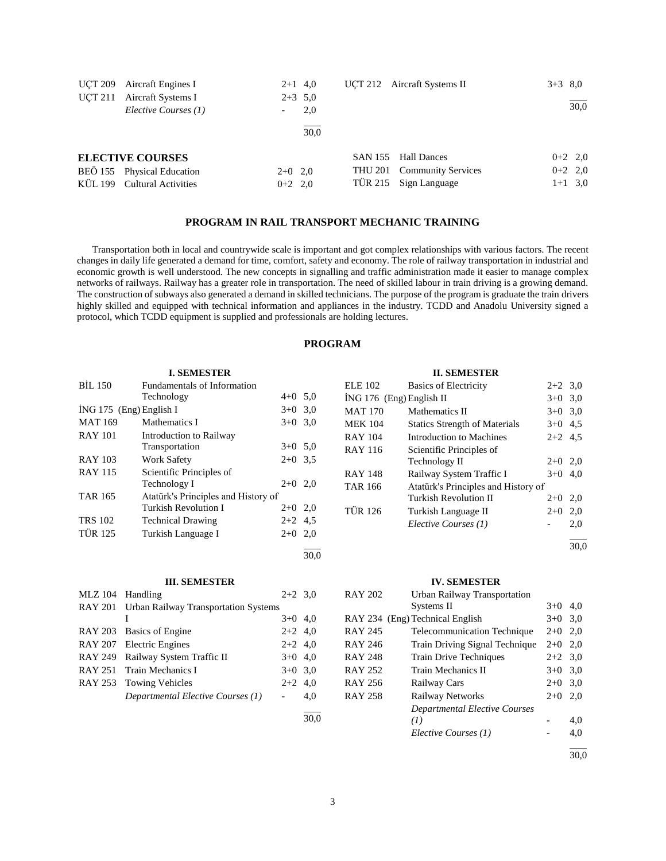| UCT 209<br>UCT 211 | Aircraft Engines I<br>Aircraft Systems I<br>Elective Courses (1) | $2+1$ 4,0<br>$2+3$ 5.0 | 2,0  |         | UCT 212 Aircraft Systems II | $3+3$ 8.0 | 30,0      |
|--------------------|------------------------------------------------------------------|------------------------|------|---------|-----------------------------|-----------|-----------|
|                    |                                                                  |                        | 30.0 |         |                             |           |           |
|                    | <b>ELECTIVE COURSES</b>                                          |                        |      |         | SAN 155 Hall Dances         |           | $0+2$ 2,0 |
|                    | BEÖ 155 Physical Education                                       | $2+0$ 2,0              |      | THU 201 | <b>Community Services</b>   |           | $0+2$ 2,0 |
|                    | KÜL 199 Cultural Activities                                      | $0+2$ 2,0              |      |         | TÜR 215 Sign Language       |           | $1+1$ 3,0 |

# **PROGRAM IN RAIL TRANSPORT MECHANIC TRAINING**

 Transportation both in local and countrywide scale is important and got complex relationships with various factors. The recent changes in daily life generated a demand for time, comfort, safety and economy. The role of railway transportation in industrial and economic growth is well understood. The new concepts in signalling and traffic administration made it easier to manage complex networks of railways. Railway has a greater role in transportation. The need of skilled labour in train driving is a growing demand. The construction of subways also generated a demand in skilled technicians. The purpose of the program is graduate the train drivers highly skilled and equipped with technical information and appliances in the industry. TCDD and Anadolu University signed a protocol, which TCDD equipment is supplied and professionals are holding lectures.

# **PROGRAM**

30,0

#### **I. SEMESTER**

| <b>BIL 150</b>            | Fundamentals of Information         |           |     |
|---------------------------|-------------------------------------|-----------|-----|
|                           | Technology                          | $4+0$ 5.0 |     |
| $ING 175$ (Eng) English I |                                     | $3+0$ 3.0 |     |
| <b>MAT 169</b>            | Mathematics I                       | $3+0$     | 3,0 |
| <b>RAY 101</b>            | Introduction to Railway             |           |     |
|                           | Transportation                      | $3+0$ 5.0 |     |
| <b>RAY 103</b>            | <b>Work Safety</b>                  | $2+0$ 3.5 |     |
| <b>RAY 115</b>            | Scientific Principles of            |           |     |
|                           | Technology I                        | $2+0$ 2.0 |     |
| <b>TAR 165</b>            | Atatürk's Principles and History of |           |     |
|                           | Turkish Revolution I                | $2+0$ 2,0 |     |
| <b>TRS 102</b>            | <b>Technical Drawing</b>            | $2+2$ 4.5 |     |
| <b>TÜR 125</b>            | Turkish Language I                  | $2+0$     | 2,0 |
|                           |                                     |           |     |

#### **III. SEMESTER**

| <b>MLZ</b> 104 | Handling                                     | $2+2$ 3.0 |      |
|----------------|----------------------------------------------|-----------|------|
|                | RAY 201 Urban Railway Transportation Systems |           |      |
|                |                                              | $3+0$ 4,0 |      |
|                | RAY 203 Basics of Engine                     | $2+2$ 4,0 |      |
|                | RAY 207 Electric Engines                     | $2+2$ 4,0 |      |
|                | RAY 249 Railway System Traffic II            | $3+0$ 4,0 |      |
|                | RAY 251 Train Mechanics I                    | $3+0$ 3.0 |      |
|                | RAY 253 Towing Vehicles                      | $2+2$ 4,0 |      |
|                | Departmental Elective Courses (1)            |           | 4.0  |
|                |                                              |           | 30.0 |

#### **II. SEMESTER**

| <b>ELE 102</b>             | <b>Basics of Electricity</b>         | $2+2$ 3.0 |     |
|----------------------------|--------------------------------------|-----------|-----|
| $ING 176$ (Eng) English II |                                      | $3+0$     | 3,0 |
| <b>MAT 170</b>             | Mathematics II                       | $3+0$     | 3,0 |
| <b>MEK 104</b>             | <b>Statics Strength of Materials</b> | $3+0$     | 4.5 |
| <b>RAY 104</b>             | Introduction to Machines             | $2+2$ 4.5 |     |
| <b>RAY 116</b>             | Scientific Principles of             |           |     |
|                            | Technology II                        | $2+0$     | 2,0 |
| <b>RAY 148</b>             | Railway System Traffic I             | $3+0$     | 4.0 |
| <b>TAR 166</b>             | Atatürk's Principles and History of  |           |     |
|                            | Turkish Revolution II                | $2+0$     | 2,0 |
| <b>TÜR 126</b>             | Turkish Language II                  | $2+0$     | 2,0 |
|                            | Elective Courses (1)                 |           | 2,0 |
|                            |                                      |           |     |

30,0

#### **IV. SEMESTER**

| <b>RAY 202</b> | Urban Railway Transportation       |           |     |
|----------------|------------------------------------|-----------|-----|
|                | Systems II                         | $3+0$     | 4,0 |
|                | RAY 234 (Eng) Technical English    | $3+0$     | 3,0 |
| <b>RAY 245</b> | <b>Telecommunication Technique</b> | $2+0$     | 2,0 |
| RAY 246        | Train Driving Signal Technique     | $2+0$     | 2,0 |
| <b>RAY 248</b> | <b>Train Drive Techniques</b>      | $2+2$ 3.0 |     |
| RAY 252        | Train Mechanics II                 | $3+0$     | 3,0 |
| RAY 256        | Railway Cars                       | $2+0$     | 3,0 |
| <b>RAY 258</b> | Railway Networks                   | $2+0$     | 2.0 |
|                | Departmental Elective Courses      |           |     |
|                | (I)                                |           | 4,0 |
|                | Elective Courses (1)               |           | 4,0 |
|                |                                    |           |     |

 $\frac{1}{30,0}$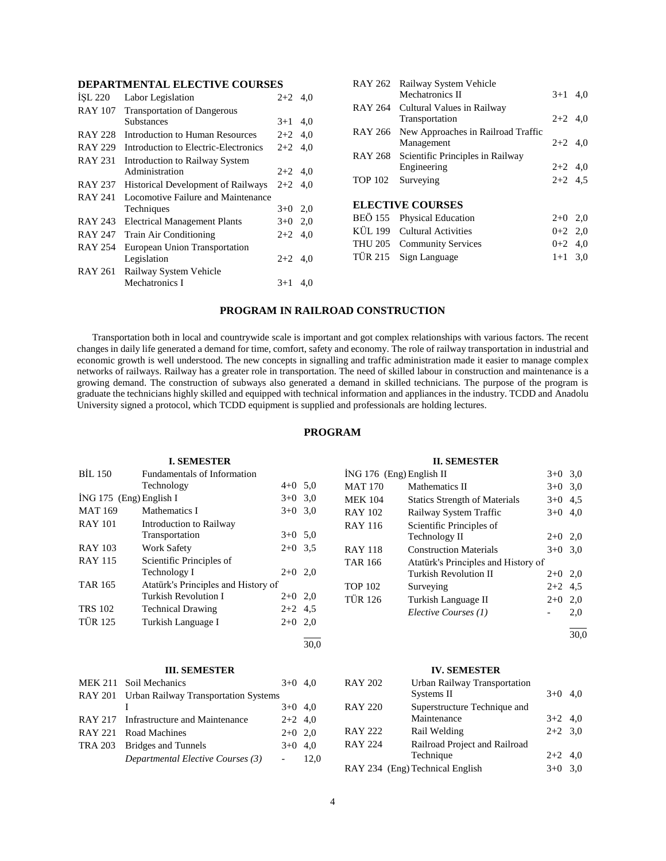# **DEPARTMENTAL ELECTIVE COURSES**

| ISL 220        | Labor Legislation                         | $2+2$ 4,0 |     |
|----------------|-------------------------------------------|-----------|-----|
| <b>RAY 107</b> | <b>Transportation of Dangerous</b>        |           |     |
|                | <b>Substances</b>                         | $3+1$     | 4,0 |
| <b>RAY 228</b> | Introduction to Human Resources           | $2+2$ 4,0 |     |
| <b>RAY 229</b> | Introduction to Electric-Electronics      | $2+2$     | 4.0 |
| <b>RAY 231</b> | Introduction to Railway System            |           |     |
|                | Administration                            | $2+2$ 4,0 |     |
| <b>RAY 237</b> | <b>Historical Development of Railways</b> | $2+2$ 4.0 |     |
| RAY 241        | Locomotive Failure and Maintenance        |           |     |
|                | Techniques                                | $3+0$ 2,0 |     |
| RAY 243        | <b>Electrical Management Plants</b>       | $3+0$ 2,0 |     |
| <b>RAY 247</b> | <b>Train Air Conditioning</b>             | $2+2$ 4.0 |     |
| RAY 254        | European Union Transportation             |           |     |
|                | Legislation                               | $2+2$ 4,0 |     |
| RAY 261        | Railway System Vehicle                    |           |     |
|                | Mechatronics I                            | $3+1$     | 4,0 |
|                |                                           |           |     |

|                | RAY 262 Railway System Vehicle             |           |  |
|----------------|--------------------------------------------|-----------|--|
|                | Mechatronics II                            | $3+1$ 4.0 |  |
|                | RAY 264 Cultural Values in Railway         |           |  |
|                | Transportation                             | $2+2$ 4.0 |  |
|                | RAY 266 New Approaches in Railroad Traffic |           |  |
|                | Management                                 | $2+2$ 4.0 |  |
|                | RAY 268 Scientific Principles in Railway   |           |  |
|                | Engineering                                | $2+2$ 4.0 |  |
| <b>TOP 102</b> | Surveying                                  | $2+2$ 4.5 |  |
|                |                                            |           |  |
|                | <b>ELECTIVE COURSES</b>                    |           |  |
| <b>BEÖ</b> 155 | <b>Physical Education</b>                  | $2+0$ 2,0 |  |
|                | KÜL 199 Cultural Activities                | $0+2$ 2,0 |  |
|                | THU 205 Community Services                 | $0+2$ 4.0 |  |
| TÜR 215        | Sign Language                              | $1+1$ 3.0 |  |
|                |                                            |           |  |

# **PROGRAM IN RAILROAD CONSTRUCTION**

 Transportation both in local and countrywide scale is important and got complex relationships with various factors. The recent changes in daily life generated a demand for time, comfort, safety and economy. The role of railway transportation in industrial and economic growth is well understood. The new concepts in signalling and traffic administration made it easier to manage complex networks of railways. Railway has a greater role in transportation. The need of skilled labour in construction and maintenance is a growing demand. The construction of subways also generated a demand in skilled technicians. The purpose of the program is graduate the technicians highly skilled and equipped with technical information and appliances in the industry. TCDD and Anadolu University signed a protocol, which TCDD equipment is supplied and professionals are holding lectures.

# **PROGRAM**

|                           | <b>L. SEMESTER</b>                  |           |     |
|---------------------------|-------------------------------------|-----------|-----|
| <b>BIL 150</b>            | <b>Fundamentals of Information</b>  |           |     |
|                           | Technology                          | $4+0$ 5.0 |     |
| $ING 175$ (Eng) English I |                                     | $3+0$ 3.0 |     |
| <b>MAT 169</b>            | Mathematics I                       | $3+0$     | 3,0 |
| <b>RAY 101</b>            | Introduction to Railway             |           |     |
|                           | Transportation                      | $3+0$ 5.0 |     |
| RAY 103                   | <b>Work Safety</b>                  | $2+0$ 3.5 |     |
| <b>RAY 115</b>            | Scientific Principles of            |           |     |
|                           | Technology I                        | $2+0$ 2,0 |     |
| TAR 165                   | Atatürk's Principles and History of |           |     |
|                           | Turkish Revolution I                | $2+0$ 2,0 |     |
| <b>TRS 102</b>            | <b>Technical Drawing</b>            | $2+2$ 4.5 |     |
| <b>TÜR 125</b>            | Turkish Language I                  | $2+0$ 2,0 |     |
|                           |                                     |           |     |

## **III. SEMESTER**

| MEK 211 Soil Mechanics                       | $3+0$ 4.0 |      |
|----------------------------------------------|-----------|------|
| RAY 201 Urban Railway Transportation Systems |           |      |
|                                              | $3+0$ 4.0 |      |
| RAY 217 Infrastructure and Maintenance       | $2+2$ 4,0 |      |
| RAY 221 Road Machines                        | $2+0$ 2.0 |      |
| TRA 203 Bridges and Tunnels                  | $3+0$ 4.0 |      |
| Departmental Elective Courses (3)            |           | 12.0 |

# **II. SEMESTER**

| $ING 176$ (Eng) English II |                                      | $3+0$     | 3,0 |
|----------------------------|--------------------------------------|-----------|-----|
| <b>MAT 170</b>             | Mathematics II                       | $3+0$     | 3,0 |
| <b>MEK 104</b>             | <b>Statics Strength of Materials</b> | $3+0$     | 4,5 |
| <b>RAY 102</b>             | Railway System Traffic               | $3+0$     | 4,0 |
| RAY 116                    | Scientific Principles of             |           |     |
|                            | Technology II                        | $2+0$     | 2,0 |
| <b>RAY 118</b>             | <b>Construction Materials</b>        | $3+0$     | 3,0 |
| <b>TAR 166</b>             | Atatürk's Principles and History of  |           |     |
|                            | Turkish Revolution II                | $2+0$     | 2,0 |
| <b>TOP 102</b>             | Surveying                            | $2+2$ 4.5 |     |
| TÜR 126                    | Turkish Language II                  | $2+0$     | 2,0 |
|                            | Elective Courses (1)                 |           | 2,0 |
|                            |                                      |           |     |

 $\frac{1}{30,0}$ 

# **IV. SEMESTER**

| <b>RAY 202</b> | Urban Railway Transportation    |           |     |
|----------------|---------------------------------|-----------|-----|
|                | Systems II                      | $3+0$ 4,0 |     |
| <b>RAY 220</b> | Superstructure Technique and    |           |     |
|                | Maintenance                     | $3+2$ 4,0 |     |
| <b>RAY 222</b> | Rail Welding                    | $2+2$ 3.0 |     |
| <b>RAY 224</b> | Railroad Project and Railroad   |           |     |
|                | Technique                       | $2+2$ 4,0 |     |
|                | RAY 234 (Eng) Technical English | $3+0$     | 3.0 |
|                |                                 |           |     |

30,0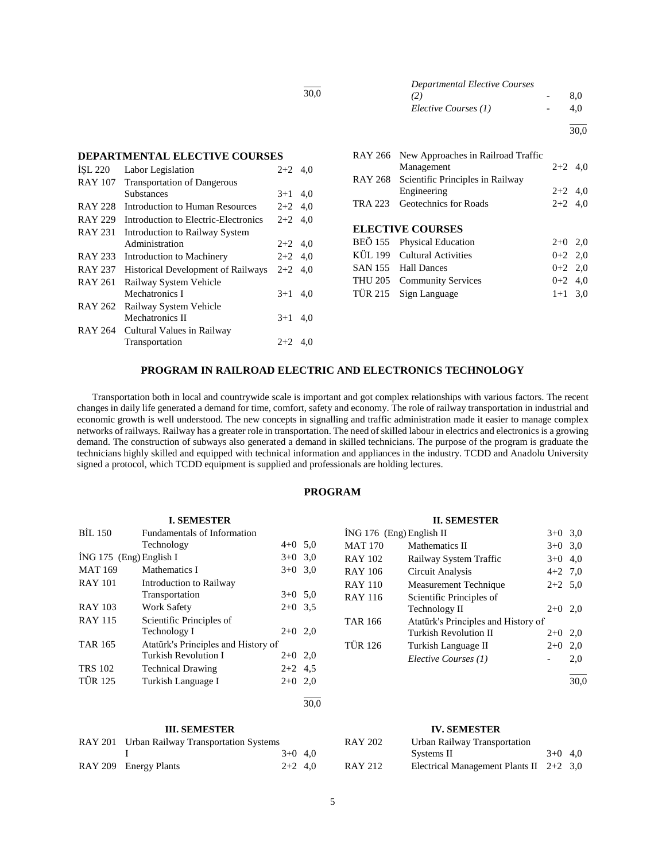| <b>Departmental Elective Courses</b> |     |
|--------------------------------------|-----|
| (2)                                  | 8.0 |
| Elective Courses (1)                 | 4.0 |
|                                      |     |

 $\frac{1}{30.0}$ 

# **DEPARTMENTAL ELECTIVE COURSES**

| ISL 220        | Labor Legislation                         | $2+2$ 4.0 |     |
|----------------|-------------------------------------------|-----------|-----|
| <b>RAY 107</b> | <b>Transportation of Dangerous</b>        |           |     |
|                | <b>Substances</b>                         | $3+1$     | 4.0 |
| <b>RAY 228</b> | Introduction to Human Resources           | $2+2$ 4.0 |     |
| <b>RAY 229</b> | Introduction to Electric-Electronics      | $2+2$     | 4,0 |
| <b>RAY 231</b> | Introduction to Railway System            |           |     |
|                | Administration                            | $2+2$ 4.0 |     |
| RAY 233        | Introduction to Machinery                 | $2+2$ 4.0 |     |
| <b>RAY 237</b> | <b>Historical Development of Railways</b> | $2 + 2$   | 4.0 |
| <b>RAY 261</b> | Railway System Vehicle                    |           |     |
|                | Mechatronics I                            | $3+1$     | 4,0 |
| RAY 262        | Railway System Vehicle                    |           |     |
|                | Mechatronics II                           | $3+1$     | 4.0 |
| <b>RAY 264</b> | Cultural Values in Railway                |           |     |
|                | Transportation                            | $2+2$     | 4.0 |
|                |                                           |           |     |

|         | RAY 266 New Approaches in Railroad Traffic<br>Management | $2+2$ 4,0 |  |
|---------|----------------------------------------------------------|-----------|--|
|         | RAY 268 Scientific Principles in Railway                 |           |  |
|         | Engineering                                              | $2+2$ 4,0 |  |
| TRA 223 | <b>Geotechnics</b> for Roads                             | $2+2$ 4,0 |  |
|         |                                                          |           |  |
|         | <b>ELECTIVE COURSES</b>                                  |           |  |
|         | BEÖ 155 Physical Education                               | $2+0$ 2,0 |  |
|         | KÜL 199 Cultural Activities                              | $0+2$ 2,0 |  |
|         | SAN 155 Hall Dances                                      | $0+2$ 2,0 |  |
|         | THU 205 Community Services                               | $0+2$ 4,0 |  |
|         | TÜR 215 Sign Language                                    | $1+1$ 3,0 |  |

#### **PROGRAM IN RAILROAD ELECTRIC AND ELECTRONICS TECHNOLOGY**

l 30,0

 Transportation both in local and countrywide scale is important and got complex relationships with various factors. The recent changes in daily life generated a demand for time, comfort, safety and economy. The role of railway transportation in industrial and economic growth is well understood. The new concepts in signalling and traffic administration made it easier to manage complex networks of railways. Railway has a greater role in transportation. The need of skilled labour in electrics and electronics is a growing demand. The construction of subways also generated a demand in skilled technicians. The purpose of the program is graduate the technicians highly skilled and equipped with technical information and appliances in the industry. TCDD and Anadolu University signed a protocol, which TCDD equipment is supplied and professionals are holding lectures.

# **PROGRAM**

|                           | <b>I. SEMESTER</b>                  |           |      |
|---------------------------|-------------------------------------|-----------|------|
| <b>BIL 150</b>            | <b>Fundamentals of Information</b>  |           |      |
|                           | Technology                          | $4+0$ 5,0 |      |
| $ING 175$ (Eng) English I |                                     | $3+0$ 3.0 |      |
| <b>MAT 169</b>            | Mathematics I                       | $3+0$ 3.0 |      |
| <b>RAY 101</b>            | Introduction to Railway             |           |      |
|                           | Transportation                      | $3+0$ 5.0 |      |
| <b>RAY 103</b>            | <b>Work Safety</b>                  | $2+0$ 3.5 |      |
| <b>RAY 115</b>            | Scientific Principles of            |           |      |
|                           | Technology I                        | $2+0$ 2.0 |      |
| <b>TAR 165</b>            | Atatürk's Principles and History of |           |      |
|                           | Turkish Revolution I                | $2+0$ 2,0 |      |
| <b>TRS 102</b>            | <b>Technical Drawing</b>            | $2+2$ 4.5 |      |
| <b>TÜR 125</b>            | Turkish Language I                  | $2+0$ 2,0 |      |
|                           |                                     |           | 30.0 |

#### **III. SEMESTER**

| RAY 201 Urban Railway Transportation Systems |           |  |
|----------------------------------------------|-----------|--|
|                                              | $3+0$ 4.0 |  |
| RAY 209 Energy Plants                        | $2+2$ 4.0 |  |

|                          | <b>II. SEMESTER</b>                 |           |      |
|--------------------------|-------------------------------------|-----------|------|
| İNG 176 (Eng) English II |                                     | $3+0$ 3.0 |      |
| <b>MAT 170</b>           | Mathematics II                      | $3+0$ 3.0 |      |
| RAY 102                  | Railway System Traffic              | $3+0$ 4.0 |      |
| <b>RAY 106</b>           | Circuit Analysis                    | $4+2$ 7.0 |      |
| <b>RAY 110</b>           | Measurement Technique               | $2+2$ 5,0 |      |
| <b>RAY 116</b>           | Scientific Principles of            |           |      |
|                          | Technology II                       | $2+0$     | -2.0 |
| <b>TAR 166</b>           | Atatürk's Principles and History of |           |      |
|                          | <b>Turkish Revolution II</b>        | $2+0$     | 2,0  |
| <b>TÜR 126</b>           | Turkish Language II                 | $2+0$     | 2,0  |
|                          | Elective Courses (1)                |           | 2,0  |
|                          |                                     |           | 30.0 |

# **IV. SEMESTER**

| <b>RAY 202</b> | Urban Railway Transportation              |           |  |
|----------------|-------------------------------------------|-----------|--|
|                | Systems II                                | $3+0$ 4.0 |  |
| <b>RAY 212</b> | Electrical Management Plants II $2+2$ 3,0 |           |  |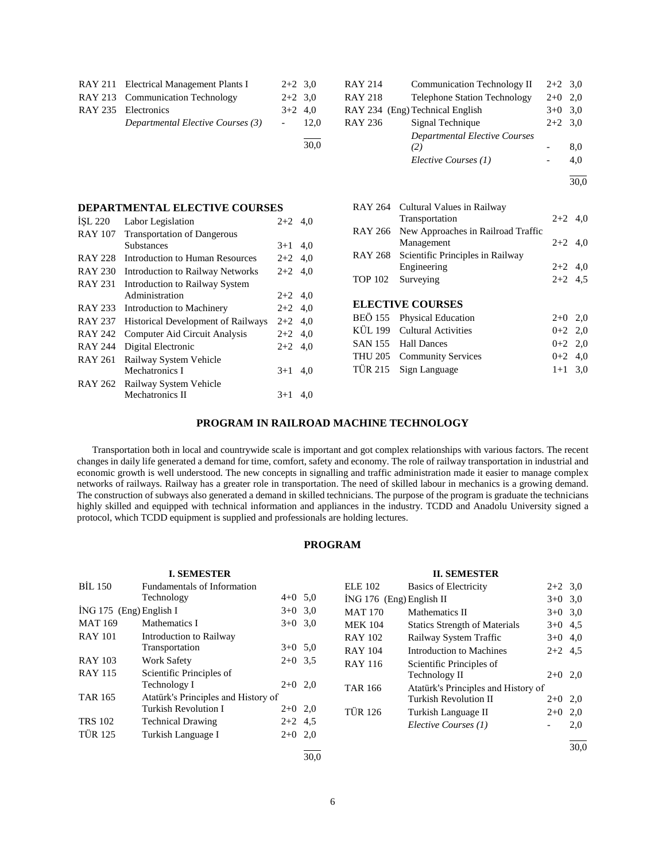| RAY 211 Electrical Management Plants I | $2+2$ 3.0  |      |
|----------------------------------------|------------|------|
| RAY 213 Communication Technology       | $2+2$ 3.0  |      |
| RAY 235 Electronics                    | $3+2$ 4.0  |      |
| Departmental Elective Courses (3)      | $\sim 100$ | 12.0 |
|                                        |            | 30,0 |

| <b>RAY 214</b> | <b>Communication Technology II</b>   | $2+2$ 3.0 |      |
|----------------|--------------------------------------|-----------|------|
| <b>RAY 218</b> | <b>Telephone Station Technology</b>  | $2+0$     | 2.0  |
|                | RAY 234 (Eng) Technical English      | $3+0$ 3.0 |      |
| <b>RAY 236</b> | Signal Technique                     | $2+2$ 3.0 |      |
|                | <b>Departmental Elective Courses</b> |           |      |
|                | (2)                                  |           | 8,0  |
|                | Elective Courses (1)                 |           | 4,0  |
|                |                                      |           | 30.0 |

| <b>DEPARTMENTAL ELECTIVE COURSES</b> |                                    |           |     |  |  |  |
|--------------------------------------|------------------------------------|-----------|-----|--|--|--|
| ISL 220                              | Labor Legislation                  | $2+2$ 4,0 |     |  |  |  |
| <b>RAY 107</b>                       | <b>Transportation of Dangerous</b> |           |     |  |  |  |
|                                      | Substances                         | $3+1$     | 4.0 |  |  |  |
| RAY 228                              | Introduction to Human Resources    | $2+2$ 4,0 |     |  |  |  |
| <b>RAY 230</b>                       | Introduction to Railway Networks   | $2+2$ 4.0 |     |  |  |  |
| RAY 231                              | Introduction to Railway System     |           |     |  |  |  |
|                                      | Administration                     | $2+2$ 4,0 |     |  |  |  |
| RAY 233                              | Introduction to Machinery          | $2+2$ 4,0 |     |  |  |  |
| <b>RAY 237</b>                       | Historical Development of Railways | $2+2$ 4.0 |     |  |  |  |
| <b>RAY 242</b>                       | Computer Aid Circuit Analysis      | $2+2$ 4,0 |     |  |  |  |
| RAY 244                              | Digital Electronic                 | $2+2$     | 4.0 |  |  |  |
| RAY 261                              | Railway System Vehicle             |           |     |  |  |  |
|                                      | Mechatronics I                     | $3+1$     | 4,0 |  |  |  |
| RAY 262                              | Railway System Vehicle             |           |     |  |  |  |
|                                      | <b>Mechatronics II</b>             | $3+1$     | 4.0 |  |  |  |
|                                      |                                    |           |     |  |  |  |

|                | RAY 264 Cultural Values in Railway<br>Transportation     | $2+2$ 4,0 |  |
|----------------|----------------------------------------------------------|-----------|--|
|                | RAY 266 New Approaches in Railroad Traffic<br>Management | $2+2$ 4,0 |  |
|                | RAY 268 Scientific Principles in Railway                 |           |  |
|                | Engineering                                              | $2+2$ 4,0 |  |
| <b>TOP 102</b> | Surveying                                                | $2+2$ 4.5 |  |
|                | <b>ELECTIVE COURSES</b>                                  |           |  |
|                | BEÖ 155 Physical Education                               | $2+0$ 2,0 |  |
|                | KÜL 199 Cultural Activities                              | $0+2$ 2,0 |  |
|                | SAN 155 Hall Dances                                      | $0+2$ 2.0 |  |

THU 205 Community Services 0+2 4,0 TÜR 215 Sign Language 1+1 3,0

## **PROGRAM IN RAILROAD MACHINE TECHNOLOGY**

 Transportation both in local and countrywide scale is important and got complex relationships with various factors. The recent changes in daily life generated a demand for time, comfort, safety and economy. The role of railway transportation in industrial and economic growth is well understood. The new concepts in signalling and traffic administration made it easier to manage complex networks of railways. Railway has a greater role in transportation. The need of skilled labour in mechanics is a growing demand. The construction of subways also generated a demand in skilled technicians. The purpose of the program is graduate the technicians highly skilled and equipped with technical information and appliances in the industry. TCDD and Anadolu University signed a protocol, which TCDD equipment is supplied and professionals are holding lectures.

# **PROGRAM**

|                         | <b>I. SEMESTER</b>                  |           |      |                | <b>II. SEMESTER</b>                  |           |      |
|-------------------------|-------------------------------------|-----------|------|----------------|--------------------------------------|-----------|------|
| BIL 150                 | Fundamentals of Information         |           |      | <b>ELE 102</b> | <b>Basics of Electricity</b>         | $2+2$ 3,0 |      |
|                         | Technology                          | $4+0$ 5.0 |      |                | $ING 176$ (Eng) English II           | $3+0$ 3,0 |      |
| İNG 175 (Eng) English I |                                     | $3+0$ 3.0 |      | <b>MAT 170</b> | Mathematics II                       | $3+0$ 3,0 |      |
| <b>MAT 169</b>          | Mathematics I                       | $3+0$ 3.0 |      | <b>MEK 104</b> | <b>Statics Strength of Materials</b> | $3+0$ 4.5 |      |
| <b>RAY 101</b>          | Introduction to Railway             |           |      | <b>RAY 102</b> | Railway System Traffic               | $3+0$ 4,0 |      |
|                         | Transportation                      | $3+0$ 5.0 |      | <b>RAY 104</b> | Introduction to Machines             | $2+2$ 4.5 |      |
| <b>RAY 103</b>          | <b>Work Safety</b>                  | $2+0$ 3.5 |      | <b>RAY 116</b> | Scientific Principles of             |           |      |
| <b>RAY 115</b>          | Scientific Principles of            |           |      |                | Technology II                        | $2+0$ 2,0 |      |
|                         | Technology I                        | $2+0$ 2,0 |      | <b>TAR 166</b> | Atatürk's Principles and History of  |           |      |
| <b>TAR 165</b>          | Atatürk's Principles and History of |           |      |                | <b>Turkish Revolution II</b>         | $2+0$ 2,0 |      |
|                         | Turkish Revolution I                | $2+0$ 2,0 |      | <b>TÜR 126</b> | Turkish Language II                  | $2+0$ 2,0 |      |
| <b>TRS 102</b>          | <b>Technical Drawing</b>            | $2+2$ 4.5 |      |                | Elective Courses (1)                 |           | 2,0  |
| <b>TÜR 125</b>          | Turkish Language I                  | $2+0$ 2,0 |      |                |                                      |           |      |
|                         |                                     |           |      |                |                                      |           | 30,0 |
|                         |                                     |           | 30.0 |                |                                      |           |      |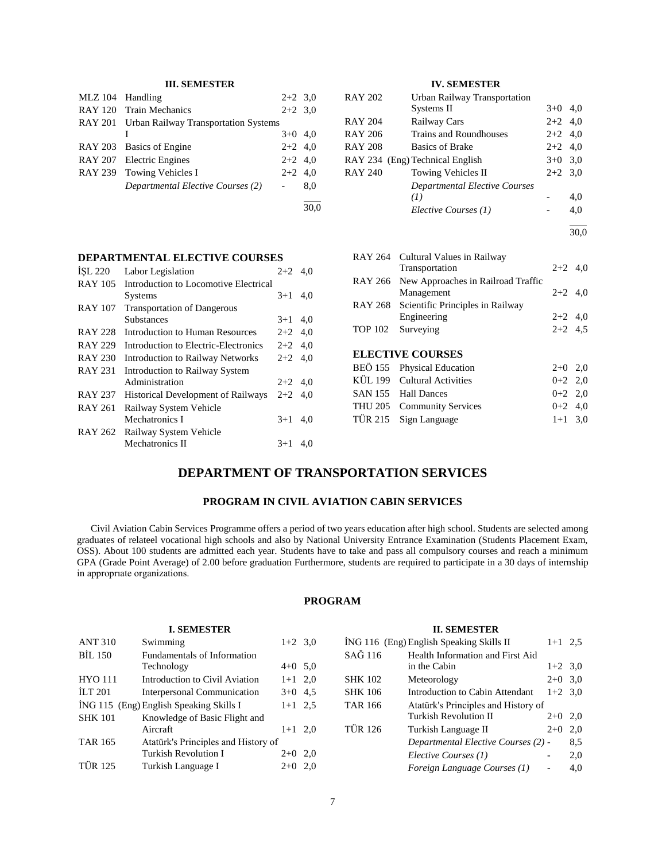# **III. SEMESTER**

| <b>MLZ</b> 104 | Handling                                     | $2+2$ 3.0 |     |
|----------------|----------------------------------------------|-----------|-----|
|                | RAY 120 Train Mechanics                      | $2+2$ 3.0 |     |
|                | RAY 201 Urban Railway Transportation Systems |           |     |
|                |                                              | $3+0$ 4,0 |     |
|                | RAY 203 Basics of Engine                     | $2+2$ 4,0 |     |
|                | RAY 207 Electric Engines                     | $2+2$ 4,0 |     |
|                | RAY 239 Towing Vehicles I                    | $2+2$ 4,0 |     |
|                | Departmental Elective Courses (2)            |           | 8,0 |
|                |                                              |           |     |

# **IV. SEMESTER**

| <b>RAY 202</b> | Urban Railway Transportation    |           |     |
|----------------|---------------------------------|-----------|-----|
|                | Systems II                      | $3+0$     | 4,0 |
| <b>RAY 204</b> | <b>Railway Cars</b>             | $2+2$ 4,0 |     |
| <b>RAY 206</b> | Trains and Roundhouses          | $2+2$ 4,0 |     |
| <b>RAY 208</b> | <b>Basics of Brake</b>          | $2+2$ 4.0 |     |
|                | RAY 234 (Eng) Technical English | $3+0$ 3.0 |     |
| <b>RAY 240</b> | Towing Vehicles II              | $2+2$ 3.0 |     |
|                | Departmental Elective Courses   |           |     |
|                | (I)                             |           | 4,0 |
|                | Elective Courses (1)            |           | 4.0 |
|                |                                 |           |     |

30,0

|  | RAY 264 Cultural Values in Railway<br>Transportation     | $2+2$ 4,0 |  |
|--|----------------------------------------------------------|-----------|--|
|  | RAY 266 New Approaches in Railroad Traffic<br>Management | $2+2$ 4,0 |  |
|  | RAY 268 Scientific Principles in Railway<br>Engineering  | $2+2$ 4,0 |  |
|  | TOP 102 Surveying                                        | $2+2$ 4.5 |  |
|  | <b>ELECTIVE COURSES</b>                                  |           |  |
|  | BEÖ 155 Physical Education                               | $2+0$ 2,0 |  |
|  | KÜL 199 Cultural Activities                              | $0+2$ 2,0 |  |
|  | SAN 155 Hall Dances                                      | $0+2$ 2,0 |  |
|  | THU 205 Community Services                               | $0+2$ 4.0 |  |

TÜR 215 Sign Language 1+1 3,0

# **DEPARTMENTAL ELECTIVE COURSES**<br> **ISL 220** Labor Legislation 2+2 4,0<br> **PAN 105** İŞL 220 Labor Legislation

| <b>RAY 105</b> | Introduction to Locomotive Electrical     |           |     |
|----------------|-------------------------------------------|-----------|-----|
|                | <b>Systems</b>                            | $3+1$     | 4.0 |
| <b>RAY 107</b> | <b>Transportation of Dangerous</b>        |           |     |
|                | <b>Substances</b>                         | $3+1$     | 4.0 |
| <b>RAY 228</b> | Introduction to Human Resources           | $2+2$ 4,0 |     |
| <b>RAY 229</b> | Introduction to Electric-Electronics      | $2+2$ 4.0 |     |
| <b>RAY 230</b> | <b>Introduction to Railway Networks</b>   | $2+2$ 4.0 |     |
| <b>RAY 231</b> | Introduction to Railway System            |           |     |
|                | Administration                            | $2+2$ 4.0 |     |
| <b>RAY 237</b> | <b>Historical Development of Railways</b> | $2+2$ 4.0 |     |
| RAY 261        | Railway System Vehicle                    |           |     |
|                | Mechatronics I                            | $3+1$     | 4.0 |
| <b>RAY 262</b> | Railway System Vehicle                    |           |     |
|                | Mechatronics II                           | $3+1$     | 4.0 |
|                |                                           |           |     |

# **DEPARTMENT OF TRANSPORTATION SERVICES**

# **PROGRAM IN CIVIL AVIATION CABIN SERVICES**

 Civil Aviation Cabin Services Programme offers a period of two years education after high school. Students are selected among graduates of relateel vocational high schools and also by National University Entrance Examination (Students Placement Exam, OSS). About 100 students are admitted each year. Students have to take and pass all compulsory courses and reach a minimum GPA (Grade Point Average) of 2.00 before graduation Furthermore, students are required to participate in a 30 days of internship in approprıate organizations.

# **PROGRAM**

#### **I. SEMESTER** ANT 310 Swimming 1+2 3,0 BİL 150 Fundamentals of Information Technology  $4+0$  5,0  $HYO 111$  Introduction to Civil Aviation  $1+1$  2,0 İLT 201 Interpersonal Communication 3+0 4,5  $i$ NG 115 (Eng) English Speaking Skills I 1+1 2,5 SHK 101 Knowledge of Basic Flight and Aircraft  $1+1$  2,0 TAR 165 Atatürk's Principles and History of Turkish Revolution I 2+0 2,0 TÜR 125 Turkish Language I 2+0 2,0 **II. SEMESTER**  $\overline{ING}$  116 (Eng) English Speaking Skills II 1+1 2,5 SAĞ 116 Health Information and First Aid in the Cabin  $1+2$  3.0 SHK 102 Meteorology 2+0 3,0 SHK 106 Introduction to Cabin Attendant  $1+2$  3,0 TAR 166 Atatürk's Principles and History of<br>Turkish Revolution II 2+0 2,0 Turkish Revolution II TÜR 126 Turkish Language II 2+0 2,0 *Departmental Elective Courses (2)* - 8,5 *Elective Courses (1)* - 2,0 *Foreign Language Courses (1)* - 4,0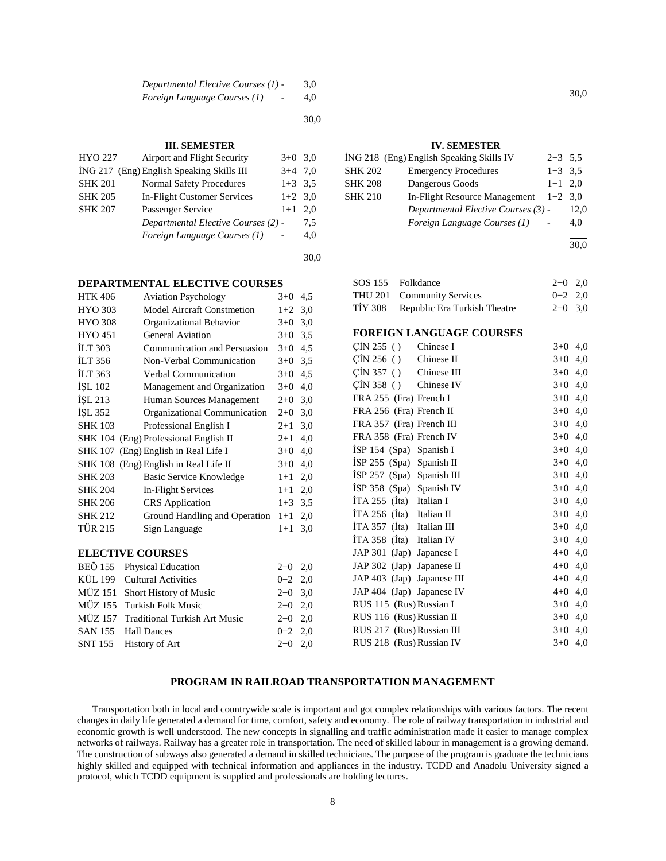| Departmental Elective Courses (1) - | 3,0 |
|-------------------------------------|-----|
| Foreign Language Courses (1)        | 4,0 |

l  $\frac{1}{30.0}$ 

| <b>HYO 227</b> | Airport and Flight Security               | $3+0$     | 3.0 |
|----------------|-------------------------------------------|-----------|-----|
|                | ING 217 (Eng) English Speaking Skills III | $3+4$ 7.0 |     |
| <b>SHK 201</b> | <b>Normal Safety Procedures</b>           | $1+3$ 3.5 |     |
| <b>SHK 205</b> | <b>In-Flight Customer Services</b>        | $1+2$ 3.0 |     |
| <b>SHK 207</b> | Passenger Service                         | $1+1$     | 2.0 |
|                | Departmental Elective Courses (2) -       |           | 7.5 |
|                | Foreign Language Courses (1)              |           | 4.0 |
|                |                                           |           |     |

**DEPARTMENTAL ELECTIVE COURSES**

| <b>HTK 406</b> | <b>Aviation Psychology</b>            | $3+0$   | 4,5 |
|----------------|---------------------------------------|---------|-----|
| <b>HYO 303</b> | <b>Model Aircraft Constmetion</b>     | $1+2$   | 3,0 |
| <b>HYO 308</b> | Organizational Behavior               | $3+0$   | 3,0 |
| <b>HYO 451</b> | <b>General Aviation</b>               | $3+0$   | 3,5 |
| <b>ILT 303</b> | Communication and Persuasion          | $3+0$   | 4,5 |
| <b>ILT 356</b> | Non-Verbal Communication              | $3+0$   | 3,5 |
| <b>ILT 363</b> | Verbal Communication                  | $3+0$   | 4,5 |
| İŞL 102        | Management and Organization           | $3+0$   | 4,0 |
| İŞL 213        | Human Sources Management              | $2+0$   | 3,0 |
| ISL 352        | Organizational Communication          | $2+0$   | 3,0 |
| <b>SHK 103</b> | Professional English I                | $2 + 1$ | 3,0 |
|                | SHK 104 (Eng) Professional English II | $2+1$   | 4,0 |
|                | SHK 107 (Eng) English in Real Life I  | $3+0$   | 4,0 |
|                | SHK 108 (Eng) English in Real Life II | $3+0$   | 4,0 |
| <b>SHK 203</b> | <b>Basic Service Knowledge</b>        | $1+1$   | 2,0 |
| <b>SHK 204</b> | In-Flight Services                    | $1+1$   | 2,0 |
| <b>SHK 206</b> | <b>CRS</b> Application                | $1 + 3$ | 3,5 |
| <b>SHK 212</b> | Ground Handling and Operation         | $1+1$   | 2,0 |
| <b>TÜR 215</b> | Sign Language                         | $1+1$   | 3,0 |
|                |                                       |         |     |
|                | <b>ELECTIVE COURSES</b>               |         |     |
| BEÖ 155        | Physical Education                    | $2+0$   | 2,0 |
| KÜL 199        | <b>Cultural Activities</b>            | $0 + 2$ | 2,0 |

MÜZ 151 Short History of Music 2+0 3,0 MÜZ 155 Turkish Folk Music 2+0 2,0 MÜZ 157 Traditional Turkish Art Music 2+0 2,0 SAN 155 Hall Dances  $0+2$  2,0 SNT 155 History of Art 2+0 2,0

# **III. SEMESTER**

| <b>Emergency Procedures</b>   |                                          |                                                                                         |
|-------------------------------|------------------------------------------|-----------------------------------------------------------------------------------------|
| Dangerous Goods               |                                          |                                                                                         |
| In-Flight Resource Management |                                          |                                                                                         |
|                               |                                          | 12,0                                                                                    |
| Foreign Language Courses (1)  |                                          | 4,0                                                                                     |
|                               |                                          | 30.0                                                                                    |
|                               | ING 218 (Eng) English Speaking Skills IV | $2+3$ 5.5<br>$1+3$ 3.5<br>$1+1$ 2.0<br>$1+2$ 3.0<br>Departmental Elective Courses (3) - |

30,0

# SOS 155 Folkdance 2+0 2,0 THU 201 Community Services 0+2 2,0 TİY 308 Republic Era Turkish Theatre 2+0 3,0

#### **FOREIGN LANGUAGE COURSES**

| $\binom{1}{1}$ 255 ()      | Chinese I   | $3+0$     | 4,0 |
|----------------------------|-------------|-----------|-----|
| $\overline{C}$ IN 256 ()   | Chinese II  | $3+0$     | 4,0 |
| $\binom{1}{1}$ 357 ()      | Chinese III | $3+0$ 4,0 |     |
| CIN 358()                  | Chinese IV  | $3+0$     | 4,0 |
| FRA 255 (Fra) French I     |             | $3+0$ 4,0 |     |
| FRA 256 (Fra) French II    |             | $3+0$ 4,0 |     |
| FRA 357 (Fra) French III   |             | $3+0$ 4,0 |     |
| FRA 358 (Fra) French IV    |             | $3+0$ 4,0 |     |
| ISP $154$ (Spa)            | Spanish I   | $3+0$     | 4,0 |
| $ISP 255$ (Spa) Spanish II |             | $3+0$ 4,0 |     |
| ISP 257 (Spa) Spanish III  |             | $3+0$ 4,0 |     |
| ISP 358 (Spa) Spanish IV   |             | $3+0$ 4,0 |     |
| İTA 255 (İta) Italian I    |             | $3+0$ 4,0 |     |
| ITA 256 (Ita)              | Italian II  | $3+0$ 4,0 |     |
| ITA 357 (Ita)              | Italian III | $3+0$ 4,0 |     |
| ITA 358 (Ita)              | Italian IV  | $3+0$ 4,0 |     |
| JAP 301 (Jap) Japanese I   |             | $4+0$ 4,0 |     |
| JAP 302 (Jap) Japanese II  |             | $4 + 0$   | 4,0 |
| JAP 403 (Jap) Japanese III |             | $4 + 0$   | 4,0 |
| JAP 404 (Jap) Japanese IV  |             | $4 + 0$   | 4,0 |
| RUS 115 (Rus) Russian I    |             | $3+0$     | 4,0 |
| RUS 116 (Rus) Russian II   |             | $3+0$ 4,0 |     |
| RUS 217 (Rus) Russian III  |             | $3+0$ 4,0 |     |
| RUS 218 (Rus) Russian IV   |             | $3+0$ 4,0 |     |
|                            |             |           |     |

# **PROGRAM IN RAILROAD TRANSPORTATION MANAGEMENT**

 Transportation both in local and countrywide scale is important and got complex relationships with various factors. The recent changes in daily life generated a demand for time, comfort, safety and economy. The role of railway transportation in industrial and economic growth is well understood. The new concepts in signalling and traffic administration made it easier to manage complex networks of railways. Railway has a greater role in transportation. The need of skilled labour in management is a growing demand. The construction of subways also generated a demand in skilled technicians. The purpose of the program is graduate the technicians highly skilled and equipped with technical information and appliances in the industry. TCDD and Anadolu University signed a protocol, which TCDD equipment is supplied and professionals are holding lectures.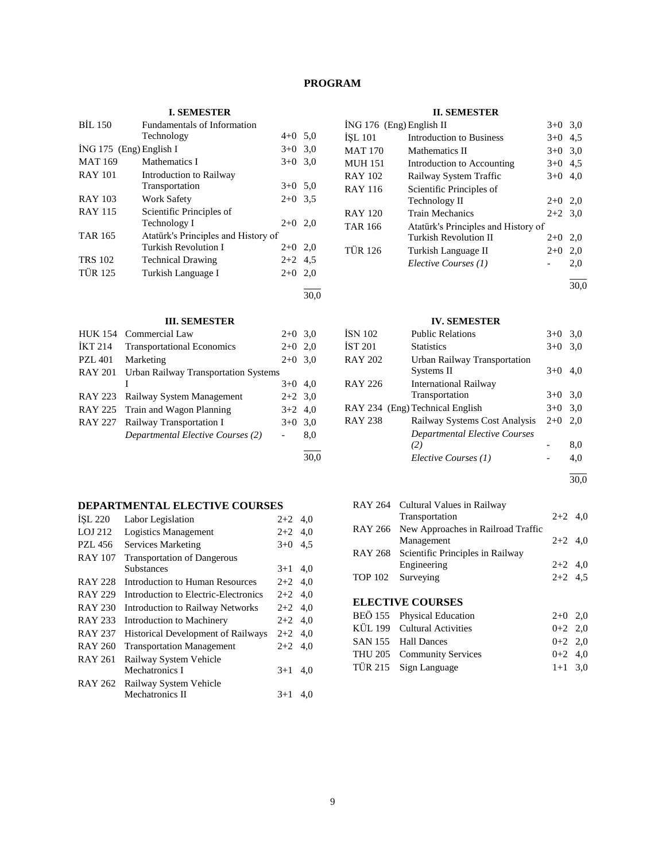# **PROGRAM**

30,0

30,0

# **I. SEMESTER**

| <b>BIL 150</b>          | Fundamentals of Information         |           |     |
|-------------------------|-------------------------------------|-----------|-----|
|                         | Technology                          | $4+0$ 5.0 |     |
| ING 175 (Eng) English I |                                     | $3+0$ 3,0 |     |
| <b>MAT 169</b>          | Mathematics I                       | $3+0$     | 3,0 |
| <b>RAY 101</b>          | Introduction to Railway             |           |     |
|                         | Transportation                      | $3+0$ 5.0 |     |
| <b>RAY 103</b>          | <b>Work Safety</b>                  | $2+0$ 3.5 |     |
| <b>RAY 115</b>          | Scientific Principles of            |           |     |
|                         | Technology I                        | $2+0$ 2.0 |     |
| <b>TAR 165</b>          | Atatürk's Principles and History of |           |     |
|                         | Turkish Revolution I                | $2+0$ 2,0 |     |
| <b>TRS 102</b>          | <b>Technical Drawing</b>            | $2+2$ 4.5 |     |
| <b>TÜR 125</b>          | Turkish Language I                  | $2+0$ 2,0 |     |
|                         |                                     |           |     |

# **III. SEMESTER**

| <b>HUK 154</b> | Commercial Law                              | $2+0$ 3.0 |     |
|----------------|---------------------------------------------|-----------|-----|
| <b>IKT 214</b> | <b>Transportational Economics</b>           | $2+0$     | 2,0 |
| <b>PZL 401</b> | Marketing                                   | $2+0$ 3,0 |     |
| <b>RAY 201</b> | <b>Urban Railway Transportation Systems</b> |           |     |
|                |                                             | $3+0$ 4,0 |     |
|                | RAY 223 Railway System Management           | $2+2$ 3.0 |     |
|                | RAY 225 Train and Wagon Planning            | $3+2$ 4,0 |     |
|                | RAY 227 Railway Transportation I            | $3+0$ 3.0 |     |
|                | Departmental Elective Courses (2)           |           | 8,0 |
|                |                                             |           |     |

# **DEPARTMENTAL ELECTIVE COURSES**

| ISL 220        | Labor Legislation                         | $2+2$     | 4,0 |
|----------------|-------------------------------------------|-----------|-----|
| LOJ 212        | Logistics Management                      | $2+2$ 4,0 |     |
| <b>PZL 456</b> | Services Marketing                        | $3+0$     | 4,5 |
| <b>RAY 107</b> | <b>Transportation of Dangerous</b>        |           |     |
|                | <b>Substances</b>                         | $3+1$     | 4,0 |
| <b>RAY 228</b> | Introduction to Human Resources           | $2+2$ 4,0 |     |
| <b>RAY 229</b> | Introduction to Electric-Electronics      | $2+2$ 4,0 |     |
| <b>RAY 230</b> | <b>Introduction to Railway Networks</b>   | $2+2$ 4.0 |     |
| <b>RAY 233</b> | Introduction to Machinery                 | $2 + 2$   | 4,0 |
| <b>RAY 237</b> | <b>Historical Development of Railways</b> | $2+2$ 4.0 |     |
| RAY 260        | <b>Transportation Management</b>          | $2 + 2$   | 4,0 |
| <b>RAY 261</b> | Railway System Vehicle                    |           |     |
|                | Mechatronics I                            | $3+1$     | 4,0 |
| RAY 262        | Railway System Vehicle                    |           |     |
|                | Mechatronics II                           | $3+1$     | 4.0 |
|                |                                           |           |     |

## **II. SEMESTER**

|                                     | $3+0$ 3,0                  |      |
|-------------------------------------|----------------------------|------|
| Introduction to Business            | $3+0$ 4.5                  |      |
| Mathematics II                      | $3+0$ 3.0                  |      |
| Introduction to Accounting          | $3+0$ 4.5                  |      |
| Railway System Traffic              | $3+0$ 4,0                  |      |
| Scientific Principles of            |                            |      |
| Technology II                       | $2+0$ 2,0                  |      |
| <b>Train Mechanics</b>              | $2+2$ 3.0                  |      |
| Atatürk's Principles and History of |                            |      |
| Turkish Revolution II               | $2+0$                      | 2,0  |
| Turkish Language II                 | $2+0$                      | 2,0  |
| Elective Courses (1)                |                            | 2,0  |
|                                     |                            | 30.0 |
|                                     | $ING 176$ (Eng) English II |      |

#### **IV. SEMESTER**

| ÍSN 102 | <b>Public Relations</b>         | $3+0$ | 3,0 |
|---------|---------------------------------|-------|-----|
| İST 201 | <b>Statistics</b>               | $3+0$ | 3,0 |
| RAY 202 | Urban Railway Transportation    |       |     |
|         | Systems II                      | $3+0$ | 4,0 |
| RAY 226 | <b>International Railway</b>    |       |     |
|         | Transportation                  | $3+0$ | 3,0 |
|         | RAY 234 (Eng) Technical English | $3+0$ | 3,0 |
| RAY 238 | Railway Systems Cost Analysis   | $2+0$ | 2,0 |
|         | Departmental Elective Courses   |       |     |
|         | (2)                             |       | 8,0 |
|         | Elective Courses (1)            |       | 4,0 |
|         |                                 |       |     |

30,0

| RAY 264 Cultural Values in Railway         |           |  |
|--------------------------------------------|-----------|--|
| Transportation                             | $2+2$ 4,0 |  |
| RAY 266 New Approaches in Railroad Traffic |           |  |
| Management                                 | $2+2$ 4,0 |  |
| RAY 268 Scientific Principles in Railway   |           |  |
| Engineering                                | $2+2$ 4,0 |  |
| TOP 102 Surveying                          | $2+2$ 4,5 |  |
| <b>ELECTIVE COURSES</b>                    |           |  |
| BEÖ 155 Physical Education                 | $2+0$ 2.0 |  |

| $DLO$ 199 $\sigma$ 1 Hysical Equivation | $\sim$ $\sim$ $\sim$ $\sim$ $\sim$ |  |
|-----------------------------------------|------------------------------------|--|
| KÜL 199 Cultural Activities             | $0+2$ 2,0                          |  |
| SAN 155 Hall Dances                     | $0+2$ 2,0                          |  |
| THU 205 Community Services              | $0+2$ 4.0                          |  |
| TÜR 215 Sign Language                   | $1+1$ 3,0                          |  |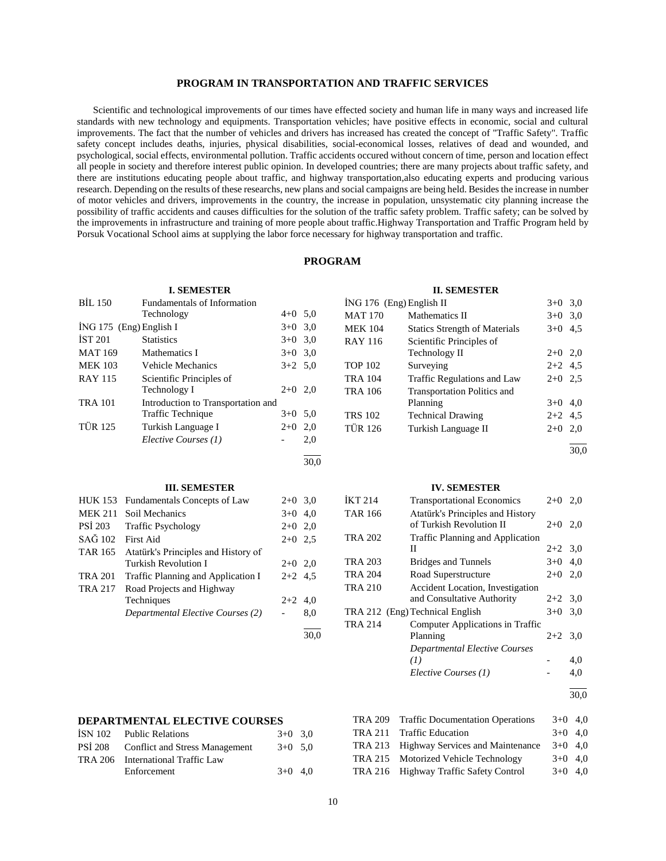# **PROGRAM IN TRANSPORTATION AND TRAFFIC SERVICES**

 Scientific and technological improvements of our times have effected society and human life in many ways and increased life standards with new technology and equipments. Transportation vehicles; have positive effects in economic, social and cultural improvements. The fact that the number of vehicles and drivers has increased has created the concept of "Traffic Safety". Traffic safety concept includes deaths, injuries, physical disabilities, social-economical losses, relatives of dead and wounded, and psychological, social effects, environmental pollution. Traffic accidents occured without concern of time, person and location effect all people in society and therefore interest public opinion. In developed countries; there are many projects about traffic safety, and there are institutions educating people about traffic, and highway transportation,also educating experts and producing various research. Depending on the results of these researchs, new plans and social campaigns are being held. Besides the increase in number of motor vehicles and drivers, improvements in the country, the increase in population, unsystematic city planning increase the possibility of traffic accidents and causes difficulties for the solution of the traffic safety problem. Traffic safety; can be solved by the improvements in infrastructure and training of more people about traffic.Highway Transportation and Traffic Program held by Porsuk Vocational School aims at supplying the labor force necessary for highway transportation and traffic.

#### **PROGRAM**

| <b>I. SEMESTER</b> |                                     |                          |      | <b>II. SEMESTER</b>      |                                         |           |      |
|--------------------|-------------------------------------|--------------------------|------|--------------------------|-----------------------------------------|-----------|------|
| <b>BIL 150</b>     | <b>Fundamentals of Information</b>  |                          |      | İNG 176 (Eng) English II |                                         | $3+0$ 3.0 |      |
|                    | Technology                          | $4+0$ 5,0                |      | <b>MAT 170</b>           | Mathematics II                          | $3+0$ 3.0 |      |
|                    | İNG 175 (Eng) English I             | $3+0$ 3,0                |      | <b>MEK 104</b>           | <b>Statics Strength of Materials</b>    | $3+0$ 4.5 |      |
| <b>İST 201</b>     | <b>Statistics</b>                   | $3+0$                    | 3,0  | <b>RAY 116</b>           | Scientific Principles of                |           |      |
| <b>MAT 169</b>     | Mathematics I                       | $3+0$ 3.0                |      |                          | Technology II                           | $2+0$ 2,0 |      |
| <b>MEK 103</b>     | <b>Vehicle Mechanics</b>            | $3+2$ 5.0                |      | <b>TOP 102</b>           | Surveying                               | $2+2$ 4.5 |      |
| <b>RAY 115</b>     | Scientific Principles of            |                          |      | <b>TRA 104</b>           | Traffic Regulations and Law             | $2+0$ 2.5 |      |
|                    | Technology I                        | $2+0$ 2,0                |      | <b>TRA 106</b>           | <b>Transportation Politics and</b>      |           |      |
| <b>TRA 101</b>     | Introduction to Transportation and  |                          |      |                          | Planning                                | $3+0$ 4,0 |      |
|                    | <b>Traffic Technique</b>            | $3+0$ 5.0                |      | <b>TRS 102</b>           | <b>Technical Drawing</b>                | $2+2$     | 4,5  |
| <b>TÜR 125</b>     | Turkish Language I                  | $2+0$                    | 2,0  | <b>TÜR 126</b>           | Turkish Language II                     | $2+0$     | 2,0  |
|                    | Elective Courses (1)                |                          | 2,0  |                          |                                         |           |      |
|                    |                                     |                          | 30.0 |                          |                                         |           | 30.0 |
|                    |                                     |                          |      |                          |                                         |           |      |
|                    | <b>III. SEMESTER</b>                |                          |      |                          | <b>IV. SEMESTER</b>                     |           |      |
| <b>HUK 153</b>     | Fundamentals Concepts of Law        | $2+0$ 3.0                |      | IKT214                   | <b>Transportational Economics</b>       | $2+0$ 2,0 |      |
| <b>MEK 211</b>     | Soil Mechanics                      | $3+0$ 4,0                |      | <b>TAR 166</b>           | Atatürk's Principles and History        |           |      |
| PSİ 203            | <b>Traffic Psychology</b>           | $2+0$ 2,0                |      |                          | of Turkish Revolution II                | $2+0$ 2.0 |      |
| SAĞ 102            | <b>First Aid</b>                    | $2+0$ 2.5                |      | <b>TRA 202</b>           | Traffic Planning and Application        |           |      |
| <b>TAR 165</b>     | Atatürk's Principles and History of |                          |      |                          | $\mathbf{H}$                            | $2+2$ 3,0 |      |
|                    | <b>Turkish Revolution I</b>         | $2+0$ 2,0                |      | <b>TRA 203</b>           | <b>Bridges and Tunnels</b>              | $3+0$ 4,0 |      |
| <b>TRA 201</b>     | Traffic Planning and Application I  | $2+2$ 4,5                |      | <b>TRA 204</b>           | Road Superstructure                     | $2+0$ 2,0 |      |
| <b>TRA 217</b>     | Road Projects and Highway           |                          |      | <b>TRA 210</b>           | <b>Accident Location, Investigation</b> |           |      |
|                    | Techniques                          | $2+2$ 4,0                |      |                          | and Consultative Authority              | $2+2$ 3,0 |      |
|                    | Departmental Elective Courses (2)   | $\overline{\phantom{a}}$ | 8,0  |                          | TRA 212 (Eng) Technical English         | $3+0$ 3,0 |      |
|                    |                                     |                          |      | <b>TRA 214</b>           | Computer Applications in Traffic        |           |      |
|                    |                                     |                          | 30.0 |                          | Planning                                | $2+2$ 3,0 |      |

#### l  $\frac{1}{30.0}$

# **DEPARTMENTAL ELECTIVE COURSES**

| ISN 102 Public Relations               | $3+0$ 3.0 |  |
|----------------------------------------|-----------|--|
| PSİ 208 Conflict and Stress Management | $3+0$ 5.0 |  |
| TRA 206 International Traffic Law      |           |  |
| Enforcement                            | $3+0$ 4.0 |  |
|                                        |           |  |

| TRA 209 Traffic Documentation Operations | $3+0$ 4,0 |  |
|------------------------------------------|-----------|--|
| TRA 211 Traffic Education                | $3+0$ 4.0 |  |
| TRA 213 Highway Services and Maintenance | $3+0$ 4.0 |  |
| TRA 215 Motorized Vehicle Technology     | $3+0$ 4.0 |  |
| TRA 216 Highway Traffic Safety Control   | $3+0$ 4.0 |  |
|                                          |           |  |

*Departmental Elective Courses* 

*(1)* - 4,0 *Elective Courses (1)* - 4,0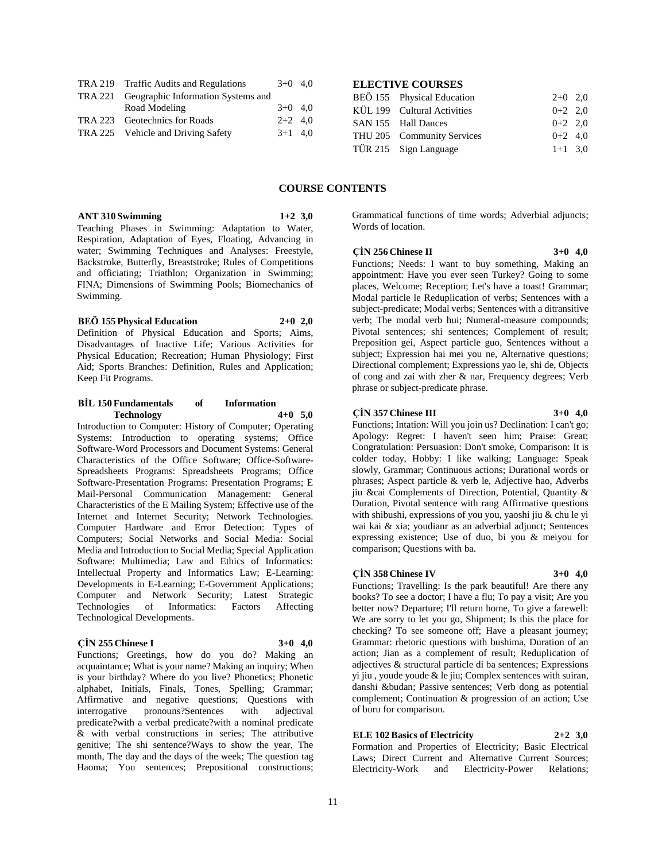| TRA 219 Traffic Audits and Regulations     | $3+0$ 4.0 |  |
|--------------------------------------------|-----------|--|
| TRA 221 Geographic Information Systems and |           |  |
| Road Modeling                              | $3+0$ 4.0 |  |
| TRA 223 Geotechnics for Roads              | $2+2$ 4.0 |  |
| TRA 225 Vehicle and Driving Safety         | $3+1$ 4.0 |  |
|                                            |           |  |

## **ELECTIVE COURSES**

| BEÖ 155 Physical Education  | $2+0$ 2,0 |  |
|-----------------------------|-----------|--|
| KÜL 199 Cultural Activities | $0+2$ 2.0 |  |
| SAN 155 Hall Dances         | $0+2$ 2.0 |  |
| THU 205 Community Services  | $0+2$ 4.0 |  |
| TÜR 215 Sign Language       | $1+1$ 3.0 |  |

### **COURSE CONTENTS**

**ANT 310 Swimming 1+2 3,0**

Teaching Phases in Swimming: Adaptation to Water, Respiration, Adaptation of Eyes, Floating, Advancing in water; Swimming Techniques and Analyses: Freestyle, Backstroke, Butterfly, Breaststroke; Rules of Competitions and officiating; Triathlon; Organization in Swimming; FINA; Dimensions of Swimming Pools; Biomechanics of Swimming.

**BEÖ 155 Physical Education 2+0 2,0** Definition of Physical Education and Sports; Aims, Disadvantages of Inactive Life; Various Activities for Physical Education; Recreation; Human Physiology; First Aid; Sports Branches: Definition, Rules and Application; Keep Fit Programs.

#### **BİL 150 Fundamentals of Information Technology 4+0 5,0**

Introduction to Computer: History of Computer; Operating Systems: Introduction to operating systems; Office Software-Word Processors and Document Systems: General Characteristics of the Office Software; Office-Software-Spreadsheets Programs: Spreadsheets Programs; Office Software-Presentation Programs: Presentation Programs; E Mail-Personal Communication Management: General Characteristics of the E Mailing System; Effective use of the Internet and Internet Security; Network Technologies. Computer Hardware and Error Detection: Types of Computers; Social Networks and Social Media: Social Media and Introduction to Social Media; Special Application Software: Multimedia; Law and Ethics of Informatics: Intellectual Property and Informatics Law; E-Learning: Developments in E-Learning; E-Government Applications; Computer and Network Security; Latest Strategic Technologies of Informatics: Factors Affecting Technological Developments.

#### **ÇİN 255 Chinese I 3+0 4,0**

Functions; Greetings, how do you do? Making an acquaintance; What is your name? Making an inquiry; When is your birthday? Where do you live? Phonetics; Phonetic alphabet, Initials, Finals, Tones, Spelling; Grammar; Affirmative and negative questions; Questions with interrogative pronouns?Sentences with adjectival predicate?with a verbal predicate?with a nominal predicate & with verbal constructions in series; The attributive genitive; The shi sentence?Ways to show the year, The month, The day and the days of the week; The question tag Haoma; You sentences; Prepositional constructions; Grammatical functions of time words; Adverbial adjuncts; Words of location.

**ÇİN 256 Chinese II 3+0 4,0**

Functions; Needs: I want to buy something, Making an appointment: Have you ever seen Turkey? Going to some places, Welcome; Reception; Let's have a toast! Grammar; Modal particle le Reduplication of verbs; Sentences with a subject-predicate; Modal verbs; Sentences with a ditransitive verb; The modal verb hui; Numeral-measure compounds; Pivotal sentences; shi sentences; Complement of result; Preposition gei, Aspect particle guo, Sentences without a subject; Expression hai mei you ne, Alternative questions; Directional complement; Expressions yao le, shi de, Objects of cong and zai with zher & nar, Frequency degrees; Verb phrase or subject-predicate phrase.

### **ÇİN 357 Chinese III 3+0 4,0**

Functions; Intation: Will you join us? Declination: I can't go; Apology: Regret: I haven't seen him; Praise: Great; Congratulation: Persuasion: Don't smoke, Comparison: It is colder today, Hobby: I like walking; Language: Speak slowly, Grammar; Continuous actions; Durational words or phrases; Aspect particle & verb le, Adjective hao, Adverbs jiu &cai Complements of Direction, Potential, Quantity & Duration, Pivotal sentence with rang Affirmative questions with shibushi, expressions of you you, yaoshi jiu & chu le yi wai kai & xia; youdianr as an adverbial adjunct; Sentences expressing existence; Use of duo, bi you & meiyou for comparison; Questions with ba.

#### **ÇİN 358 Chinese IV 3+0 4,0**

Functions; Travelling: Is the park beautiful! Are there any books? To see a doctor; I have a flu; To pay a visit; Are you better now? Departure; I'll return home, To give a farewell: We are sorry to let you go, Shipment; Is this the place for checking? To see someone off; Have a pleasant journey; Grammar: rhetoric questions with bushima, Duration of an action; Jian as a complement of result; Reduplication of adjectives & structural particle di ba sentences; Expressions yi jiu , youde youde & le jiu; Complex sentences with suiran, danshi &budan; Passive sentences; Verb dong as potential complement; Continuation & progression of an action; Use of buru for comparison.

## **ELE 102 Basics of Electricity 2+2 3,0**

Formation and Properties of Electricity; Basic Electrical Laws; Direct Current and Alternative Current Sources; Electricity-Work and Electricity-Power Relations;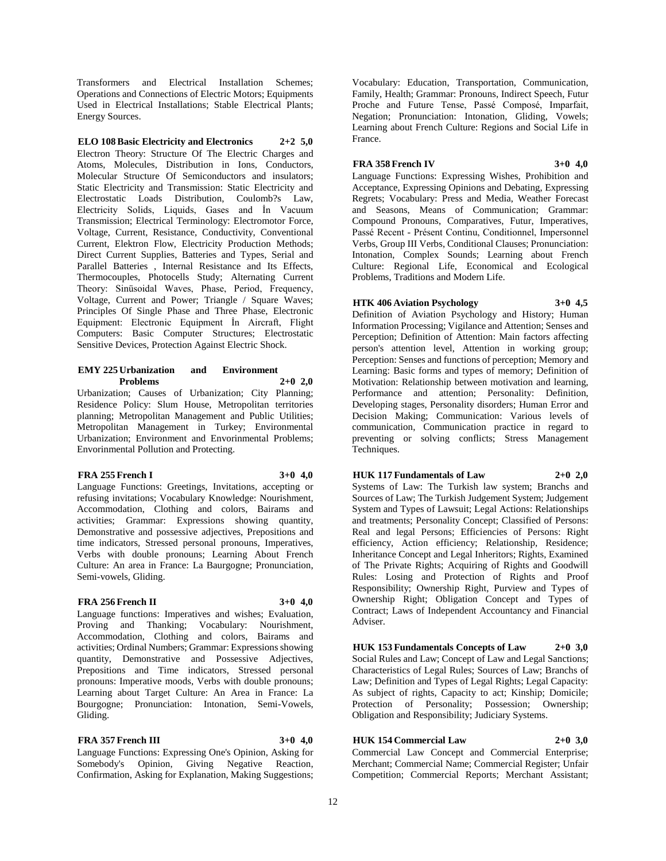Transformers and Electrical Installation Schemes; Operations and Connections of Electric Motors; Equipments Used in Electrical Installations; Stable Electrical Plants; Energy Sources.

**ELO 108 Basic Electricity and Electronics 2+2 5,0** Electron Theory: Structure Of The Electric Charges and Atoms, Molecules, Distribution in Ions, Conductors, Molecular Structure Of Semiconductors and insulators; Static Electricity and Transmission: Static Electricity and Electrostatic Loads Distribution, Coulomb?s Law, Electricity Solids, Liquids, Gases and İn Vacuum Transmission; Electrical Terminology: Electromotor Force, Voltage, Current, Resistance, Conductivity, Conventional Current, Elektron Flow, Electricity Production Methods; Direct Current Supplies, Batteries and Types, Serial and Parallel Batteries , Internal Resistance and Its Effects, Thermocouples, Photocells Study; Alternating Current Theory: Sinüsoidal Waves, Phase, Period, Frequency, Voltage, Current and Power; Triangle / Square Waves; Principles Of Single Phase and Three Phase, Electronic Equipment: Electronic Equipment İn Aircraft, Flight Computers: Basic Computer Structures; Electrostatic Sensitive Devices, Protection Against Electric Shock.

#### **EMY 225 Urbanization and Environment Problems 2+0 2,0**

Urbanization; Causes of Urbanization; City Planning; Residence Policy: Slum House, Metropolitan territories planning; Metropolitan Management and Public Utilities; Metropolitan Management in Turkey; Environmental Urbanization; Environment and Envorinmental Problems; Envorinmental Pollution and Protecting.

#### **FRA 255 French I 3+0 4,0**

Language Functions: Greetings, Invitations, accepting or refusing invitations; Vocabulary Knowledge: Nourishment, Accommodation, Clothing and colors, Bairams and activities; Grammar: Expressions showing quantity, Demonstrative and possessive adjectives, Prepositions and time indicators, Stressed personal pronouns, Imperatives, Verbs with double pronouns; Learning About French Culture: An area in France: La Baurgogne; Pronunciation, Semi-vowels, Gliding.

# **FRA 256 French II 3+0 4,0**

Language functions: Imperatives and wishes; Evaluation, Proving and Thanking; Vocabulary: Nourishment, Accommodation, Clothing and colors, Bairams and activities; Ordinal Numbers; Grammar: Expressions showing quantity, Demonstrative and Possessive Adjectives, Prepositions and Time indicators, Stressed personal pronouns: Imperative moods, Verbs with double pronouns; Learning about Target Culture: An Area in France: La Bourgogne; Pronunciation: Intonation, Semi-Vowels, Gliding.

# **FRA 357 French III 3+0 4,0**

Language Functions: Expressing One's Opinion, Asking for Somebody's Opinion, Giving Negative Reaction, Confirmation, Asking for Explanation, Making Suggestions;

Vocabulary: Education, Transportation, Communication, Family, Health; Grammar: Pronouns, Indirect Speech, Futur Proche and Future Tense, Passé Composé, Imparfait, Negation; Pronunciation: Intonation, Gliding, Vowels; Learning about French Culture: Regions and Social Life in France.

# **FRA 358 French IV 3+0 4,0**

Language Functions: Expressing Wishes, Prohibition and Acceptance, Expressing Opinions and Debating, Expressing Regrets; Vocabulary: Press and Media, Weather Forecast and Seasons, Means of Communication; Grammar: Compound Pronouns, Comparatives, Futur, Imperatives, Passé Recent - Présent Continu, Conditionnel, Impersonnel Verbs, Group III Verbs, Conditional Clauses; Pronunciation: Intonation, Complex Sounds; Learning about French Culture: Regional Life, Economical and Ecological Problems, Traditions and Modern Life.

# **HTK 406 Aviation Psychology 3+0 4,5**

Definition of Aviation Psychology and History; Human Information Processing; Vigilance and Attention; Senses and Perception; Definition of Attention: Main factors affecting person's attention level, Attention in working group; Perception: Senses and functions of perception; Memory and Learning: Basic forms and types of memory; Definition of Motivation: Relationship between motivation and learning, Performance and attention; Personality: Definition, Developing stages, Personality disorders; Human Error and Decision Making; Communication: Various levels of communication, Communication practice in regard to preventing or solving conflicts; Stress Management Techniques.

# **HUK 117 Fundamentals of Law 2+0 2,0**

Systems of Law: The Turkish law system; Branchs and Sources of Law; The Turkish Judgement System; Judgement System and Types of Lawsuit; Legal Actions: Relationships and treatments; Personality Concept; Classified of Persons: Real and legal Persons; Efficiencies of Persons: Right efficiency, Action efficiency; Relationship, Residence; Inheritance Concept and Legal Inheritors; Rights, Examined of The Private Rights; Acquiring of Rights and Goodwill Rules: Losing and Protection of Rights and Proof Responsibility; Ownership Right, Purview and Types of Ownership Right; Obligation Concept and Types of Contract; Laws of Independent Accountancy and Financial Adviser.

**HUK 153 Fundamentals Concepts of Law 2+0 3,0** Social Rules and Law; Concept of Law and Legal Sanctions; Characteristics of Legal Rules; Sources of Law; Branchs of Law; Definition and Types of Legal Rights; Legal Capacity: As subject of rights, Capacity to act; Kinship; Domicile; Protection of Personality; Possession; Ownership; Obligation and Responsibility; Judiciary Systems.

# **HUK 154 Commercial Law 2+0 3,0**

Commercial Law Concept and Commercial Enterprise; Merchant; Commercial Name; Commercial Register; Unfair Competition; Commercial Reports; Merchant Assistant;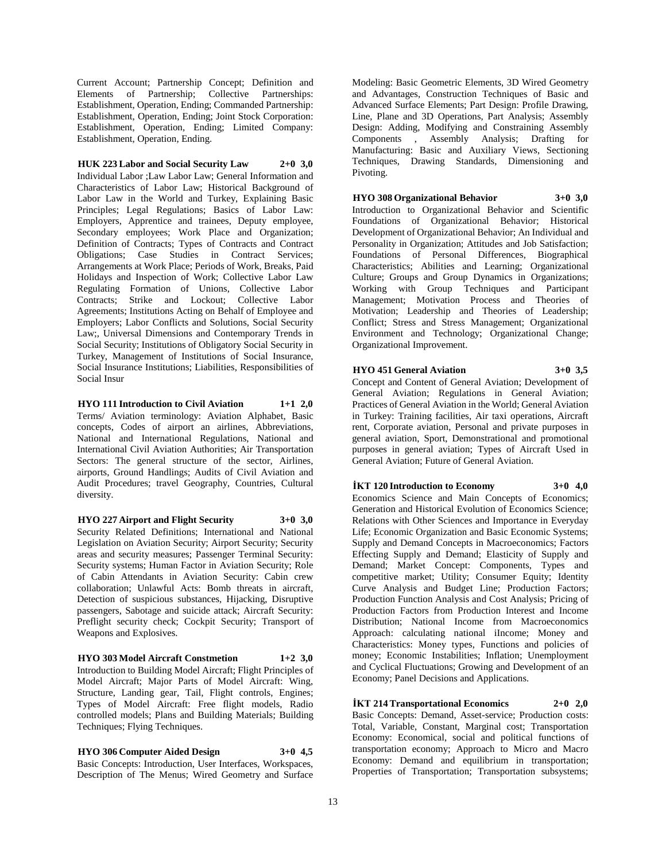Current Account; Partnership Concept; Definition and Elements of Partnership; Collective Partnerships: Establishment, Operation, Ending; Commanded Partnership: Establishment, Operation, Ending; Joint Stock Corporation: Establishment, Operation, Ending; Limited Company: Establishment, Operation, Ending.

**HUK 223 Labor and Social Security Law 2+0 3,0** Individual Labor ;Law Labor Law; General Information and Characteristics of Labor Law; Historical Background of Labor Law in the World and Turkey, Explaining Basic Principles; Legal Regulations; Basics of Labor Law: Employers, Apprentice and trainees, Deputy employee, Secondary employees; Work Place and Organization; Definition of Contracts; Types of Contracts and Contract Obligations; Case Studies in Contract Services; Arrangements at Work Place; Periods of Work, Breaks, Paid Holidays and Inspection of Work; Collective Labor Law Regulating Formation of Unions, Collective Labor Contracts; Strike and Lockout; Collective Labor Agreements; Institutions Acting on Behalf of Employee and Employers; Labor Conflicts and Solutions, Social Security Law;, Universal Dimensions and Contemporary Trends in Social Security; Institutions of Obligatory Social Security in Turkey, Management of Institutions of Social Insurance, Social Insurance Institutions; Liabilities, Responsibilities of Social Insur

**HYO 111 Introduction to Civil Aviation 1+1 2,0** Terms/ Aviation terminology: Aviation Alphabet, Basic concepts, Codes of airport an airlines, Abbreviations, National and International Regulations, National and International Civil Aviation Authorities; Air Transportation Sectors: The general structure of the sector, Airlines, airports, Ground Handlings; Audits of Civil Aviation and Audit Procedures; travel Geography, Countries, Cultural diversity.

**HYO 227 Airport and Flight Security 3+0 3,0** Security Related Definitions; International and National Legislation on Aviation Security; Airport Security; Security areas and security measures; Passenger Terminal Security: Security systems; Human Factor in Aviation Security; Role of Cabin Attendants in Aviation Security: Cabin crew collaboration; Unlawful Acts: Bomb threats in aircraft, Detection of suspicious substances, Hijacking, Disruptive passengers, Sabotage and suicide attack; Aircraft Security: Preflight security check; Cockpit Security; Transport of Weapons and Explosives.

**HYO 303 Model Aircraft Constmetion 1+2 3,0** Introduction to Building Model Aircraft; Flight Principles of Model Aircraft; Major Parts of Model Aircraft: Wing, Structure, Landing gear, Tail, Flight controls, Engines; Types of Model Aircraft: Free flight models, Radio controlled models; Plans and Building Materials; Building Techniques; Flying Techniques.

**HYO 306 Computer Aided Design 3+0 4,5** Basic Concepts: Introduction, User Interfaces, Workspaces, Description of The Menus; Wired Geometry and Surface Modeling: Basic Geometric Elements, 3D Wired Geometry and Advantages, Construction Techniques of Basic and Advanced Surface Elements; Part Design: Profile Drawing, Line, Plane and 3D Operations, Part Analysis; Assembly Design: Adding, Modifying and Constraining Assembly Components , Assembly Analysis; Drafting for Manufacturing: Basic and Auxiliary Views, Sectioning Techniques, Drawing Standards, Dimensioning and Pivoting.

**HYO 308 Organizational Behavior 3+0 3,0** Introduction to Organizational Behavior and Scientific Foundations of Organizational Behavior; Historical Development of Organizational Behavior; An Individual and Personality in Organization; Attitudes and Job Satisfaction; Foundations of Personal Differences, Biographical Characteristics; Abilities and Learning; Organizational Culture; Groups and Group Dynamics in Organizations; Working with Group Techniques and Participant Management; Motivation Process and Theories of Motivation; Leadership and Theories of Leadership; Conflict; Stress and Stress Management; Organizational Environment and Technology; Organizational Change;

## **HYO 451 General Aviation 3+0 3,5**

Concept and Content of General Aviation; Development of General Aviation; Regulations in General Aviation; Practices of General Aviation in the World; General Aviation in Turkey: Training facilities, Air taxi operations, Aircraft rent, Corporate aviation, Personal and private purposes in general aviation, Sport, Demonstrational and promotional purposes in general aviation; Types of Aircraft Used in General Aviation; Future of General Aviation.

#### **İKT 120 Introduction to Economy 3+0 4,0**

Organizational Improvement.

Economics Science and Main Concepts of Economics; Generation and Historical Evolution of Economics Science; Relations with Other Sciences and Importance in Everyday Life; Economic Organization and Basic Economic Systems; Supply and Demand Concepts in Macroeconomics; Factors Effecting Supply and Demand; Elasticity of Supply and Demand; Market Concept: Components, Types and competitive market; Utility; Consumer Equity; Identity Curve Analysis and Budget Line; Production Factors; Production Function Analysis and Cost Analysis; Pricing of Production Factors from Production Interest and Income Distribution; National Income from Macroeconomics Approach: calculating national iIncome; Money and Characteristics: Money types, Functions and policies of money; Economic Instabilities; Inflation; Unemployment and Cyclical Fluctuations; Growing and Development of an Economy; Panel Decisions and Applications.

**İKT 214 Transportational Economics 2+0 2,0** Basic Concepts: Demand, Asset-service; Production costs: Total, Variable, Constant, Marginal cost; Transportation Economy: Economical, social and political functions of transportation economy; Approach to Micro and Macro Economy: Demand and equilibrium in transportation; Properties of Transportation; Transportation subsystems;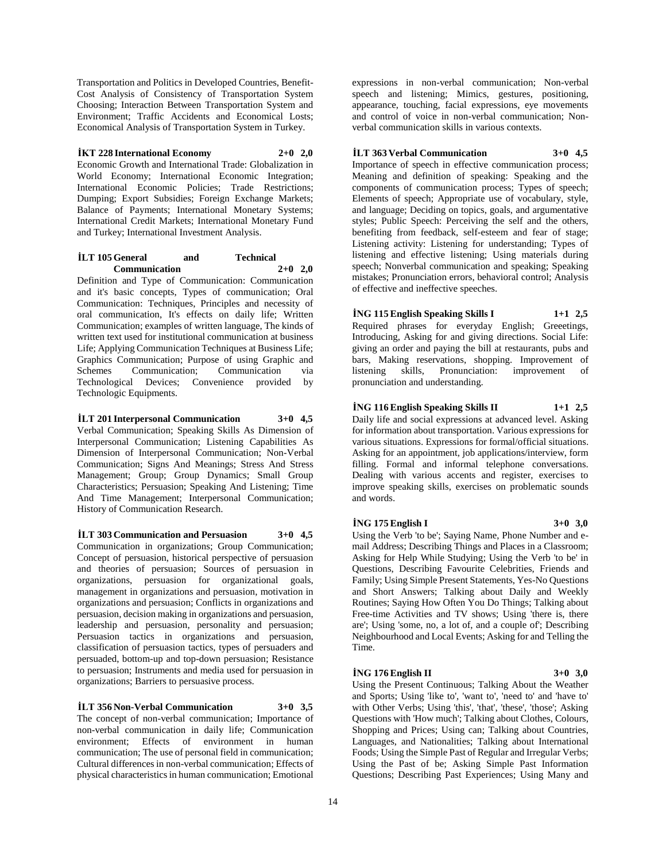Transportation and Politics in Developed Countries, Benefit-Cost Analysis of Consistency of Transportation System Choosing; Interaction Between Transportation System and Environment; Traffic Accidents and Economical Losts; Economical Analysis of Transportation System in Turkey.

**İKT 228 International Economy 2+0 2,0** Economic Growth and International Trade: Globalization in World Economy; International Economic Integration; International Economic Policies; Trade Restrictions; Dumping; Export Subsidies; Foreign Exchange Markets; Balance of Payments; International Monetary Systems; International Credit Markets; International Monetary Fund and Turkey; International Investment Analysis.

# **İLT 105 General and Technical Communication 2+0 2,0**

Definition and Type of Communication: Communication and it's basic concepts, Types of communication; Oral Communication: Techniques, Principles and necessity of oral communication, It's effects on daily life; Written Communication; examples of written language, The kinds of written text used for institutional communication at business Life; Applying Communication Techniques at Business Life; Graphics Communication; Purpose of using Graphic and Schemes Communication; Communication via Technological Devices; Convenience provided by Technologic Equipments.

**İLT 201 Interpersonal Communication 3+0 4,5** Verbal Communication; Speaking Skills As Dimension of Interpersonal Communication; Listening Capabilities As Dimension of Interpersonal Communication; Non-Verbal Communication; Signs And Meanings; Stress And Stress Management; Group; Group Dynamics; Small Group Characteristics; Persuasion; Speaking And Listening; Time And Time Management; Interpersonal Communication; History of Communication Research.

**İLT 303 Communication and Persuasion 3+0 4,5** Communication in organizations; Group Communication; Concept of persuasion, historical perspective of persuasion and theories of persuasion; Sources of persuasion in organizations, persuasion for organizational goals, management in organizations and persuasion, motivation in organizations and persuasion; Conflicts in organizations and persuasion, decision making in organizations and persuasion, leadership and persuasion, personality and persuasion; Persuasion tactics in organizations and persuasion, classification of persuasion tactics, types of persuaders and persuaded, bottom-up and top-down persuasion; Resistance to persuasion; Instruments and media used for persuasion in organizations; Barriers to persuasive process.

# **İLT 356 Non-Verbal Communication 3+0 3,5**

The concept of non-verbal communication; Importance of non-verbal communication in daily life; Communication environment; Effects of environment in human communication; The use of personal field in communication; Cultural differences in non-verbal communication; Effects of physical characteristics in human communication; Emotional

expressions in non-verbal communication; Non-verbal speech and listening; Mimics, gestures, positioning, appearance, touching, facial expressions, eye movements and control of voice in non-verbal communication; Nonverbal communication skills in various contexts.

# **İLT 363 Verbal Communication 3+0 4,5**

Importance of speech in effective communication process; Meaning and definition of speaking: Speaking and the components of communication process; Types of speech; Elements of speech; Appropriate use of vocabulary, style, and language; Deciding on topics, goals, and argumentative styles; Public Speech: Perceiving the self and the others, benefiting from feedback, self-esteem and fear of stage; Listening activity: Listening for understanding; Types of listening and effective listening; Using materials during speech; Nonverbal communication and speaking; Speaking mistakes; Pronunciation errors, behavioral control; Analysis of effective and ineffective speeches.

## **İNG 115 English Speaking Skills I 1+1 2,5**

Required phrases for everyday English; Greeetings, Introducing, Asking for and giving directions. Social Life: giving an order and paying the bill at restaurants, pubs and bars, Making reservations, shopping. Improvement of listening skills, Pronunciation: improvement of pronunciation and understanding.

#### **İNG 116 English Speaking Skills II 1+1 2,5**

Daily life and social expressions at advanced level. Asking for information about transportation. Various expressions for various situations. Expressions for formal/official situations. Asking for an appointment, job applications/interview, form filling. Formal and informal telephone conversations. Dealing with various accents and register, exercises to improve speaking skills, exercises on problematic sounds and words.

# **İNG 175 English I 3+0 3,0**

Using the Verb 'to be'; Saying Name, Phone Number and email Address; Describing Things and Places in a Classroom; Asking for Help While Studying; Using the Verb 'to be' in Questions, Describing Favourite Celebrities, Friends and Family; Using Simple Present Statements, Yes-No Questions and Short Answers; Talking about Daily and Weekly Routines; Saying How Often You Do Things; Talking about Free-time Activities and TV shows; Using 'there is, there are'; Using 'some, no, a lot of, and a couple of'; Describing Neighbourhood and Local Events; Asking for and Telling the Time.

# **İNG 176 English II 3+0 3,0**

Using the Present Continuous; Talking About the Weather and Sports; Using 'like to', 'want to', 'need to' and 'have to' with Other Verbs; Using 'this', 'that', 'these', 'those'; Asking Questions with 'How much'; Talking about Clothes, Colours, Shopping and Prices; Using can; Talking about Countries, Languages, and Nationalities; Talking about International Foods; Using the Simple Past of Regular and Irregular Verbs; Using the Past of be; Asking Simple Past Information Questions; Describing Past Experiences; Using Many and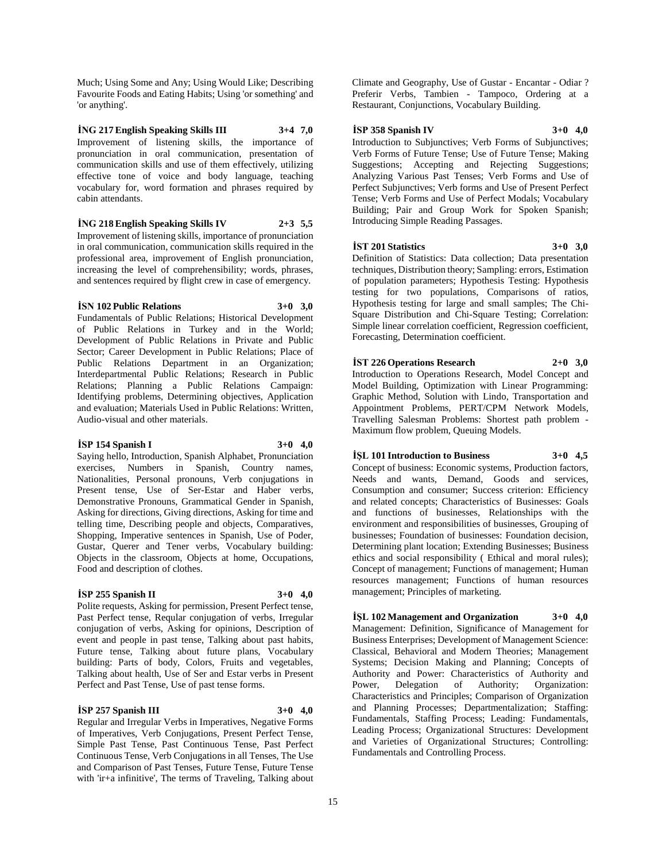Much; Using Some and Any; Using Would Like; Describing Favourite Foods and Eating Habits; Using 'or something' and 'or anything'.

**İNG 217 English Speaking Skills III 3+4 7,0** Improvement of listening skills, the importance of pronunciation in oral communication, presentation of communication skills and use of them effectively, utilizing effective tone of voice and body language, teaching vocabulary for, word formation and phrases required by cabin attendants.

# **İNG 218 English Speaking Skills IV 2+3 5,5**

Improvement of listening skills, importance of pronunciation in oral communication, communication skills required in the professional area, improvement of English pronunciation, increasing the level of comprehensibility; words, phrases, and sentences required by flight crew in case of emergency.

#### **İSN 102 Public Relations 3+0 3,0**

Fundamentals of Public Relations; Historical Development of Public Relations in Turkey and in the World; Development of Public Relations in Private and Public Sector; Career Development in Public Relations; Place of Public Relations Department in an Organization; Interdepartmental Public Relations; Research in Public Relations; Planning a Public Relations Campaign: Identifying problems, Determining objectives, Application and evaluation; Materials Used in Public Relations: Written, Audio-visual and other materials.

#### **İSP 154 Spanish I 3+0 4,0**

Saying hello, Introduction, Spanish Alphabet, Pronunciation exercises, Numbers in Spanish, Country names, Nationalities, Personal pronouns, Verb conjugations in Present tense, Use of Ser-Estar and Haber verbs, Demonstrative Pronouns, Grammatical Gender in Spanish, Asking for directions, Giving directions, Asking for time and telling time, Describing people and objects, Comparatives, Shopping, Imperative sentences in Spanish, Use of Poder, Gustar, Querer and Tener verbs, Vocabulary building: Objects in the classroom, Objects at home, Occupations, Food and description of clothes.

# **İSP 255 Spanish II 3+0 4,0**

Polite requests, Asking for permission, Present Perfect tense, Past Perfect tense, Reqular conjugation of verbs, Irregular conjugation of verbs, Asking for opinions, Description of event and people in past tense, Talking about past habits, Future tense, Talking about future plans, Vocabulary building: Parts of body, Colors, Fruits and vegetables, Talking about health, Use of Ser and Estar verbs in Present Perfect and Past Tense, Use of past tense forms.

#### **İSP 257 Spanish III 3+0 4,0**

Regular and Irregular Verbs in Imperatives, Negative Forms of Imperatives, Verb Conjugations, Present Perfect Tense, Simple Past Tense, Past Continuous Tense, Past Perfect Continuous Tense, Verb Conjugations in all Tenses, The Use and Comparison of Past Tenses, Future Tense, Future Tense with 'ir+a infinitive', The terms of Traveling, Talking about

Climate and Geography, Use of Gustar - Encantar - Odiar ? Preferir Verbs, Tambien - Tampoco, Ordering at a Restaurant, Conjunctions, Vocabulary Building.

#### **İSP 358 Spanish IV 3+0 4,0**

Introduction to Subjunctives; Verb Forms of Subjunctives; Verb Forms of Future Tense; Use of Future Tense; Making Suggestions; Accepting and Rejecting Suggestions; Analyzing Various Past Tenses; Verb Forms and Use of Perfect Subjunctives; Verb forms and Use of Present Perfect Tense; Verb Forms and Use of Perfect Modals; Vocabulary Building; Pair and Group Work for Spoken Spanish; Introducing Simple Reading Passages.

## **İST 201 Statistics 3+0 3,0**

Definition of Statistics: Data collection; Data presentation techniques, Distribution theory; Sampling: errors, Estimation of population parameters; Hypothesis Testing: Hypothesis testing for two populations, Comparisons of ratios, Hypothesis testing for large and small samples; The Chi-Square Distribution and Chi-Square Testing; Correlation: Simple linear correlation coefficient, Regression coefficient, Forecasting, Determination coefficient.

#### **İST 226 Operations Research 2+0 3,0**

Introduction to Operations Research, Model Concept and Model Building, Optimization with Linear Programming: Graphic Method, Solution with Lindo, Transportation and Appointment Problems, PERT/CPM Network Models, Travelling Salesman Problems: Shortest path problem - Maximum flow problem, Queuing Models.

# **İŞL 101 Introduction to Business 3+0 4,5**

Concept of business: Economic systems, Production factors, Needs and wants, Demand, Goods and services, Consumption and consumer; Success criterion: Efficiency and related concepts; Characteristics of Businesses: Goals and functions of businesses, Relationships with the environment and responsibilities of businesses, Grouping of businesses; Foundation of businesses: Foundation decision, Determining plant location; Extending Businesses; Business ethics and social responsibility ( Ethical and moral rules); Concept of management; Functions of management; Human resources management; Functions of human resources management; Principles of marketing.

# **İŞL 102 Management and Organization 3+0 4,0**

Management: Definition, Significance of Management for Business Enterprises; Development of Management Science: Classical, Behavioral and Modern Theories; Management Systems; Decision Making and Planning; Concepts of Authority and Power: Characteristics of Authority and Power, Delegation of Authority; Organization: Characteristics and Principles; Comparison of Organization and Planning Processes; Departmentalization; Staffing: Fundamentals, Staffing Process; Leading: Fundamentals, Leading Process; Organizational Structures: Development and Varieties of Organizational Structures; Controlling: Fundamentals and Controlling Process.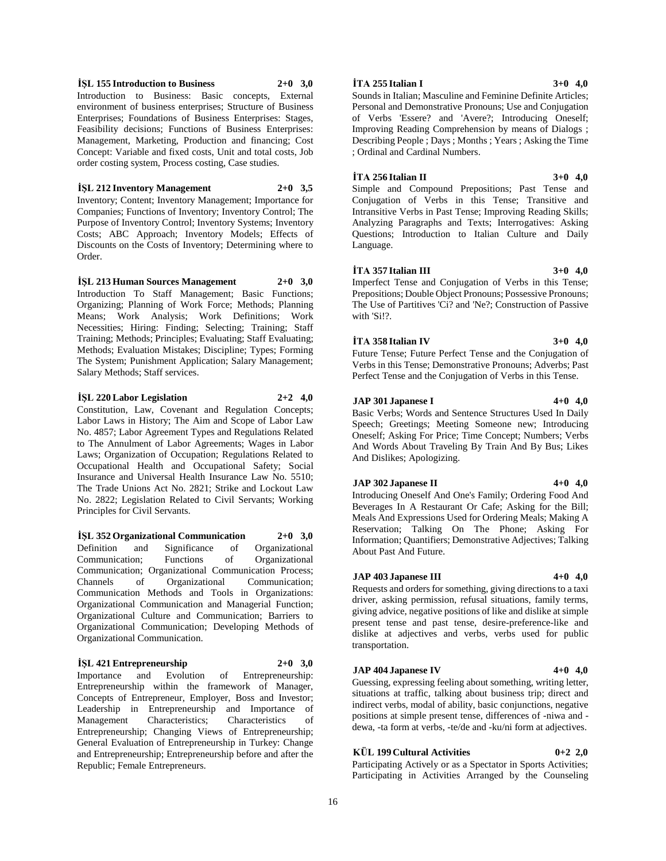# **İŞL 155 Introduction to Business 2+0 3,0**

Introduction to Business: Basic concepts, External environment of business enterprises; Structure of Business Enterprises; Foundations of Business Enterprises: Stages, Feasibility decisions; Functions of Business Enterprises: Management, Marketing, Production and financing; Cost Concept: Variable and fixed costs, Unit and total costs, Job order costing system, Process costing, Case studies.

#### **İŞL 212 Inventory Management 2+0 3,5**

Inventory; Content; Inventory Management; Importance for Companies; Functions of Inventory; Inventory Control; The Purpose of Inventory Control; Inventory Systems; Inventory Costs; ABC Approach; Inventory Models; Effects of Discounts on the Costs of Inventory; Determining where to Order.

**İŞL 213 Human Sources Management 2+0 3,0** Introduction To Staff Management; Basic Functions; Organizing; Planning of Work Force; Methods; Planning Means; Work Analysis; Work Definitions; Work Necessities; Hiring: Finding; Selecting; Training; Staff Training; Methods; Principles; Evaluating; Staff Evaluating; Methods; Evaluation Mistakes; Discipline; Types; Forming The System; Punishment Application; Salary Management; Salary Methods; Staff services.

#### **İŞL 220 Labor Legislation 2+2 4,0**

Constitution, Law, Covenant and Regulation Concepts; Labor Laws in History; The Aim and Scope of Labor Law No. 4857; Labor Agreement Types and Regulations Related to The Annulment of Labor Agreements; Wages in Labor Laws; Organization of Occupation; Regulations Related to Occupational Health and Occupational Safety; Social Insurance and Universal Health Insurance Law No. 5510; The Trade Unions Act No. 2821; Strike and Lockout Law No. 2822; Legislation Related to Civil Servants; Working Principles for Civil Servants.

**İŞL 352 Organizational Communication 2+0 3,0** Definition and Significance of Organizational Communication; Functions of Organizational Communication; Organizational Communication Process; Channels of Organizational Communication; Communication Methods and Tools in Organizations: Organizational Communication and Managerial Function; Organizational Culture and Communication; Barriers to Organizational Communication; Developing Methods of Organizational Communication.

# **İŞL 421 Entrepreneurship 2+0 3,0**

Importance and Evolution of Entrepreneurship: Entrepreneurship within the framework of Manager, Concepts of Entrepreneur, Employer, Boss and Investor; Leadership in Entrepreneurship and Importance of Management Characteristics; Characteristics of Entrepreneurship; Changing Views of Entrepreneurship; General Evaluation of Entrepreneurship in Turkey: Change and Entrepreneurship; Entrepreneurship before and after the Republic; Female Entrepreneurs.

#### **İTA 255 Italian I 3+0 4,0**

Sounds in Italian; Masculine and Feminine Definite Articles; Personal and Demonstrative Pronouns; Use and Conjugation of Verbs 'Essere? and 'Avere?; Introducing Oneself; Improving Reading Comprehension by means of Dialogs ; Describing People ; Days ; Months ; Years ; Asking the Time ; Ordinal and Cardinal Numbers.

#### **İTA 256 Italian II 3+0 4,0**

Simple and Compound Prepositions; Past Tense and Conjugation of Verbs in this Tense; Transitive and Intransitive Verbs in Past Tense; Improving Reading Skills; Analyzing Paragraphs and Texts; Interrogatives: Asking Questions; Introduction to Italian Culture and Daily Language.

#### **İTA 357 Italian III 3+0 4,0**

Imperfect Tense and Conjugation of Verbs in this Tense; Prepositions; Double Object Pronouns; Possessive Pronouns; The Use of Partitives 'Ci? and 'Ne?; Construction of Passive with 'Si!?.

#### **İTA 358 Italian IV 3+0 4,0**

Future Tense; Future Perfect Tense and the Conjugation of Verbs in this Tense; Demonstrative Pronouns; Adverbs; Past Perfect Tense and the Conjugation of Verbs in this Tense.

#### **JAP 301 Japanese I 4+0 4,0**

Basic Verbs; Words and Sentence Structures Used In Daily Speech; Greetings; Meeting Someone new; Introducing Oneself; Asking For Price; Time Concept; Numbers; Verbs And Words About Traveling By Train And By Bus; Likes And Dislikes; Apologizing.

#### **JAP 302 Japanese II 4+0 4,0**

Introducing Oneself And One's Family; Ordering Food And Beverages In A Restaurant Or Cafe; Asking for the Bill; Meals And Expressions Used for Ordering Meals; Making A Reservation; Talking On The Phone; Asking For Information; Quantifiers; Demonstrative Adjectives; Talking About Past And Future.

#### **JAP 403 Japanese III 4+0 4,0**

Requests and orders for something, giving directions to a taxi driver, asking permission, refusal situations, family terms, giving advice, negative positions of like and dislike at simple present tense and past tense, desire-preference-like and dislike at adjectives and verbs, verbs used for public transportation.

#### **JAP 404 Japanese IV 4+0 4,0**

Guessing, expressing feeling about something, writing letter, situations at traffic, talking about business trip; direct and indirect verbs, modal of ability, basic conjunctions, negative positions at simple present tense, differences of -niwa and dewa, -ta form at verbs, -te/de and -ku/ni form at adjectives.

# **KÜL 199 Cultural Activities 0+2 2,0**

Participating Actively or as a Spectator in Sports Activities; Participating in Activities Arranged by the Counseling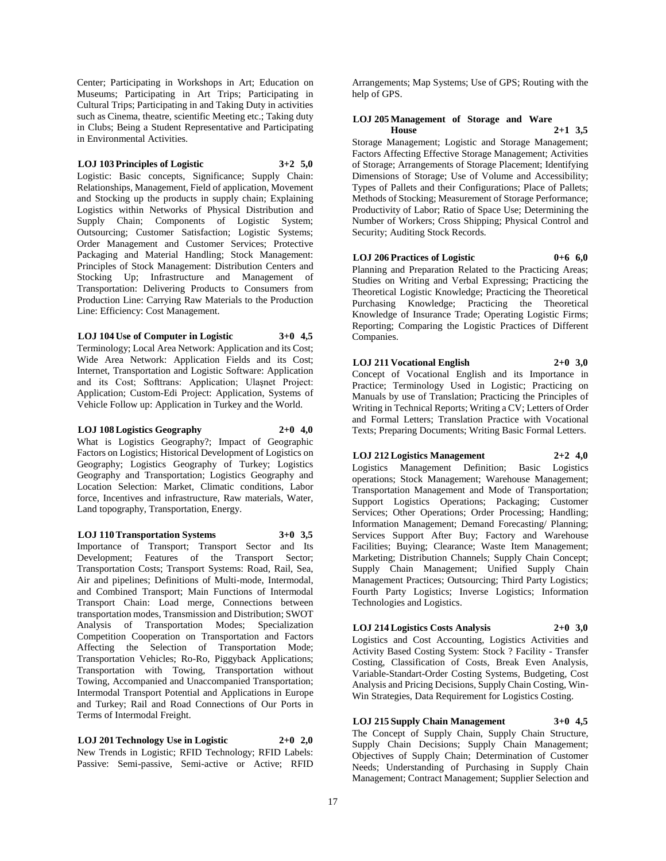Center; Participating in Workshops in Art; Education on Museums; Participating in Art Trips; Participating in Cultural Trips; Participating in and Taking Duty in activities such as Cinema, theatre, scientific Meeting etc.; Taking duty in Clubs; Being a Student Representative and Participating in Environmental Activities.

#### **LOJ 103 Principles of Logistic 3+2 5,0**

Logistic: Basic concepts, Significance; Supply Chain: Relationships, Management, Field of application, Movement and Stocking up the products in supply chain; Explaining Logistics within Networks of Physical Distribution and Supply Chain; Components of Logistic System; Outsourcing; Customer Satisfaction; Logistic Systems; Order Management and Customer Services; Protective Packaging and Material Handling; Stock Management: Principles of Stock Management: Distribution Centers and Stocking Up; Infrastructure and Management of Transportation: Delivering Products to Consumers from Production Line: Carrying Raw Materials to the Production Line: Efficiency: Cost Management.

## **LOJ 104 Use of Computer in Logistic 3+0 4,5**

Terminology; Local Area Network: Application and its Cost; Wide Area Network: Application Fields and its Cost; Internet, Transportation and Logistic Software: Application and its Cost; Softtrans: Application; Ulaşnet Project: Application; Custom-Edi Project: Application, Systems of Vehicle Follow up: Application in Turkey and the World.

#### **LOJ 108 Logistics Geography 2+0 4,0**

What is Logistics Geography?; Impact of Geographic Factors on Logistics; Historical Development of Logistics on Geography; Logistics Geography of Turkey; Logistics Geography and Transportation; Logistics Geography and Location Selection: Market, Climatic conditions, Labor force, Incentives and infrastructure, Raw materials, Water, Land topography, Transportation, Energy.

# **LOJ 110 Transportation Systems 3+0 3,5**

Importance of Transport; Transport Sector and Its Development; Features of the Transport Sector; Transportation Costs; Transport Systems: Road, Rail, Sea, Air and pipelines; Definitions of Multi-mode, Intermodal, and Combined Transport; Main Functions of Intermodal Transport Chain: Load merge, Connections between transportation modes, Transmission and Distribution; SWOT Analysis of Transportation Modes; Specialization Competition Cooperation on Transportation and Factors Affecting the Selection of Transportation Mode; Transportation Vehicles; Ro-Ro, Piggyback Applications; Transportation with Towing, Transportation without Towing, Accompanied and Unaccompanied Transportation; Intermodal Transport Potential and Applications in Europe and Turkey; Rail and Road Connections of Our Ports in Terms of Intermodal Freight.

**LOJ 201 Technology Use in Logistic 2+0 2,0** New Trends in Logistic; RFID Technology; RFID Labels: Passive: Semi-passive, Semi-active or Active; RFID

Arrangements; Map Systems; Use of GPS; Routing with the help of GPS.

## **LOJ 205 Management of Storage and Ware House 2+1 3,5**

Storage Management; Logistic and Storage Management; Factors Affecting Effective Storage Management; Activities of Storage; Arrangements of Storage Placement; Identifying Dimensions of Storage; Use of Volume and Accessibility; Types of Pallets and their Configurations; Place of Pallets; Methods of Stocking; Measurement of Storage Performance; Productivity of Labor; Ratio of Space Use; Determining the Number of Workers; Cross Shipping; Physical Control and Security; Auditing Stock Records.

## **LOJ 206 Practices of Logistic 0+6 6,0**

Planning and Preparation Related to the Practicing Areas; Studies on Writing and Verbal Expressing; Practicing the Theoretical Logistic Knowledge; Practicing the Theoretical Purchasing Knowledge; Practicing the Theoretical Knowledge of Insurance Trade; Operating Logistic Firms; Reporting; Comparing the Logistic Practices of Different Companies.

# **LOJ 211 Vocational English 2+0 3,0**

Concept of Vocational English and its Importance in Practice; Terminology Used in Logistic; Practicing on Manuals by use of Translation; Practicing the Principles of Writing in Technical Reports; Writing a CV; Letters of Order and Formal Letters; Translation Practice with Vocational Texts; Preparing Documents; Writing Basic Formal Letters.

# **LOJ 212 Logistics Management 2+2 4,0**

Logistics Management Definition; Basic Logistics operations; Stock Management; Warehouse Management; Transportation Management and Mode of Transportation; Support Logistics Operations; Packaging; Customer Services; Other Operations; Order Processing; Handling; Information Management; Demand Forecasting/ Planning; Services Support After Buy; Factory and Warehouse Facilities; Buying; Clearance; Waste Item Management; Marketing; Distribution Channels; Supply Chain Concept; Supply Chain Management; Unified Supply Chain Management Practices; Outsourcing; Third Party Logistics; Fourth Party Logistics; Inverse Logistics; Information Technologies and Logistics.

# **LOJ 214 Logistics Costs Analysis 2+0 3,0**

Logistics and Cost Accounting, Logistics Activities and Activity Based Costing System: Stock ? Facility - Transfer Costing, Classification of Costs, Break Even Analysis, Variable-Standart-Order Costing Systems, Budgeting, Cost Analysis and Pricing Decisions, Supply Chain Costing, Win-Win Strategies, Data Requirement for Logistics Costing.

**LOJ 215 Supply Chain Management 3+0 4,5** The Concept of Supply Chain, Supply Chain Structure, Supply Chain Decisions; Supply Chain Management; Objectives of Supply Chain; Determination of Customer Needs; Understanding of Purchasing in Supply Chain Management; Contract Management; Supplier Selection and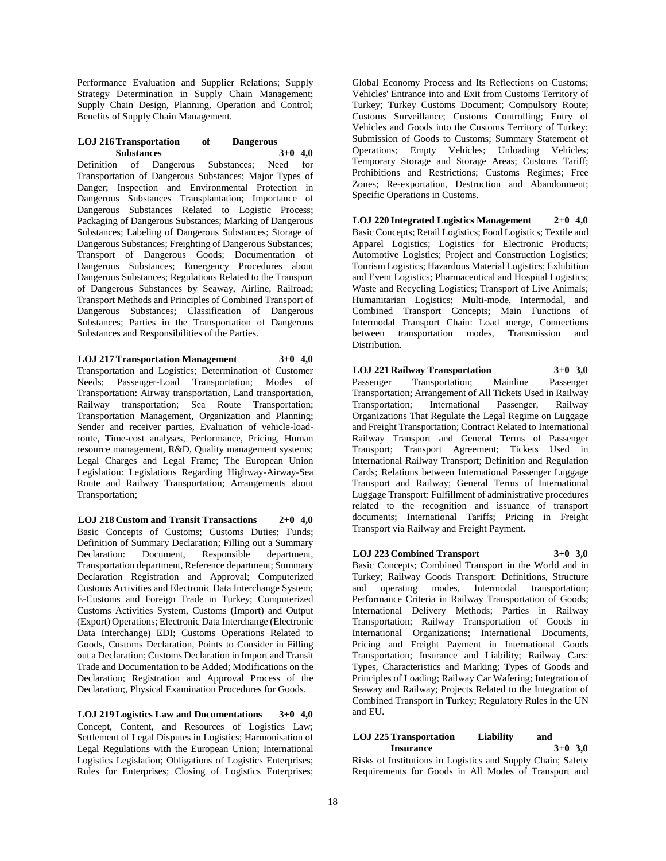Performance Evaluation and Supplier Relations; Supply Strategy Determination in Supply Chain Management; Supply Chain Design, Planning, Operation and Control; Benefits of Supply Chain Management.

#### **LOJ 216 Transportation of Dangerous Substances 3+0 4,0**

Definition of Dangerous Substances; Need for Transportation of Dangerous Substances; Major Types of Danger; Inspection and Environmental Protection in Dangerous Substances Transplantation; Importance of Dangerous Substances Related to Logistic Process; Packaging of Dangerous Substances; Marking of Dangerous Substances; Labeling of Dangerous Substances; Storage of Dangerous Substances; Freighting of Dangerous Substances; Transport of Dangerous Goods; Documentation of Dangerous Substances; Emergency Procedures about Dangerous Substances; Regulations Related to the Transport of Dangerous Substances by Seaway, Airline, Railroad; Transport Methods and Principles of Combined Transport of Dangerous Substances; Classification of Dangerous Substances; Parties in the Transportation of Dangerous Substances and Responsibilities of the Parties.

**LOJ 217 Transportation Management 3+0 4,0**

Transportation and Logistics; Determination of Customer Needs; Passenger-Load Transportation; Modes of Transportation: Airway transportation, Land transportation, Railway transportation; Sea Route Transportation; Transportation Management, Organization and Planning; Sender and receiver parties, Evaluation of vehicle-loadroute, Time-cost analyses, Performance, Pricing, Human resource management, R&D, Quality management systems; Legal Charges and Legal Frame; The European Union Legislation: Legislations Regarding Highway-Airway-Sea Route and Railway Transportation; Arrangements about Transportation;

**LOJ 218 Custom and Transit Transactions 2+0 4,0** Basic Concepts of Customs; Customs Duties; Funds; Definition of Summary Declaration; Filling out a Summary Declaration: Document, Responsible department, Transportation department, Reference department; Summary Declaration Registration and Approval; Computerized Customs Activities and Electronic Data Interchange System; E-Customs and Foreign Trade in Turkey; Computerized Customs Activities System, Customs (Import) and Output (Export) Operations; Electronic Data Interchange (Electronic Data Interchange) EDI; Customs Operations Related to Goods, Customs Declaration, Points to Consider in Filling out a Declaration; Customs Declaration in Import and Transit Trade and Documentation to be Added; Modifications on the Declaration; Registration and Approval Process of the Declaration;, Physical Examination Procedures for Goods.

**LOJ 219 Logistics Law and Documentations 3+0 4,0** Concept, Content, and Resources of Logistics Law; Settlement of Legal Disputes in Logistics; Harmonisation of Legal Regulations with the European Union; International Logistics Legislation; Obligations of Logistics Enterprises; Rules for Enterprises; Closing of Logistics Enterprises;

Global Economy Process and Its Reflections on Customs; Vehicles' Entrance into and Exit from Customs Territory of Turkey; Turkey Customs Document; Compulsory Route; Customs Surveillance; Customs Controlling; Entry of Vehicles and Goods into the Customs Territory of Turkey; Submission of Goods to Customs; Summary Statement of Operations; Empty Vehicles; Unloading Vehicles; Temporary Storage and Storage Areas; Customs Tariff; Prohibitions and Restrictions; Customs Regimes; Free Zones; Re-exportation, Destruction and Abandonment; Specific Operations in Customs.

**LOJ 220 Integrated Logistics Management 2+0 4,0** Basic Concepts; Retail Logistics; Food Logistics; Textile and Apparel Logistics; Logistics for Electronic Products; Automotive Logistics; Project and Construction Logistics; Tourism Logistics; Hazardous Material Logistics; Exhibition and Event Logistics; Pharmaceutical and Hospital Logistics; Waste and Recycling Logistics; Transport of Live Animals; Humanitarian Logistics; Multi-mode, Intermodal, and Combined Transport Concepts; Main Functions of Intermodal Transport Chain: Load merge, Connections between transportation modes, Transmission and Distribution.

**LOJ 221 Railway Transportation 3+0 3,0** Passenger Transportation; Mainline Passenger Transportation; Arrangement of All Tickets Used in Railway Transportation; International Passenger, Railway Organizations That Regulate the Legal Regime on Luggage and Freight Transportation; Contract Related to International Railway Transport and General Terms of Passenger Transport; Transport Agreement; Tickets Used in International Railway Transport; Definition and Regulation Cards; Relations between International Passenger Luggage Transport and Railway; General Terms of International Luggage Transport: Fulfillment of administrative procedures related to the recognition and issuance of transport documents; International Tariffs; Pricing in Freight Transport via Railway and Freight Payment.

# **LOJ 223 Combined Transport 3+0 3,0**

Basic Concepts; Combined Transport in the World and in Turkey; Railway Goods Transport: Definitions, Structure and operating modes, Intermodal transportation; Performance Criteria in Railway Transportation of Goods; International Delivery Methods; Parties in Railway Transportation; Railway Transportation of Goods in International Organizations; International Documents, Pricing and Freight Payment in International Goods Transportation; Insurance and Liability; Railway Cars: Types, Characteristics and Marking; Types of Goods and Principles of Loading; Railway Car Wafering; Integration of Seaway and Railway; Projects Related to the Integration of Combined Transport in Turkey; Regulatory Rules in the UN and EU.

# **LOJ 225 Transportation Liability and Insurance 3+0 3,0**

Risks of Institutions in Logistics and Supply Chain; Safety Requirements for Goods in All Modes of Transport and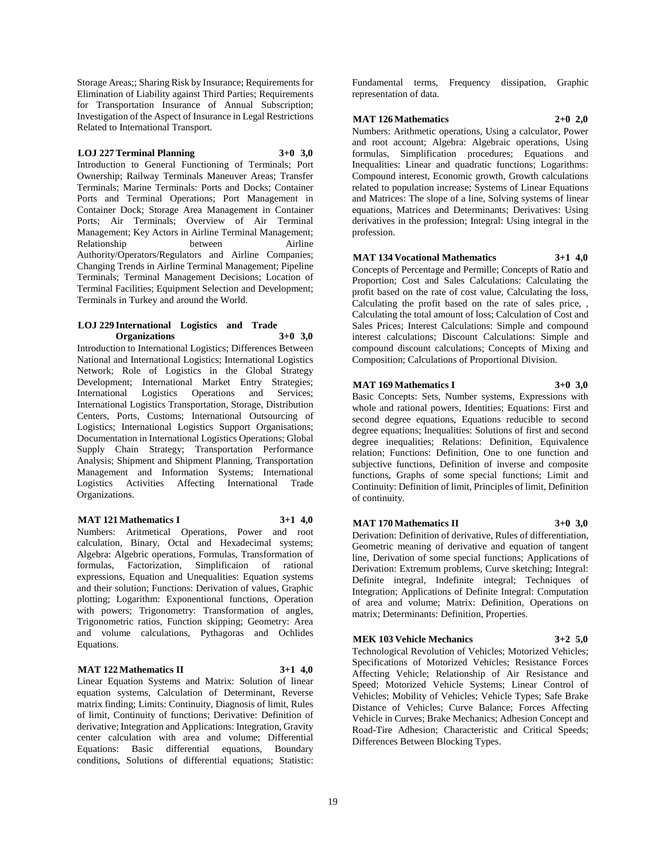Storage Areas;; Sharing Risk by Insurance; Requirements for Elimination of Liability against Third Parties; Requirements for Transportation Insurance of Annual Subscription; Investigation of the Aspect of Insurance in Legal Restrictions Related to International Transport.

**LOJ 227 Terminal Planning 3+0 3,0**

Introduction to General Functioning of Terminals; Port Ownership; Railway Terminals Maneuver Areas; Transfer Terminals; Marine Terminals: Ports and Docks; Container Ports and Terminal Operations; Port Management in Container Dock; Storage Area Management in Container Ports; Air Terminals; Overview of Air Terminal Management; Key Actors in Airline Terminal Management; Relationship between Airline Authority/Operators/Regulators and Airline Companies; Changing Trends in Airline Terminal Management; Pipeline Terminals; Terminal Management Decisions; Location of Terminal Facilities; Equipment Selection and Development; Terminals in Turkey and around the World.

## **LOJ 229 International Logistics and Trade Organizations 3+0 3,0**

Introduction to International Logistics; Differences Between National and International Logistics; International Logistics Network; Role of Logistics in the Global Strategy Development; International Market Entry Strategies; International Logistics Operations and Services; International Logistics Transportation, Storage, Distribution Centers, Ports, Customs; International Outsourcing of Logistics; International Logistics Support Organisations; Documentation in International Logistics Operations; Global Supply Chain Strategy; Transportation Performance Analysis; Shipment and Shipment Planning, Transportation Management and Information Systems; International Logistics Activities Affecting International Trade Organizations.

**MAT 121 Mathematics I 3+1 4,0**

Numbers: Aritmetical Operations, Power and root calculation, Binary, Octal and Hexadecimal systems; Algebra: Algebric operations, Formulas, Transformation of formulas, Factorization, Simplificaion of rational expressions, Equation and Unequalities: Equation systems and their solution; Functions: Derivation of values, Graphic plotting; Logarithm: Exponentional functions, Operation with powers; Trigonometry: Transformation of angles, Trigonometric ratios, Function skipping; Geometry: Area and volume calculations, Pythagoras and Ochlides Equations.

# **MAT 122 Mathematics II 3+1 4,0**

Linear Equation Systems and Matrix: Solution of linear equation systems, Calculation of Determinant, Reverse matrix finding; Limits: Continuity, Diagnosis of limit, Rules of limit, Continuity of functions; Derivative: Definition of derivative; Integration and Applications: Integration, Gravity center calculation with area and volume; Differential Equations: Basic differential equations, Boundary conditions, Solutions of differential equations; Statistic:

Fundamental terms, Frequency dissipation, Graphic representation of data.

# **MAT 126 Mathematics 2+0 2,0**

Numbers: Arithmetic operations, Using a calculator, Power and root account; Algebra: Algebraic operations, Using formulas, Simplification procedures; Equations and Inequalities: Linear and quadratic functions; Logarithms: Compound interest, Economic growth, Growth calculations related to population increase; Systems of Linear Equations and Matrices: The slope of a line, Solving systems of linear equations, Matrices and Determinants; Derivatives: Using derivatives in the profession; Integral: Using integral in the profession.

# **MAT 134 Vocational Mathematics 3+1 4,0**

Concepts of Percentage and Permille; Concepts of Ratio and Proportion; Cost and Sales Calculations: Calculating the profit based on the rate of cost value, Calculating the loss, Calculating the profit based on the rate of sales price, , Calculating the total amount of loss; Calculation of Cost and Sales Prices; Interest Calculations: Simple and compound interest calculations; Discount Calculations: Simple and compound discount calculations; Concepts of Mixing and Composition; Calculations of Proportional Division.

# **MAT 169 Mathematics I 3+0 3,0**

Basic Concepts: Sets, Number systems, Expressions with whole and rational powers, Identities; Equations: First and second degree equations, Equations reducible to second degree equations; Inequalities: Solutions of first and second degree inequalities; Relations: Definition, Equivalence relation; Functions: Definition, One to one function and subjective functions, Definition of inverse and composite functions, Graphs of some special functions; Limit and Continuity: Definition of limit, Principles of limit, Definition of continuity.

# **MAT 170 Mathematics II 3+0 3,0**

Derivation: Definition of derivative, Rules of differentiation, Geometric meaning of derivative and equation of tangent line, Derivation of some special functions; Applications of Derivation: Extremum problems, Curve sketching; Integral: Definite integral, Indefinite integral; Techniques of Integration; Applications of Definite Integral: Computation of area and volume; Matrix: Definition, Operations on matrix; Determinants: Definition, Properties.

# **MEK 103 Vehicle Mechanics 3+2 5,0**

Technological Revolution of Vehicles; Motorized Vehicles; Specifications of Motorized Vehicles; Resistance Forces Affecting Vehicle; Relationship of Air Resistance and Speed; Motorized Vehicle Systems; Linear Control of Vehicles; Mobility of Vehicles; Vehicle Types; Safe Brake Distance of Vehicles; Curve Balance; Forces Affecting Vehicle in Curves; Brake Mechanics; Adhesion Concept and Road-Tire Adhesion; Characteristic and Critical Speeds; Differences Between Blocking Types.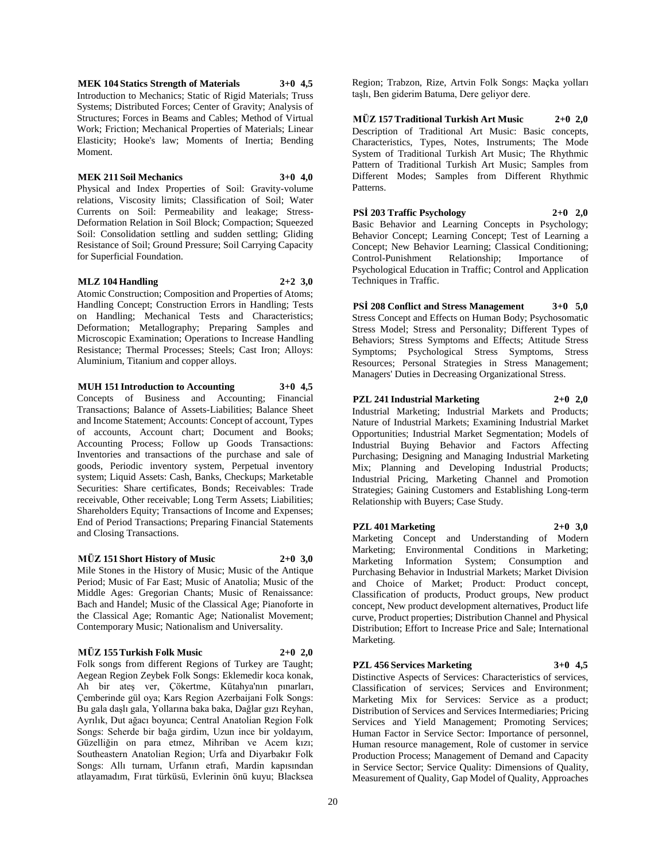**MEK 104 Statics Strength of Materials 3+0 4,5** Introduction to Mechanics; Static of Rigid Materials; Truss Systems; Distributed Forces; Center of Gravity; Analysis of Structures; Forces in Beams and Cables; Method of Virtual Work; Friction; Mechanical Properties of Materials; Linear Elasticity; Hooke's law; Moments of Inertia; Bending Moment.

#### **MEK 211 Soil Mechanics 3+0 4,0**

Physical and Index Properties of Soil: Gravity-volume relations, Viscosity limits; Classification of Soil; Water Currents on Soil: Permeability and leakage; Stress-Deformation Relation in Soil Block; Compaction; Squeezed Soil: Consolidation settling and sudden settling; Gliding Resistance of Soil; Ground Pressure; Soil Carrying Capacity for Superficial Foundation.

#### **MLZ 104 Handling 2+2 3,0**

Atomic Construction; Composition and Properties of Atoms; Handling Concept; Construction Errors in Handling; Tests on Handling; Mechanical Tests and Characteristics; Deformation; Metallography; Preparing Samples and Microscopic Examination; Operations to Increase Handling Resistance; Thermal Processes; Steels; Cast Iron; Alloys: Aluminium, Titanium and copper alloys.

#### **MUH 151 Introduction to Accounting 3+0 4,5**

Concepts of Business and Accounting; Financial Transactions; Balance of Assets-Liabilities; Balance Sheet and Income Statement; Accounts: Concept of account, Types of accounts, Account chart; Document and Books; Accounting Process; Follow up Goods Transactions: Inventories and transactions of the purchase and sale of goods, Periodic inventory system, Perpetual inventory system; Liquid Assets: Cash, Banks, Checkups; Marketable Securities: Share certificates, Bonds; Receivables: Trade receivable, Other receivable; Long Term Assets; Liabilities; Shareholders Equity; Transactions of Income and Expenses; End of Period Transactions; Preparing Financial Statements and Closing Transactions.

#### **MÜZ 151 Short History of Music 2+0 3,0**

Mile Stones in the History of Music; Music of the Antique Period; Music of Far East; Music of Anatolia; Music of the Middle Ages: Gregorian Chants; Music of Renaissance: Bach and Handel; Music of the Classical Age; Pianoforte in the Classical Age; Romantic Age; Nationalist Movement; Contemporary Music; Nationalism and Universality.

# **MÜZ 155 Turkish Folk Music 2+0 2,0**

Folk songs from different Regions of Turkey are Taught; Aegean Region Zeybek Folk Songs: Eklemedir koca konak, Ah bir ateş ver, Çökertme, Kütahya'nın pınarları, Çemberinde gül oya; Kars Region Azerbaijani Folk Songs: Bu gala daşlı gala, Yollarına baka baka, Dağlar gızı Reyhan, Ayrılık, Dut ağacı boyunca; Central Anatolian Region Folk Songs: Seherde bir bağa girdim, Uzun ince bir yoldayım, Güzelliğin on para etmez, Mihriban ve Acem kızı; Southeastern Anatolian Region; Urfa and Diyarbakır Folk Songs: Allı turnam, Urfanın etrafı, Mardin kapısından atlayamadım, Fırat türküsü, Evlerinin önü kuyu; Blacksea

Region; Trabzon, Rize, Artvin Folk Songs: Maçka yolları taşlı, Ben giderim Batuma, Dere geliyor dere.

**MÜZ 157 Traditional Turkish Art Music 2+0 2,0** Description of Traditional Art Music: Basic concepts, Characteristics, Types, Notes, Instruments; The Mode System of Traditional Turkish Art Music; The Rhythmic Pattern of Traditional Turkish Art Music; Samples from Different Modes; Samples from Different Rhythmic Patterns.

**PSİ 203 Traffic Psychology 2+0 2,0** Basic Behavior and Learning Concepts in Psychology; Behavior Concept; Learning Concept; Test of Learning a Concept; New Behavior Learning; Classical Conditioning; Control-Punishment Relationship; Importance of Psychological Education in Traffic; Control and Application Techniques in Traffic.

**PSİ 208 Conflict and Stress Management 3+0 5,0** Stress Concept and Effects on Human Body; Psychosomatic Stress Model; Stress and Personality; Different Types of Behaviors; Stress Symptoms and Effects; Attitude Stress Symptoms; Psychological Stress Symptoms, Stress Resources; Personal Strategies in Stress Management; Managers' Duties in Decreasing Organizational Stress.

# **PZL 241 Industrial Marketing 2+0 2,0**

Industrial Marketing; Industrial Markets and Products; Nature of Industrial Markets; Examining Industrial Market Opportunities; Industrial Market Segmentation; Models of Industrial Buying Behavior and Factors Affecting Purchasing; Designing and Managing Industrial Marketing Mix; Planning and Developing Industrial Products; Industrial Pricing, Marketing Channel and Promotion Strategies; Gaining Customers and Establishing Long-term Relationship with Buyers; Case Study.

# **PZL 401 Marketing 2+0 3,0**

Marketing Concept and Understanding of Modern Marketing; Environmental Conditions in Marketing; Marketing Information System; Consumption and Purchasing Behavior in Industrial Markets; Market Division and Choice of Market; Product: Product concept, Classification of products, Product groups, New product concept, New product development alternatives, Product life curve, Product properties; Distribution Channel and Physical Distribution; Effort to Increase Price and Sale; International Marketing.

# **PZL 456 Services Marketing 3+0 4,5**

Distinctive Aspects of Services: Characteristics of services, Classification of services; Services and Environment; Marketing Mix for Services: Service as a product; Distribution of Services and Services Intermediaries; Pricing Services and Yield Management; Promoting Services; Human Factor in Service Sector: Importance of personnel, Human resource management, Role of customer in service Production Process; Management of Demand and Capacity in Service Sector; Service Quality: Dimensions of Quality, Measurement of Quality, Gap Model of Quality, Approaches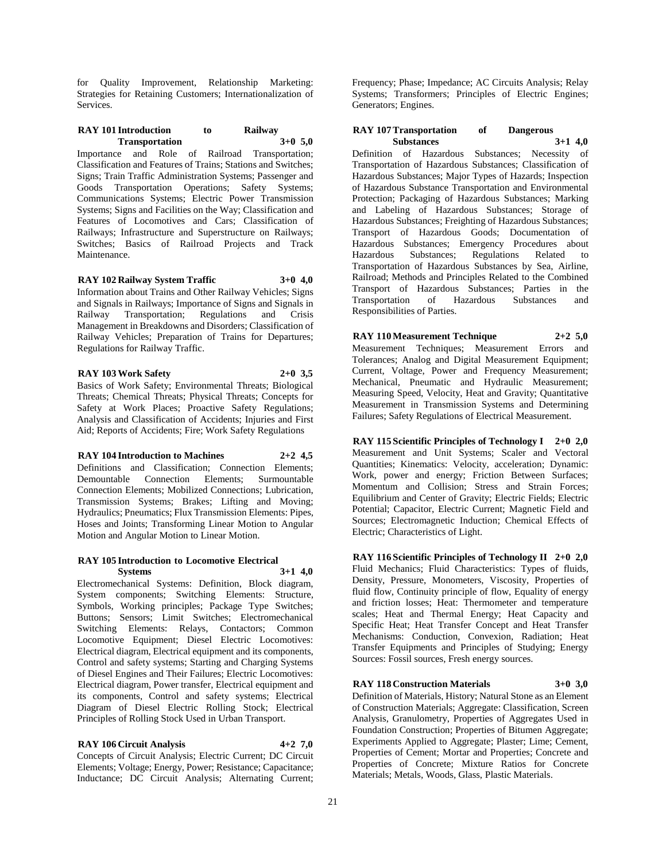for Quality Improvement, Relationship Marketing: Strategies for Retaining Customers; Internationalization of Services.

#### **RAY 101 Introduction to Railway Transportation 3+0 5,0**

Importance and Role of Railroad Transportation; Classification and Features of Trains; Stations and Switches; Signs; Train Traffic Administration Systems; Passenger and Goods Transportation Operations; Safety Systems; Communications Systems; Electric Power Transmission Systems; Signs and Facilities on the Way; Classification and Features of Locomotives and Cars; Classification of Railways; Infrastructure and Superstructure on Railways; Switches; Basics of Railroad Projects and Track Maintenance.

**RAY 102 Railway System Traffic 3+0 4,0**

Information about Trains and Other Railway Vehicles; Signs and Signals in Railways; Importance of Signs and Signals in Railway Transportation; Regulations and Crisis Management in Breakdowns and Disorders; Classification of Railway Vehicles; Preparation of Trains for Departures; Regulations for Railway Traffic.

# **RAY 103 Work Safety 2+0 3,5**

Basics of Work Safety; Environmental Threats; Biological Threats; Chemical Threats; Physical Threats; Concepts for Safety at Work Places; Proactive Safety Regulations; Analysis and Classification of Accidents; Injuries and First Aid; Reports of Accidents; Fire; Work Safety Regulations

#### **RAY 104 Introduction to Machines 2+2 4,5**

Definitions and Classification; Connection Elements; Demountable Connection Elements; Surmountable Connection Elements; Mobilized Connections; Lubrication, Transmission Systems; Brakes; Lifting and Moving; Hydraulics; Pneumatics; Flux Transmission Elements: Pipes, Hoses and Joints; Transforming Linear Motion to Angular Motion and Angular Motion to Linear Motion.

#### **RAY 105 Introduction to Locomotive Electrical Systems 3+1 4,0**

Electromechanical Systems: Definition, Block diagram, System components; Switching Elements: Structure, Symbols, Working principles; Package Type Switches; Buttons; Sensors; Limit Switches; Electromechanical Switching Elements: Relays, Contactors; Common Locomotive Equipment; Diesel Electric Locomotives: Electrical diagram, Electrical equipment and its components, Control and safety systems; Starting and Charging Systems of Diesel Engines and Their Failures; Electric Locomotives: Electrical diagram, Power transfer, Electrical equipment and its components, Control and safety systems; Electrical Diagram of Diesel Electric Rolling Stock; Electrical Principles of Rolling Stock Used in Urban Transport.

# **RAY 106 Circuit Analysis 4+2 7,0**

Concepts of Circuit Analysis; Electric Current; DC Circuit Elements; Voltage; Energy, Power; Resistance; Capacitance; Inductance; DC Circuit Analysis; Alternating Current;

Frequency; Phase; Impedance; AC Circuits Analysis; Relay Systems; Transformers; Principles of Electric Engines; Generators; Engines.

## **RAY 107 Transportation of Dangerous Substances 3+1 4,0**

Definition of Hazardous Substances; Necessity of Transportation of Hazardous Substances; Classification of Hazardous Substances; Major Types of Hazards; Inspection of Hazardous Substance Transportation and Environmental Protection; Packaging of Hazardous Substances; Marking and Labeling of Hazardous Substances; Storage of Hazardous Substances; Freighting of Hazardous Substances; Transport of Hazardous Goods; Documentation of Hazardous Substances; Emergency Procedures about Hazardous Substances; Regulations Related to Transportation of Hazardous Substances by Sea, Airline, Railroad; Methods and Principles Related to the Combined Transport of Hazardous Substances; Parties in the Transportation of Hazardous Substances and Responsibilities of Parties.

**RAY 110 Measurement Technique 2+2 5,0** Measurement Techniques; Measurement Errors and Tolerances; Analog and Digital Measurement Equipment; Current, Voltage, Power and Frequency Measurement; Mechanical, Pneumatic and Hydraulic Measurement; Measuring Speed, Velocity, Heat and Gravity; Quantitative Measurement in Transmission Systems and Determining Failures; Safety Regulations of Electrical Measurement.

**RAY 115 Scientific Principles of Technology I 2+0 2,0** Measurement and Unit Systems; Scaler and Vectoral Quantities; Kinematics: Velocity, acceleration; Dynamic: Work, power and energy; Friction Between Surfaces; Momentum and Collision; Stress and Strain Forces; Equilibrium and Center of Gravity; Electric Fields; Electric Potential; Capacitor, Electric Current; Magnetic Field and Sources; Electromagnetic Induction; Chemical Effects of Electric; Characteristics of Light.

**RAY 116 Scientific Principles of Technology II 2+0 2,0** Fluid Mechanics; Fluid Characteristics: Types of fluids, Density, Pressure, Monometers, Viscosity, Properties of fluid flow, Continuity principle of flow, Equality of energy and friction losses; Heat: Thermometer and temperature scales; Heat and Thermal Energy; Heat Capacity and Specific Heat; Heat Transfer Concept and Heat Transfer Mechanisms: Conduction, Convexion, Radiation; Heat Transfer Equipments and Principles of Studying; Energy Sources: Fossil sources, Fresh energy sources.

# **RAY 118 Construction Materials 3+0 3,0**

Definition of Materials, History; Natural Stone as an Element of Construction Materials; Aggregate: Classification, Screen Analysis, Granulometry, Properties of Aggregates Used in Foundation Construction; Properties of Bitumen Aggregate; Experiments Applied to Aggregate; Plaster; Lime; Cement, Properties of Cement; Mortar and Properties; Concrete and Properties of Concrete; Mixture Ratios for Concrete Materials; Metals, Woods, Glass, Plastic Materials.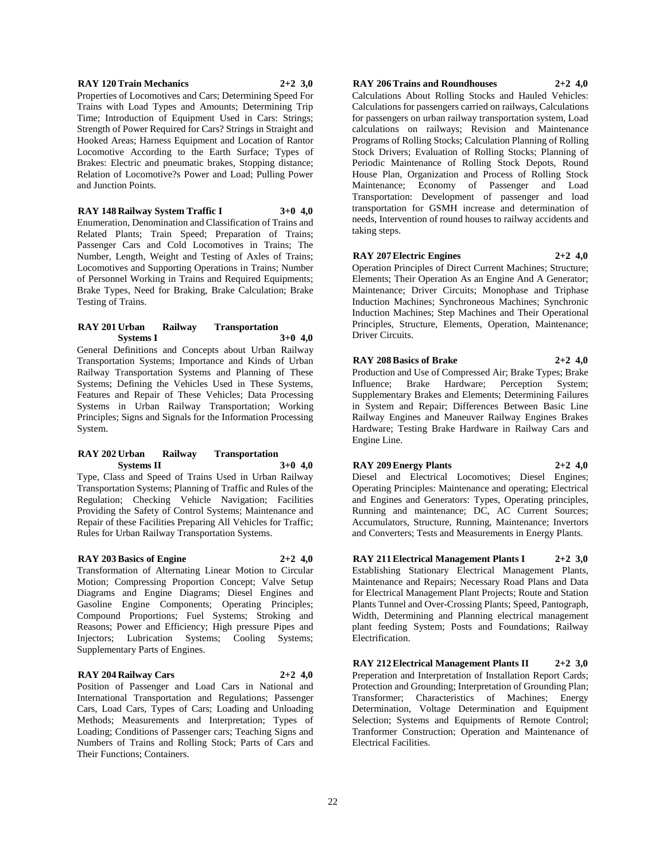#### **RAY 120 Train Mechanics 2+2 3,0**

Properties of Locomotives and Cars; Determining Speed For Trains with Load Types and Amounts; Determining Trip Time; Introduction of Equipment Used in Cars: Strings; Strength of Power Required for Cars? Strings in Straight and Hooked Areas; Harness Equipment and Location of Rantor Locomotive According to the Earth Surface; Types of Brakes: Electric and pneumatic brakes, Stopping distance; Relation of Locomotive?s Power and Load; Pulling Power and Junction Points.

#### **RAY 148 Railway System Traffic I 3+0 4,0**

Enumeration, Denomination and Classification of Trains and Related Plants; Train Speed; Preparation of Trains; Passenger Cars and Cold Locomotives in Trains; The Number, Length, Weight and Testing of Axles of Trains; Locomotives and Supporting Operations in Trains; Number of Personnel Working in Trains and Required Equipments; Brake Types, Need for Braking, Brake Calculation; Brake Testing of Trains.

#### **RAY 201 Urban Railway Transportation Systems I 3+0 4,0**

General Definitions and Concepts about Urban Railway Transportation Systems; Importance and Kinds of Urban Railway Transportation Systems and Planning of These Systems; Defining the Vehicles Used in These Systems, Features and Repair of These Vehicles; Data Processing Systems in Urban Railway Transportation; Working Principles; Signs and Signals for the Information Processing System.

#### **RAY 202 Urban Railway Transportation Systems II 3+0 4,0**

Type, Class and Speed of Trains Used in Urban Railway Transportation Systems; Planning of Traffic and Rules of the Regulation; Checking Vehicle Navigation; Facilities Providing the Safety of Control Systems; Maintenance and Repair of these Facilities Preparing All Vehicles for Traffic; Rules for Urban Railway Transportation Systems.

#### **RAY 203 Basics of Engine 2+2 4,0**

Transformation of Alternating Linear Motion to Circular Motion; Compressing Proportion Concept; Valve Setup Diagrams and Engine Diagrams; Diesel Engines and Gasoline Engine Components; Operating Principles; Compound Proportions; Fuel Systems; Stroking and Reasons; Power and Efficiency; High pressure Pipes and Injectors; Lubrication Systems; Cooling Systems; Supplementary Parts of Engines.

## **RAY 204 Railway Cars 2+2 4,0**

Position of Passenger and Load Cars in National and International Transportation and Regulations; Passenger Cars, Load Cars, Types of Cars; Loading and Unloading Methods; Measurements and Interpretation; Types of Loading; Conditions of Passenger cars; Teaching Signs and Numbers of Trains and Rolling Stock; Parts of Cars and Their Functions; Containers.

# **RAY 206 Trains and Roundhouses 2+2 4,0**

Calculations About Rolling Stocks and Hauled Vehicles: Calculations for passengers carried on railways, Calculations for passengers on urban railway transportation system, Load calculations on railways; Revision and Maintenance Programs of Rolling Stocks; Calculation Planning of Rolling Stock Drivers; Evaluation of Rolling Stocks; Planning of Periodic Maintenance of Rolling Stock Depots, Round House Plan, Organization and Process of Rolling Stock Maintenance; Economy of Passenger and Load Transportation: Development of passenger and load transportation for GSMH increase and determination of needs, Intervention of round houses to railway accidents and taking steps.

**RAY 207 Electric Engines 2+2 4,0**

Operation Principles of Direct Current Machines; Structure; Elements; Their Operation As an Engine And A Generator; Maintenance; Driver Circuits; Monophase and Triphase Induction Machines; Synchroneous Machines; Synchronic Induction Machines; Step Machines and Their Operational Principles, Structure, Elements, Operation, Maintenance; Driver Circuits.

**RAY 208 Basics of Brake 2+2 4,0**

Production and Use of Compressed Air; Brake Types; Brake Influence; Brake Hardware; Perception System; Supplementary Brakes and Elements; Determining Failures in System and Repair; Differences Between Basic Line Railway Engines and Maneuver Railway Engines Brakes Hardware; Testing Brake Hardware in Railway Cars and Engine Line.

**RAY 209 Energy Plants 2+2 4,0**

Diesel and Electrical Locomotives; Diesel Engines; Operating Principles: Maintenance and operating; Electrical and Engines and Generators: Types, Operating principles, Running and maintenance; DC, AC Current Sources; Accumulators, Structure, Running, Maintenance; Invertors and Converters; Tests and Measurements in Energy Plants.

**RAY 211 Electrical Management Plants I 2+2 3,0** Establishing Stationary Electrical Management Plants, Maintenance and Repairs; Necessary Road Plans and Data for Electrical Management Plant Projects; Route and Station Plants Tunnel and Over-Crossing Plants; Speed, Pantograph, Width, Determining and Planning electrical management plant feeding System; Posts and Foundations; Railway Electrification.

**RAY 212 Electrical Management Plants II 2+2 3,0** Preperation and Interpretation of Installation Report Cards; Protection and Grounding; Interpretation of Grounding Plan; Transformer; Characteristics of Machines; Energy Determination, Voltage Determination and Equipment Selection; Systems and Equipments of Remote Control; Tranformer Construction; Operation and Maintenance of Electrical Facilities.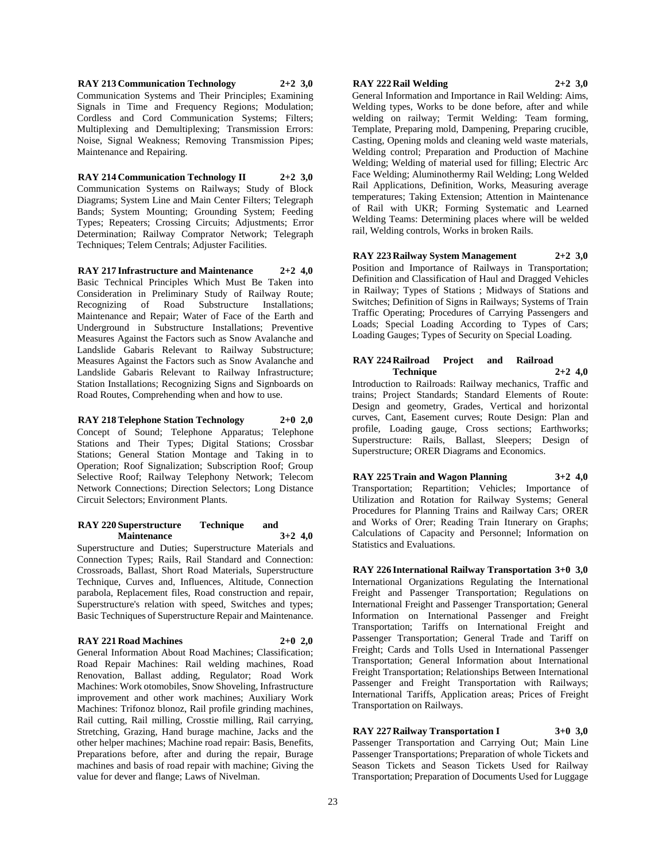**RAY 213 Communication Technology 2+2 3,0** Communication Systems and Their Principles; Examining Signals in Time and Frequency Regions; Modulation; Cordless and Cord Communication Systems; Filters; Multiplexing and Demultiplexing; Transmission Errors: Noise, Signal Weakness; Removing Transmission Pipes; Maintenance and Repairing.

**RAY 214 Communication Technology II 2+2 3,0** Communication Systems on Railways; Study of Block Diagrams; System Line and Main Center Filters; Telegraph Bands; System Mounting; Grounding System; Feeding Types; Repeaters; Crossing Circuits; Adjustments; Error Determination; Railway Comprator Network; Telegraph Techniques; Telem Centrals; Adjuster Facilities.

**RAY 217 Infrastructure and Maintenance 2+2 4,0** Basic Technical Principles Which Must Be Taken into Consideration in Preliminary Study of Railway Route; Recognizing of Road Substructure Installations; Maintenance and Repair; Water of Face of the Earth and Underground in Substructure Installations; Preventive Measures Against the Factors such as Snow Avalanche and Landslide Gabaris Relevant to Railway Substructure; Measures Against the Factors such as Snow Avalanche and Landslide Gabaris Relevant to Railway Infrastructure; Station Installations; Recognizing Signs and Signboards on Road Routes, Comprehending when and how to use.

**RAY 218 Telephone Station Technology 2+0 2,0** Concept of Sound; Telephone Apparatus; Telephone Stations and Their Types; Digital Stations; Crossbar Stations; General Station Montage and Taking in to Operation; Roof Signalization; Subscription Roof; Group Selective Roof; Railway Telephony Network; Telecom Network Connections; Direction Selectors; Long Distance Circuit Selectors; Environment Plants.

## **RAY 220 Superstructure Technique and Maintenance 3+2 4,0**

Superstructure and Duties; Superstructure Materials and Connection Types; Rails, Rail Standard and Connection: Crossroads, Ballast, Short Road Materials, Superstructure Technique, Curves and, Influences, Altitude, Connection parabola, Replacement files, Road construction and repair, Superstructure's relation with speed, Switches and types; Basic Techniques of Superstructure Repair and Maintenance.

# **RAY 221 Road Machines 2+0 2,0**

General Information About Road Machines; Classification; Road Repair Machines: Rail welding machines, Road Renovation, Ballast adding, Regulator; Road Work Machines: Work otomobiles, Snow Shoveling, Infrastructure improvement and other work machines; Auxiliary Work Machines: Trifonoz blonoz, Rail profile grinding machines, Rail cutting, Rail milling, Crosstie milling, Rail carrying, Stretching, Grazing, Hand burage machine, Jacks and the other helper machines; Machine road repair: Basis, Benefits, Preparations before, after and during the repair, Burage machines and basis of road repair with machine; Giving the value for dever and flange; Laws of Nivelman.

## **RAY 222 Rail Welding 2+2 3,0**

General Information and Importance in Rail Welding: Aims, Welding types, Works to be done before, after and while welding on railway; Termit Welding: Team forming, Template, Preparing mold, Dampening, Preparing crucible, Casting, Opening molds and cleaning weld waste materials, Welding control; Preparation and Production of Machine Welding; Welding of material used for filling; Electric Arc Face Welding; Aluminothermy Rail Welding; Long Welded Rail Applications, Definition, Works, Measuring average temperatures; Taking Extension; Attention in Maintenance of Rail with UKR; Forming Systematic and Learned Welding Teams: Determining places where will be welded rail, Welding controls, Works in broken Rails.

**RAY 223 Railway System Management 2+2 3,0** Position and Importance of Railways in Transportation; Definition and Classification of Haul and Dragged Vehicles in Railway; Types of Stations ; Midways of Stations and Switches; Definition of Signs in Railways; Systems of Train Traffic Operating; Procedures of Carrying Passengers and Loads; Special Loading According to Types of Cars; Loading Gauges; Types of Security on Special Loading.

# **RAY 224 Railroad Project and Railroad Technique 2+2 4,0**

Introduction to Railroads: Railway mechanics, Traffic and trains; Project Standards; Standard Elements of Route: Design and geometry, Grades, Vertical and horizontal curves, Cant, Easement curves; Route Design: Plan and profile, Loading gauge, Cross sections; Earthworks; Superstructure: Rails, Ballast, Sleepers; Design of Superstructure; ORER Diagrams and Economics.

**RAY 225 Train and Wagon Planning 3+2 4,0** Transportation; Repartition; Vehicles; Importance of Utilization and Rotation for Railway Systems; General Procedures for Planning Trains and Railway Cars; ORER and Works of Orer; Reading Train Itınerary on Graphs; Calculations of Capacity and Personnel; Information on Statistics and Evaluations.

**RAY 226 International Railway Transportation 3+0 3,0** International Organizations Regulating the International Freight and Passenger Transportation; Regulations on International Freight and Passenger Transportation; General Information on International Passenger and Freight Transportation; Tariffs on International Freight and Passenger Transportation; General Trade and Tariff on Freight; Cards and Tolls Used in International Passenger Transportation; General Information about International Freight Transportation; Relationships Between International Passenger and Freight Transportation with Railways; International Tariffs, Application areas; Prices of Freight Transportation on Railways.

**RAY 227 Railway Transportation I 3+0 3,0** Passenger Transportation and Carrying Out; Main Line Passenger Transportations; Preparation of whole Tickets and

Season Tickets and Season Tickets Used for Railway Transportation; Preparation of Documents Used for Luggage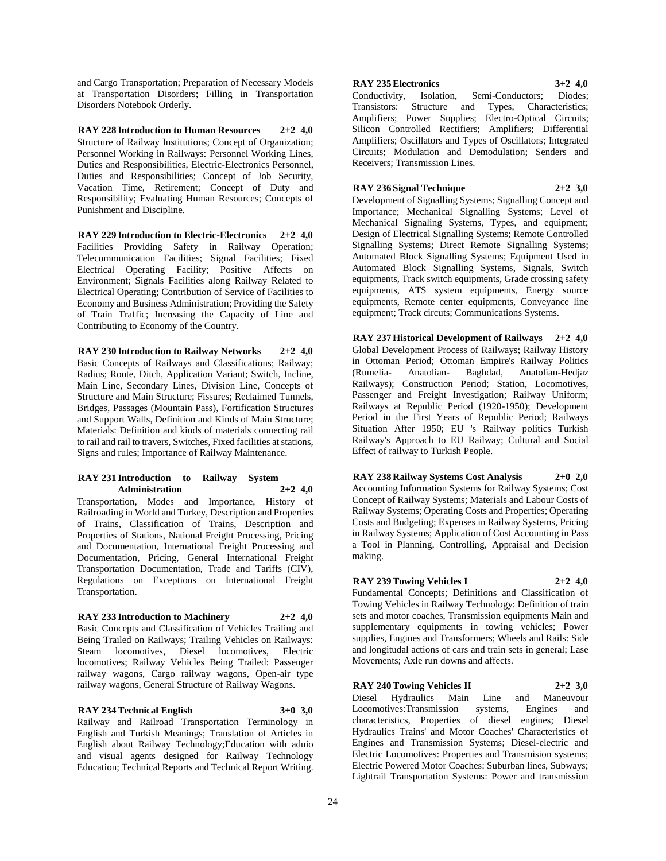and Cargo Transportation; Preparation of Necessary Models at Transportation Disorders; Filling in Transportation Disorders Notebook Orderly.

**RAY 228 Introduction to Human Resources 2+2 4,0** Structure of Railway Institutions; Concept of Organization; Personnel Working in Railways: Personnel Working Lines, Duties and Responsibilities, Electric-Electronics Personnel, Duties and Responsibilities; Concept of Job Security, Vacation Time, Retirement; Concept of Duty and Responsibility; Evaluating Human Resources; Concepts of Punishment and Discipline.

**RAY 229 Introduction to Electric-Electronics 2+2 4,0** Facilities Providing Safety in Railway Operation; Telecommunication Facilities; Signal Facilities; Fixed Electrical Operating Facility; Positive Affects on Environment; Signals Facilities along Railway Related to Electrical Operating; Contribution of Service of Facilities to Economy and Business Administration; Providing the Safety of Train Traffic; Increasing the Capacity of Line and Contributing to Economy of the Country.

**RAY 230 Introduction to Railway Networks 2+2 4,0** Basic Concepts of Railways and Classifications; Railway; Radius; Route, Ditch, Application Variant; Switch, Incline, Main Line, Secondary Lines, Division Line, Concepts of Structure and Main Structure; Fissures; Reclaimed Tunnels, Bridges, Passages (Mountain Pass), Fortification Structures and Support Walls, Definition and Kinds of Main Structure; Materials: Definition and kinds of materials connecting rail to rail and rail to travers, Switches, Fixed facilities at stations, Signs and rules; Importance of Railway Maintenance.

#### **RAY 231 Introduction to Railway System Administration 2+2 4,0**

Transportation, Modes and Importance, History of Railroading in World and Turkey, Description and Properties of Trains, Classification of Trains, Description and Properties of Stations, National Freight Processing, Pricing and Documentation, International Freight Processing and Documentation, Pricing, General International Freight Transportation Documentation, Trade and Tariffs (CIV), Regulations on Exceptions on International Freight Transportation.

# **RAY 233 Introduction to Machinery 2+2 4,0**

Basic Concepts and Classification of Vehicles Trailing and Being Trailed on Railways; Trailing Vehicles on Railways: Steam locomotives, Diesel locomotives, Electric locomotives; Railway Vehicles Being Trailed: Passenger railway wagons, Cargo railway wagons, Open-air type railway wagons, General Structure of Railway Wagons.

#### **RAY 234 Technical English 3+0 3,0**

Railway and Railroad Transportation Terminology in English and Turkish Meanings; Translation of Articles in English about Railway Technology;Education with aduio and visual agents designed for Railway Technology Education; Technical Reports and Technical Report Writing.

#### **RAY 235 Electronics 3+2 4,0**

Conductivity, Isolation, Semi-Conductors; Diodes; Transistors: Structure and Types, Characteristics; Amplifiers; Power Supplies; Electro-Optical Circuits; Silicon Controlled Rectifiers; Amplifiers; Differential Amplifiers; Oscillators and Types of Oscillators; Integrated Circuits; Modulation and Demodulation; Senders and Receivers; Transmission Lines.

# **RAY 236 Signal Technique 2+2 3,0**

Development of Signalling Systems; Signalling Concept and Importance; Mechanical Signalling Systems; Level of Mechanical Signaling Systems, Types, and equipment; Design of Electrical Signalling Systems; Remote Controlled Signalling Systems; Direct Remote Signalling Systems; Automated Block Signalling Systems; Equipment Used in Automated Block Signalling Systems, Signals, Switch equipments, Track switch equipments, Grade crossing safety equipments, ATS system equipments, Energy source equipments, Remote center equipments, Conveyance line equipment; Track circuts; Communications Systems.

**RAY 237 Historical Development of Railways 2+2 4,0** Global Development Process of Railways; Railway History in Ottoman Period; Ottoman Empire's Railway Politics (Rumelia- Anatolian- Baghdad, Anatolian-Hedjaz Railways); Construction Period; Station, Locomotives, Passenger and Freight Investigation; Railway Uniform; Railways at Republic Period (1920-1950); Development Period in the First Years of Republic Period; Railways Situation After 1950; EU 's Railway politics Turkish Railway's Approach to EU Railway; Cultural and Social Effect of railway to Turkish People.

**RAY 238 Railway Systems Cost Analysis 2+0 2,0** Accounting Information Systems for Railway Systems; Cost Concept of Railway Systems; Materials and Labour Costs of Railway Systems; Operating Costs and Properties; Operating Costs and Budgeting; Expenses in Railway Systems, Pricing in Railway Systems; Application of Cost Accounting in Pass a Tool in Planning, Controlling, Appraisal and Decision making.

# **RAY 239 Towing Vehicles I 2+2 4,0**

Fundamental Concepts; Definitions and Classification of Towing Vehicles in Railway Technology: Definition of train sets and motor coaches, Transmission equipments Main and supplementary equipments in towing vehicles; Power supplies, Engines and Transformers; Wheels and Rails: Side and longitudal actions of cars and train sets in general; Lase Movements; Axle run downs and affects.

#### **RAY 240 Towing Vehicles II 2+2 3,0**

Diesel Hydraulics Main Line and Maneuvour Locomotives:Transmission systems, Engines and characteristics, Properties of diesel engines; Diesel Hydraulics Trains' and Motor Coaches' Characteristics of Engines and Transmission Systems; Diesel-electric and Electric Locomotives: Properties and Transmision systems; Electric Powered Motor Coaches: Suburban lines, Subways; Lightrail Transportation Systems: Power and transmission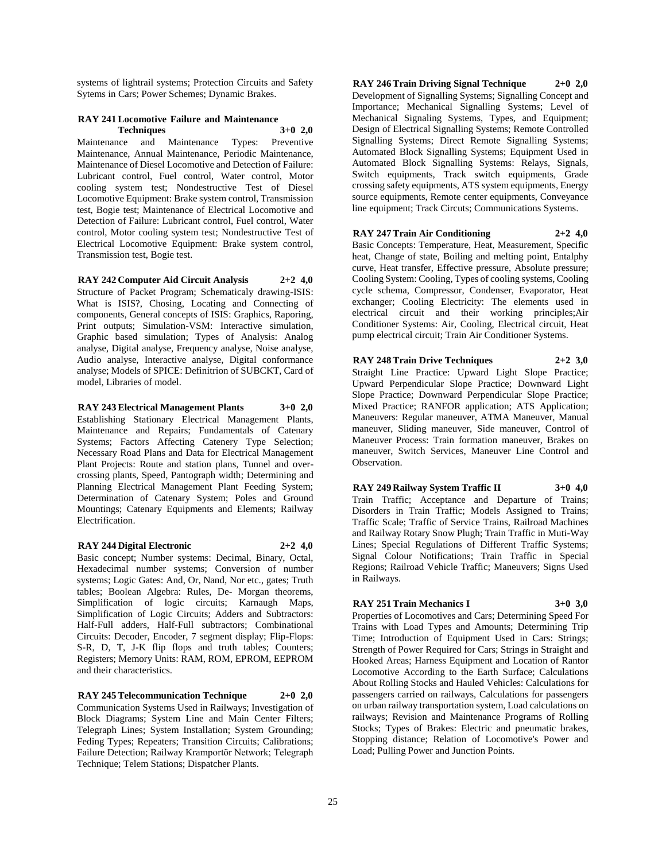systems of lightrail systems; Protection Circuits and Safety Sytems in Cars; Power Schemes; Dynamic Brakes.

#### **RAY 241 Locomotive Failure and Maintenance Techniques 3+0 2,0**

Maintenance and Maintenance Types: Preventive Maintenance, Annual Maintenance, Periodic Maintenance, Maintenance of Diesel Locomotive and Detection of Failure: Lubricant control, Fuel control, Water control, Motor cooling system test; Nondestructive Test of Diesel Locomotive Equipment: Brake system control, Transmission test, Bogie test; Maintenance of Electrical Locomotive and Detection of Failure: Lubricant control, Fuel control, Water control, Motor cooling system test; Nondestructive Test of Electrical Locomotive Equipment: Brake system control, Transmission test, Bogie test.

**RAY 242 Computer Aid Circuit Analysis 2+2 4,0** Structure of Packet Program; Schematicaly drawing-ISIS: What is ISIS?, Chosing, Locating and Connecting of components, General concepts of ISIS: Graphics, Raporing, Print outputs; Simulation-VSM: Interactive simulation, Graphic based simulation; Types of Analysis: Analog analyse, Digital analyse, Frequency analyse, Noise analyse, Audio analyse, Interactive analyse, Digital conformance analyse; Models of SPICE: Definitrion of SUBCKT, Card of model, Libraries of model.

### **RAY 243 Electrical Management Plants 3+0 2,0**

Establishing Stationary Electrical Management Plants, Maintenance and Repairs; Fundamentals of Catenary Systems; Factors Affecting Catenery Type Selection; Necessary Road Plans and Data for Electrical Management Plant Projects: Route and station plans, Tunnel and overcrossing plants, Speed, Pantograph width; Determining and Planning Electrical Management Plant Feeding System; Determination of Catenary System; Poles and Ground Mountings; Catenary Equipments and Elements; Railway Electrification.

#### **RAY 244 Digital Electronic 2+2 4,0**

Basic concept; Number systems: Decimal, Binary, Octal, Hexadecimal number systems; Conversion of number systems; Logic Gates: And, Or, Nand, Nor etc., gates; Truth tables; Boolean Algebra: Rules, De- Morgan theorems, Simplification of logic circuits; Karnaugh Maps, Simplification of Logic Circuits; Adders and Subtractors: Half-Full adders, Half-Full subtractors; Combinational Circuits: Decoder, Encoder, 7 segment display; Flip-Flops: S-R, D, T, J-K flip flops and truth tables; Counters; Registers; Memory Units: RAM, ROM, EPROM, EEPROM and their characteristics.

**RAY 245 Telecommunication Technique 2+0 2,0** Communication Systems Used in Railways; Investigation of Block Diagrams; System Line and Main Center Filters; Telegraph Lines; System Installation; System Grounding; Feding Types; Repeaters; Transition Circuits; Calibrations; Failure Detection; Railway Kramportör Network; Telegraph Technique; Telem Stations; Dispatcher Plants.

**RAY 246 Train Driving Signal Technique 2+0 2,0** Development of Signalling Systems; Signalling Concept and Importance; Mechanical Signalling Systems; Level of Mechanical Signaling Systems, Types, and Equipment; Design of Electrical Signalling Systems; Remote Controlled Signalling Systems; Direct Remote Signalling Systems; Automated Block Signalling Systems; Equipment Used in Automated Block Signalling Systems: Relays, Signals, Switch equipments, Track switch equipments, Grade crossing safety equipments, ATS system equipments, Energy source equipments, Remote center equipments, Conveyance line equipment; Track Circuts; Communications Systems.

## **RAY 247 Train Air Conditioning 2+2 4,0**

Basic Concepts: Temperature, Heat, Measurement, Specific heat, Change of state, Boiling and melting point, Entalphy curve, Heat transfer, Effective pressure, Absolute pressure; Cooling System: Cooling, Types of cooling systems, Cooling cycle schema, Compressor, Condenser, Evaporator, Heat exchanger; Cooling Electricity: The elements used in electrical circuit and their working principles;Air Conditioner Systems: Air, Cooling, Electrical circuit, Heat pump electrical circuit; Train Air Conditioner Systems.

**RAY 248 Train Drive Techniques 2+2 3,0** Straight Line Practice: Upward Light Slope Practice; Upward Perpendicular Slope Practice; Downward Light Slope Practice; Downward Perpendicular Slope Practice; Mixed Practice; RANFOR application; ATS Application; Maneuvers: Regular maneuver, ATMA Maneuver, Manual maneuver, Sliding maneuver, Side maneuver, Control of Maneuver Process: Train formation maneuver, Brakes on maneuver, Switch Services, Maneuver Line Control and Observation.

**RAY 249 Railway System Traffic II 3+0 4,0**

Train Traffic; Acceptance and Departure of Trains; Disorders in Train Traffic; Models Assigned to Trains; Traffic Scale; Traffic of Service Trains, Railroad Machines and Railway Rotary Snow Plugh; Train Traffic in Muti-Way Lines; Special Regulations of Different Traffic Systems; Signal Colour Notifications; Train Traffic in Special Regions; Railroad Vehicle Traffic; Maneuvers; Signs Used in Railways.

# **RAY 251 Train Mechanics I 3+0 3,0**

Properties of Locomotives and Cars; Determining Speed For Trains with Load Types and Amounts; Determining Trip Time; Introduction of Equipment Used in Cars: Strings; Strength of Power Required for Cars; Strings in Straight and Hooked Areas; Harness Equipment and Location of Rantor Locomotive According to the Earth Surface; Calculations About Rolling Stocks and Hauled Vehicles: Calculations for passengers carried on railways, Calculations for passengers on urban railway transportation system, Load calculations on railways; Revision and Maintenance Programs of Rolling Stocks; Types of Brakes: Electric and pneumatic brakes, Stopping distance; Relation of Locomotive's Power and Load; Pulling Power and Junction Points.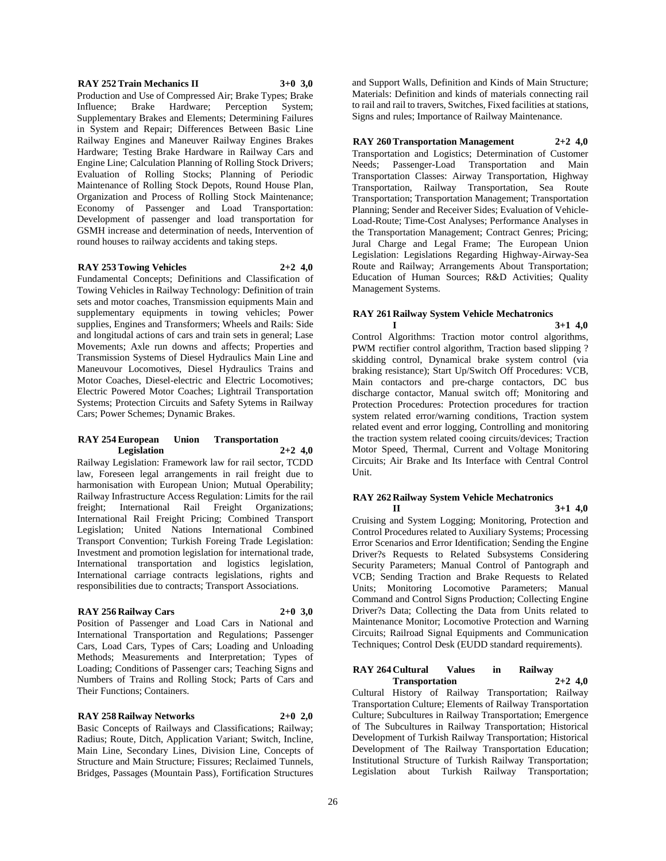#### **RAY 252 Train Mechanics II 3+0 3,0**

Production and Use of Compressed Air; Brake Types; Brake Influence; Brake Hardware; Perception System; Supplementary Brakes and Elements; Determining Failures in System and Repair; Differences Between Basic Line Railway Engines and Maneuver Railway Engines Brakes Hardware; Testing Brake Hardware in Railway Cars and Engine Line; Calculation Planning of Rolling Stock Drivers; Evaluation of Rolling Stocks; Planning of Periodic Maintenance of Rolling Stock Depots, Round House Plan, Organization and Process of Rolling Stock Maintenance; Economy of Passenger and Load Transportation: Development of passenger and load transportation for GSMH increase and determination of needs, Intervention of round houses to railway accidents and taking steps.

#### **RAY 253 Towing Vehicles 2+2 4,0**

Fundamental Concepts; Definitions and Classification of Towing Vehicles in Railway Technology: Definition of train sets and motor coaches. Transmission equipments Main and supplementary equipments in towing vehicles; Power supplies, Engines and Transformers; Wheels and Rails: Side and longitudal actions of cars and train sets in general; Lase Movements; Axle run downs and affects; Properties and Transmission Systems of Diesel Hydraulics Main Line and Maneuvour Locomotives, Diesel Hydraulics Trains and Motor Coaches, Diesel-electric and Electric Locomotives; Electric Powered Motor Coaches; Lightrail Transportation Systems; Protection Circuits and Safety Sytems in Railway Cars; Power Schemes; Dynamic Brakes.

#### **RAY 254 European Union Transportation Legislation 2+2 4,0**

Railway Legislation: Framework law for rail sector, TCDD law, Foreseen legal arrangements in rail freight due to harmonisation with European Union; Mutual Operability; Railway Infrastructure Access Regulation: Limits for the rail freight; International Rail Freight Organizations; International Rail Freight Pricing; Combined Transport Legislation; United Nations International Combined Transport Convention; Turkish Foreing Trade Legislation: Investment and promotion legislation for international trade, International transportation and logistics legislation, International carriage contracts legislations, rights and responsibilities due to contracts; Transport Associations.

#### **RAY 256 Railway Cars 2+0 3,0**

Position of Passenger and Load Cars in National and International Transportation and Regulations; Passenger Cars, Load Cars, Types of Cars; Loading and Unloading Methods; Measurements and Interpretation; Types of Loading; Conditions of Passenger cars; Teaching Signs and Numbers of Trains and Rolling Stock; Parts of Cars and Their Functions; Containers.

# **RAY 258 Railway Networks 2+0 2,0**

Basic Concepts of Railways and Classifications; Railway; Radius; Route, Ditch, Application Variant; Switch, Incline, Main Line, Secondary Lines, Division Line, Concepts of Structure and Main Structure; Fissures; Reclaimed Tunnels, Bridges, Passages (Mountain Pass), Fortification Structures

and Support Walls, Definition and Kinds of Main Structure; Materials: Definition and kinds of materials connecting rail to rail and rail to travers, Switches, Fixed facilities at stations, Signs and rules; Importance of Railway Maintenance.

#### **RAY 260 Transportation Management 2+2 4,0**

Transportation and Logistics; Determination of Customer Needs; Passenger-Load Transportation and Main Transportation Classes: Airway Transportation, Highway Transportation, Railway Transportation, Sea Route Transportation; Transportation Management; Transportation Planning; Sender and Receiver Sides; Evaluation of Vehicle-Load-Route; Time-Cost Analyses; Performance Analyses in the Transportation Management; Contract Genres; Pricing; Jural Charge and Legal Frame; The European Union Legislation: Legislations Regarding Highway-Airway-Sea Route and Railway; Arrangements About Transportation; Education of Human Sources; R&D Activities; Quality Management Systems.

#### **RAY 261 Railway System Vehicle Mechatronics I 3+1 4,0**

Control Algorithms: Traction motor control algorithms, PWM rectifier control algorithm, Traction based slipping ? skidding control, Dynamical brake system control (via braking resistance); Start Up/Switch Off Procedures: VCB, Main contactors and pre-charge contactors, DC bus discharge contactor, Manual switch off; Monitoring and Protection Procedures: Protection procedures for traction system related error/warning conditions, Traction system related event and error logging, Controlling and monitoring the traction system related cooing circuits/devices; Traction Motor Speed, Thermal, Current and Voltage Monitoring Circuits; Air Brake and Its Interface with Central Control Unit.

# **RAY 262 Railway System Vehicle Mechatronics**

**II 3+1 4,0**

Cruising and System Logging; Monitoring, Protection and Control Procedures related to Auxiliary Systems; Processing Error Scenarios and Error Identification; Sending the Engine Driver?s Requests to Related Subsystems Considering Security Parameters; Manual Control of Pantograph and VCB; Sending Traction and Brake Requests to Related Units; Monitoring Locomotive Parameters; Manual Command and Control Signs Production; Collecting Engine Driver?s Data; Collecting the Data from Units related to Maintenance Monitor; Locomotive Protection and Warning Circuits; Railroad Signal Equipments and Communication Techniques; Control Desk (EUDD standard requirements).

#### **RAY 264 Cultural Values in Railway**   $Transportation$

Cultural History of Railway Transportation; Railway Transportation Culture; Elements of Railway Transportation Culture; Subcultures in Railway Transportation; Emergence of The Subcultures in Railway Transportation; Historical Development of Turkish Railway Transportation; Historical Development of The Railway Transportation Education; Institutional Structure of Turkish Railway Transportation; Legislation about Turkish Railway Transportation;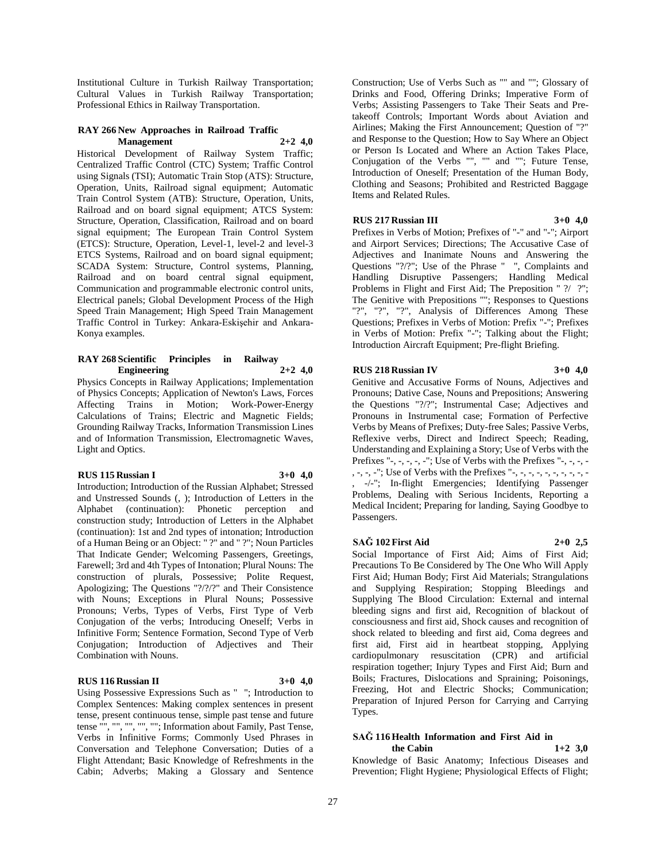Institutional Culture in Turkish Railway Transportation; Cultural Values in Turkish Railway Transportation; Professional Ethics in Railway Transportation.

#### **RAY 266 New Approaches in Railroad Traffic Management 2+2 4,0**

Historical Development of Railway System Traffic; Centralized Traffic Control (CTC) System; Traffic Control using Signals (TSI); Automatic Train Stop (ATS): Structure, Operation, Units, Railroad signal equipment; Automatic Train Control System (ATB): Structure, Operation, Units, Railroad and on board signal equipment; ATCS System: Structure, Operation, Classification, Railroad and on board signal equipment; The European Train Control System (ETCS): Structure, Operation, Level-1, level-2 and level-3 ETCS Systems, Railroad and on board signal equipment; SCADA System: Structure, Control systems, Planning, Railroad and on board central signal equipment, Communication and programmable electronic control units, Electrical panels; Global Development Process of the High Speed Train Management; High Speed Train Management Traffic Control in Turkey: Ankara-Eskişehir and Ankara-Konya examples.

#### **RAY 268 Scientific Principles in Railway Engineering 2+2 4,0**

Physics Concepts in Railway Applications; Implementation of Physics Concepts; Application of Newton's Laws, Forces Affecting Trains in Motion; Work-Power-Energy Calculations of Trains; Electric and Magnetic Fields; Grounding Railway Tracks, Information Transmission Lines and of Information Transmission, Electromagnetic Waves, Light and Optics.

# **RUS 115 Russian I 3+0 4,0**

Introduction; Introduction of the Russian Alphabet; Stressed and Unstressed Sounds (, ); Introduction of Letters in the Alphabet (continuation): Phonetic perception and construction study; Introduction of Letters in the Alphabet (continuation): 1st and 2nd types of intonation; Introduction of a Human Being or an Object: " ?" and " ?"; Noun Particles That Indicate Gender; Welcoming Passengers, Greetings, Farewell; 3rd and 4th Types of Intonation; Plural Nouns: The construction of plurals, Possessive; Polite Request, Apologizing; The Questions "?/?/?" and Their Consistence with Nouns; Exceptions in Plural Nouns; Possessive Pronouns; Verbs, Types of Verbs, First Type of Verb Conjugation of the verbs; Introducing Oneself; Verbs in Infinitive Form; Sentence Formation, Second Type of Verb Conjugation; Introduction of Adjectives and Their Combination with Nouns.

# **RUS 116 Russian II 3+0 4,0**

Using Possessive Expressions Such as " "; Introduction to Complex Sentences: Making complex sentences in present tense, present continuous tense, simple past tense and future tense "", "", "", "", ""; Information about Family, Past Tense, Verbs in Infinitive Forms; Commonly Used Phrases in Conversation and Telephone Conversation; Duties of a Flight Attendant; Basic Knowledge of Refreshments in the Cabin; Adverbs; Making a Glossary and Sentence

Construction; Use of Verbs Such as "" and ""; Glossary of Drinks and Food, Offering Drinks; Imperative Form of Verbs; Assisting Passengers to Take Their Seats and Pretakeoff Controls; Important Words about Aviation and Airlines; Making the First Announcement; Question of "?" and Response to the Question; How to Say Where an Object or Person Is Located and Where an Action Takes Place, Conjugation of the Verbs "", "" and ""; Future Tense, Introduction of Oneself; Presentation of the Human Body, Clothing and Seasons; Prohibited and Restricted Baggage Items and Related Rules.

# **RUS 217 Russian III 3+0 4,0**

Prefixes in Verbs of Motion; Prefixes of "-" and "-"; Airport and Airport Services; Directions; The Accusative Case of Adjectives and Inanimate Nouns and Answering the Questions "?/?"; Use of the Phrase " ", Complaints and Handling Disruptive Passengers; Handling Medical Problems in Flight and First Aid; The Preposition " ?/ ?"; The Genitive with Prepositions ""; Responses to Questions "?", "?", "?", Analysis of Differences Among These Questions; Prefixes in Verbs of Motion: Prefix "-"; Prefixes in Verbs of Motion: Prefix "-"; Talking about the Flight; Introduction Aircraft Equipment; Pre-flight Briefing.

# **RUS 218 Russian IV 3+0 4,0**

Genitive and Accusative Forms of Nouns, Adjectives and Pronouns; Dative Case, Nouns and Prepositions; Answering the Questions "?/?"; Instrumental Case; Adjectives and Pronouns in Instrumental case; Formation of Perfective Verbs by Means of Prefixes; Duty-free Sales; Passive Verbs, Reflexive verbs, Direct and Indirect Speech; Reading, Understanding and Explaining a Story; Use of Verbs with the Prefixes "-, -, -, -, -"; Use of Verbs with the Prefixes "-, -, -, -, -, -, -"; Use of Verbs with the Prefixes "-, -, -, -, -, -, -, -, -, -, -, -/-"; In-flight Emergencies; Identifying Passenger Problems, Dealing with Serious Incidents, Reporting a Medical Incident; Preparing for landing, Saying Goodbye to Passengers.

# **SAĞ 102 First Aid 2+0 2,5**

Social Importance of First Aid; Aims of First Aid; Precautions To Be Considered by The One Who Will Apply First Aid; Human Body; First Aid Materials; Strangulations and Supplying Respiration; Stopping Bleedings and Supplying The Blood Circulation: External and internal bleeding signs and first aid, Recognition of blackout of consciousness and first aid, Shock causes and recognition of shock related to bleeding and first aid, Coma degrees and first aid, First aid in heartbeat stopping, Applying cardiopulmonary resuscitation (CPR) and artificial respiration together; Injury Types and First Aid; Burn and Boils; Fractures, Dislocations and Spraining; Poisonings, Freezing, Hot and Electric Shocks; Communication; Preparation of Injured Person for Carrying and Carrying Types.

# **SAĞ 116 Health Information and First Aid in**

**the Cabin 1+2 3,0** Knowledge of Basic Anatomy; Infectious Diseases and Prevention; Flight Hygiene; Physiological Effects of Flight;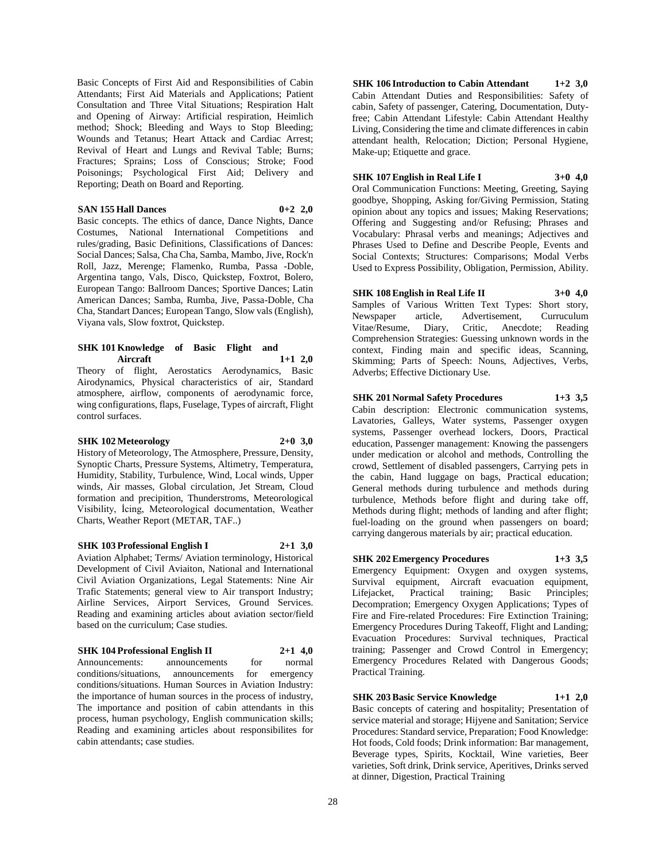Basic Concepts of First Aid and Responsibilities of Cabin Attendants; First Aid Materials and Applications; Patient Consultation and Three Vital Situations; Respiration Halt and Opening of Airway: Artificial respiration, Heimlich method; Shock; Bleeding and Ways to Stop Bleeding; Wounds and Tetanus; Heart Attack and Cardiac Arrest; Revival of Heart and Lungs and Revival Table; Burns; Fractures; Sprains; Loss of Conscious; Stroke; Food Poisonings; Psychological First Aid; Delivery and Reporting; Death on Board and Reporting.

#### **SAN 155 Hall Dances 0+2 2,0**

Basic concepts. The ethics of dance, Dance Nights, Dance Costumes, National International Competitions and rules/grading, Basic Definitions, Classifications of Dances: Social Dances; Salsa, Cha Cha, Samba, Mambo, Jive, Rock'n Roll, Jazz, Merenge; Flamenko, Rumba, Passa -Doble, Argentina tango, Vals, Disco, Quickstep, Foxtrot, Bolero, European Tango: Ballroom Dances; Sportive Dances; Latin American Dances; Samba, Rumba, Jive, Passa-Doble, Cha Cha, Standart Dances; European Tango, Slow vals (English), Viyana vals, Slow foxtrot, Quickstep.

#### **SHK 101 Knowledge of Basic Flight and Aircraft 1+1 2,0**

Theory of flight, Aerostatics Aerodynamics, Basic Airodynamics, Physical characteristics of air, Standard atmosphere, airflow, components of aerodynamic force, wing configurations, flaps, Fuselage, Types of aircraft, Flight control surfaces.

#### **SHK 102 Meteorology 2+0 3,0**

History of Meteorology, The Atmosphere, Pressure, Density, Synoptic Charts, Pressure Systems, Altimetry, Temperatura, Humidity, Stability, Turbulence, Wind, Local winds, Upper winds, Air masses, Global circulation, Jet Stream, Cloud formation and precipition, Thunderstroms, Meteorological Visibility, İcing, Meteorological documentation, Weather Charts, Weather Report (METAR, TAF..)

#### **SHK 103 Professional English I 2+1 3,0**

Aviation Alphabet; Terms/ Aviation terminology, Historical Development of Civil Aviaiton, National and International Civil Aviation Organizations, Legal Statements: Nine Air Trafic Statements; general view to Air transport Industry; Airline Services, Airport Services, Ground Services. Reading and examining articles about aviation sector/field based on the curriculum; Case studies.

#### **SHK 104 Professional English II 2+1 4,0**

Announcements: announcements for normal conditions/situations, announcements for emergency conditions/situations. Human Sources in Aviation Industry: the importance of human sources in the process of industry, The importance and position of cabin attendants in this process, human psychology, English communication skills; Reading and examining articles about responsibilites for cabin attendants; case studies.

**SHK 106 Introduction to Cabin Attendant 1+2 3,0** Cabin Attendant Duties and Responsibilities: Safety of cabin, Safety of passenger, Catering, Documentation, Dutyfree; Cabin Attendant Lifestyle: Cabin Attendant Healthy Living, Considering the time and climate differences in cabin attendant health, Relocation; Diction; Personal Hygiene, Make-up; Etiquette and grace.

# **SHK 107 English in Real Life I 3+0 4,0**

Oral Communication Functions: Meeting, Greeting, Saying goodbye, Shopping, Asking for/Giving Permission, Stating opinion about any topics and issues; Making Reservations; Offering and Suggesting and/or Refusing; Phrases and Vocabulary: Phrasal verbs and meanings; Adjectives and Phrases Used to Define and Describe People, Events and Social Contexts; Structures: Comparisons; Modal Verbs Used to Express Possibility, Obligation, Permission, Ability.

**SHK 108 English in Real Life II 3+0 4,0** Samples of Various Written Text Types: Short story, Newspaper article, Advertisement, Curruculum Vitae/Resume, Diary, Critic, Anecdote; Reading Comprehension Strategies: Guessing unknown words in the context, Finding main and specific ideas, Scanning, Skimming; Parts of Speech: Nouns, Adjectives, Verbs, Adverbs; Effective Dictionary Use.

# **SHK 201 Normal Safety Procedures 1+3 3,5**

Cabin description: Electronic communication systems, Lavatories, Galleys, Water systems, Passenger oxygen systems, Passenger overhead lockers, Doors, Practical education, Passenger management: Knowing the passengers under medication or alcohol and methods, Controlling the crowd, Settlement of disabled passengers, Carrying pets in the cabin, Hand luggage on bags, Practical education; General methods during turbulence and methods during turbulence, Methods before flight and during take off, Methods during flight; methods of landing and after flight; fuel-loading on the ground when passengers on board; carrying dangerous materials by air; practical education.

# **SHK 202 Emergency Procedures 1+3 3,5**

Emergency Equipment: Oxygen and oxygen systems, Survival equipment, Aircraft evacuation equipment, Lifejacket, Practical training; Basic Principles; Decompration; Emergency Oxygen Applications; Types of Fire and Fire-related Procedures: Fire Extinction Training; Emergency Procedures During Takeoff, Flight and Landing; Evacuation Procedures: Survival techniques, Practical training; Passenger and Crowd Control in Emergency; Emergency Procedures Related with Dangerous Goods; Practical Training.

# **SHK 203 Basic Service Knowledge 1+1 2,0**

Basic concepts of catering and hospitality; Presentation of service material and storage; Hijyene and Sanitation; Service Procedures: Standard service, Preparation; Food Knowledge: Hot foods, Cold foods; Drink information: Bar management, Beverage types, Spirits, Kocktail, Wine varieties, Beer varieties, Soft drink, Drink service, Aperitives, Drinks served at dinner, Digestion, Practical Training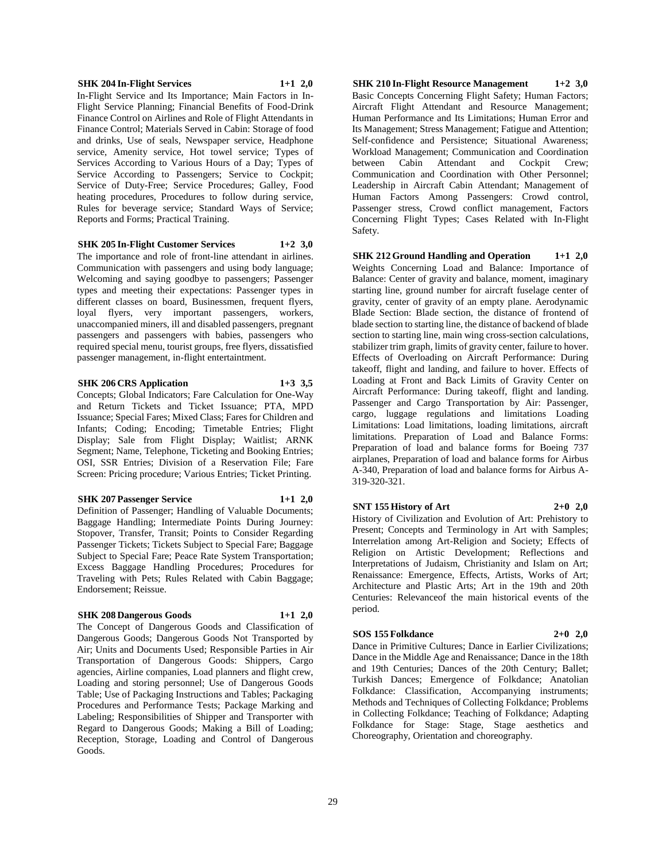#### **SHK 204 In-Flight Services 1+1 2,0**

In-Flight Service and Its Importance; Main Factors in In-Flight Service Planning; Financial Benefits of Food-Drink Finance Control on Airlines and Role of Flight Attendants in Finance Control; Materials Served in Cabin: Storage of food and drinks, Use of seals, Newspaper service, Headphone service, Amenity service, Hot towel service; Types of Services According to Various Hours of a Day; Types of Service According to Passengers; Service to Cockpit; Service of Duty-Free; Service Procedures; Galley, Food heating procedures, Procedures to follow during service, Rules for beverage service; Standard Ways of Service; Reports and Forms; Practical Training.

#### **SHK 205 In-Flight Customer Services 1+2 3,0**

The importance and role of front-line attendant in airlines. Communication with passengers and using body language; Welcoming and saying goodbye to passengers; Passenger types and meeting their expectations: Passenger types in different classes on board, Businessmen, frequent flyers, loyal flyers, very important passengers, workers, unaccompanied miners, ill and disabled passengers, pregnant passengers and passengers with babies, passengers who required special menu, tourist groups, free flyers, dissatisfied passenger management, in-flight entertaintment.

# **SHK 206 CRS Application 1+3 3,5**

Concepts; Global Indicators; Fare Calculation for One-Way and Return Tickets and Ticket Issuance; PTA, MPD Issuance; Special Fares; Mixed Class; Fares for Children and Infants; Coding; Encoding; Timetable Entries; Flight Display; Sale from Flight Display; Waitlist; ARNK Segment; Name, Telephone, Ticketing and Booking Entries; OSI, SSR Entries; Division of a Reservation File; Fare Screen: Pricing procedure; Various Entries; Ticket Printing.

#### **SHK 207 Passenger Service 1+1 2,0**

Definition of Passenger; Handling of Valuable Documents; Baggage Handling; Intermediate Points During Journey: Stopover, Transfer, Transit; Points to Consider Regarding Passenger Tickets; Tickets Subject to Special Fare; Baggage Subject to Special Fare; Peace Rate System Transportation; Excess Baggage Handling Procedures; Procedures for Traveling with Pets; Rules Related with Cabin Baggage; Endorsement; Reissue.

#### **SHK 208 Dangerous Goods 1+1 2,0**

The Concept of Dangerous Goods and Classification of Dangerous Goods; Dangerous Goods Not Transported by Air; Units and Documents Used; Responsible Parties in Air Transportation of Dangerous Goods: Shippers, Cargo agencies, Airline companies, Load planners and flight crew, Loading and storing personnel; Use of Dangerous Goods Table; Use of Packaging Instructions and Tables; Packaging Procedures and Performance Tests; Package Marking and Labeling; Responsibilities of Shipper and Transporter with Regard to Dangerous Goods; Making a Bill of Loading; Reception, Storage, Loading and Control of Dangerous Goods.

**SHK 210 In-Flight Resource Management 1+2 3,0** Basic Concepts Concerning Flight Safety; Human Factors; Aircraft Flight Attendant and Resource Management; Human Performance and Its Limitations; Human Error and Its Management; Stress Management; Fatigue and Attention; Self-confidence and Persistence; Situational Awareness; Workload Management; Communication and Coordination between Cabin Attendant and Cockpit Crew; Communication and Coordination with Other Personnel; Leadership in Aircraft Cabin Attendant; Management of Human Factors Among Passengers: Crowd control, Passenger stress, Crowd conflict management, Factors Concerning Flight Types; Cases Related with In-Flight Safety.

**SHK 212 Ground Handling and Operation 1+1 2,0** Weights Concerning Load and Balance: Importance of Balance: Center of gravity and balance, moment, imaginary starting line, ground number for aircraft fuselage center of gravity, center of gravity of an empty plane. Aerodynamic Blade Section: Blade section, the distance of frontend of blade section to starting line, the distance of backend of blade section to starting line, main wing cross-section calculations, stabilizer trim graph, limits of gravity center, failure to hover. Effects of Overloading on Aircraft Performance: During takeoff, flight and landing, and failure to hover. Effects of Loading at Front and Back Limits of Gravity Center on Aircraft Performance: During takeoff, flight and landing. Passenger and Cargo Transportation by Air: Passenger, cargo, luggage regulations and limitations Loading Limitations: Load limitations, loading limitations, aircraft limitations. Preparation of Load and Balance Forms: Preparation of load and balance forms for Boeing 737 airplanes, Preparation of load and balance forms for Airbus A-340, Preparation of load and balance forms for Airbus A-319-320-321.

#### **SNT 155 History of Art 2+0 2,0**

History of Civilization and Evolution of Art: Prehistory to Present; Concepts and Terminology in Art with Samples; Interrelation among Art-Religion and Society; Effects of Religion on Artistic Development; Reflections and Interpretations of Judaism, Christianity and Islam on Art; Renaissance: Emergence, Effects, Artists, Works of Art; Architecture and Plastic Arts; Art in the 19th and 20th Centuries: Relevanceof the main historical events of the period.

#### **SOS 155 Folkdance 2+0 2,0**

Dance in Primitive Cultures; Dance in Earlier Civilizations; Dance in the Middle Age and Renaissance; Dance in the 18th and 19th Centuries; Dances of the 20th Century; Ballet; Turkish Dances; Emergence of Folkdance; Anatolian Folkdance: Classification, Accompanying instruments; Methods and Techniques of Collecting Folkdance; Problems in Collecting Folkdance; Teaching of Folkdance; Adapting Folkdance for Stage: Stage, Stage aesthetics and Choreography, Orientation and choreography.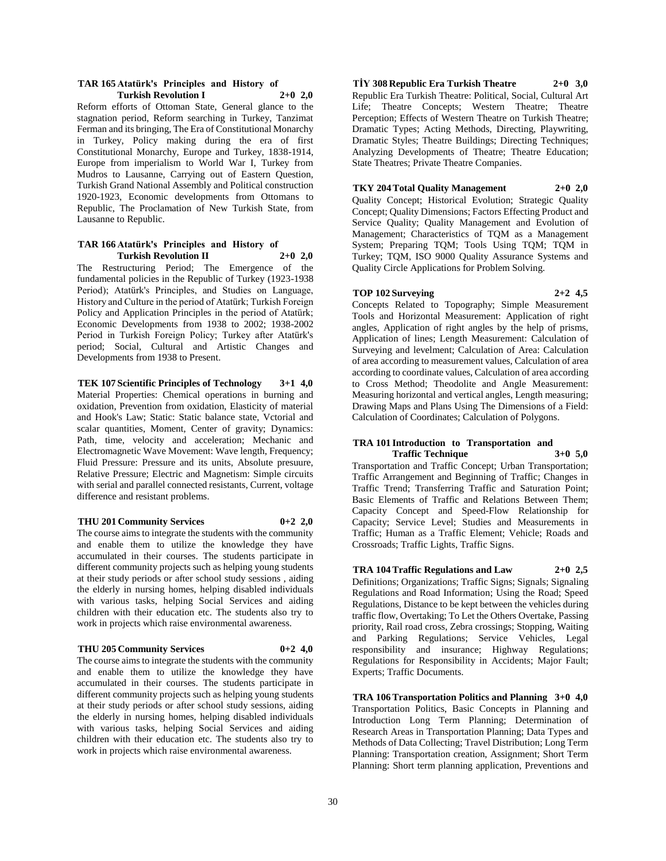#### **TAR 165 Atatürk's Principles and History of Turkish Revolution I 2+0 2,0**

Reform efforts of Ottoman State, General glance to the stagnation period, Reform searching in Turkey, Tanzimat Ferman and its bringing, The Era of Constitutional Monarchy in Turkey, Policy making during the era of first Constitutional Monarchy, Europe and Turkey, 1838-1914, Europe from imperialism to World War I, Turkey from Mudros to Lausanne, Carrying out of Eastern Question, Turkish Grand National Assembly and Political construction 1920-1923, Economic developments from Ottomans to Republic, The Proclamation of New Turkish State, from Lausanne to Republic.

#### **TAR 166 Atatürk's Principles and History of Turkish Revolution II 2+0 2,0**

The Restructuring Period; The Emergence of the fundamental policies in the Republic of Turkey (1923-1938 Period); Atatürk's Principles, and Studies on Language, History and Culture in the period of Atatürk; Turkish Foreign Policy and Application Principles in the period of Atatürk; Economic Developments from 1938 to 2002; 1938-2002 Period in Turkish Foreign Policy; Turkey after Atatürk's period; Social, Cultural and Artistic Changes and Developments from 1938 to Present.

**TEK 107 Scientific Principles of Technology 3+1 4,0** Material Properties: Chemical operations in burning and oxidation, Prevention from oxidation, Elasticity of material and Hook's Law; Static: Static balance state, Vctorial and scalar quantities, Moment, Center of gravity; Dynamics: Path, time, velocity and acceleration; Mechanic and Electromagnetic Wave Movement: Wave length, Frequency; Fluid Pressure: Pressure and its units, Absolute presuure, Relative Pressure; Electric and Magnetism: Simple circuits with serial and parallel connected resistants, Current, voltage difference and resistant problems.

#### **THU 201 Community Services 0+2 2,0**

The course aims to integrate the students with the community and enable them to utilize the knowledge they have accumulated in their courses. The students participate in different community projects such as helping young students at their study periods or after school study sessions , aiding the elderly in nursing homes, helping disabled individuals with various tasks, helping Social Services and aiding children with their education etc. The students also try to work in projects which raise environmental awareness.

#### **THU 205 Community Services 0+2 4,0**

The course aims to integrate the students with the community and enable them to utilize the knowledge they have accumulated in their courses. The students participate in different community projects such as helping young students at their study periods or after school study sessions, aiding the elderly in nursing homes, helping disabled individuals with various tasks, helping Social Services and aiding children with their education etc. The students also try to work in projects which raise environmental awareness.

**TİY 308 Republic Era Turkish Theatre 2+0 3,0** Republic Era Turkish Theatre: Political, Social, Cultural Art Life; Theatre Concepts; Western Theatre; Theatre Perception; Effects of Western Theatre on Turkish Theatre; Dramatic Types; Acting Methods, Directing, Playwriting, Dramatic Styles; Theatre Buildings; Directing Techniques; Analyzing Developments of Theatre; Theatre Education; State Theatres; Private Theatre Companies.

## **TKY 204 Total Quality Management 2+0 2,0**

Quality Concept; Historical Evolution; Strategic Quality Concept; Quality Dimensions; Factors Effecting Product and Service Quality; Quality Management and Evolution of Management; Characteristics of TQM as a Management System; Preparing TQM; Tools Using TQM; TQM in Turkey; TQM, ISO 9000 Quality Assurance Systems and Quality Circle Applications for Problem Solving.

# **TOP 102 Surveying 2+2 4,5**

Concepts Related to Topography; Simple Measurement Tools and Horizontal Measurement: Application of right angles, Application of right angles by the help of prisms, Application of lines; Length Measurement: Calculation of Surveying and levelment; Calculation of Area: Calculation of area according to measurement values, Calculation of area according to coordinate values, Calculation of area according to Cross Method; Theodolite and Angle Measurement: Measuring horizontal and vertical angles, Length measuring; Drawing Maps and Plans Using The Dimensions of a Field: Calculation of Coordinates; Calculation of Polygons.

#### **TRA 101 Introduction to Transportation and Traffic Technique 3+0 5,0**

Transportation and Traffic Concept; Urban Transportation; Traffic Arrangement and Beginning of Traffic; Changes in Traffic Trend; Transferring Traffic and Saturation Point; Basic Elements of Traffic and Relations Between Them; Capacity Concept and Speed-Flow Relationship for Capacity; Service Level; Studies and Measurements in Traffic; Human as a Traffic Element; Vehicle; Roads and Crossroads; Traffic Lights, Traffic Signs.

**TRA 104 Traffic Regulations and Law 2+0 2,5** Definitions; Organizations; Traffic Signs; Signals; Signaling Regulations and Road Information; Using the Road; Speed Regulations, Distance to be kept between the vehicles during traffic flow, Overtaking; To Let the Others Overtake, Passing priority, Rail road cross, Zebra crossings; Stopping, Waiting and Parking Regulations; Service Vehicles, Legal responsibility and insurance; Highway Regulations; Regulations for Responsibility in Accidents; Major Fault; Experts; Traffic Documents.

**TRA 106 Transportation Politics and Planning 3+0 4,0** Transportation Politics, Basic Concepts in Planning and Introduction Long Term Planning; Determination of Research Areas in Transportation Planning; Data Types and Methods of Data Collecting; Travel Distribution; Long Term Planning: Transportation creation, Assignment; Short Term Planning: Short term planning application, Preventions and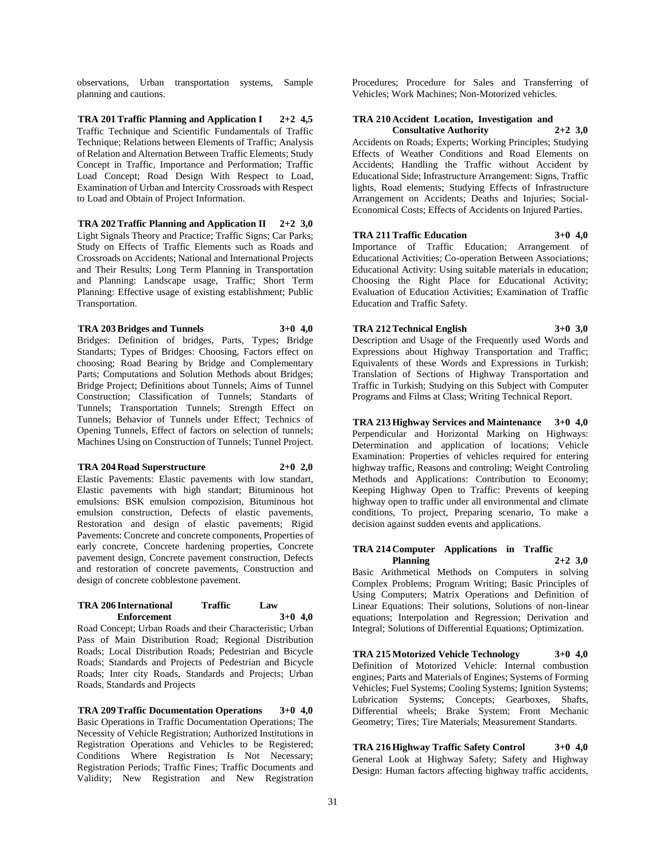observations, Urban transportation systems, Sample planning and cautions.

**TRA 201 Traffic Planning and Application I 2+2 4,5** Traffic Technique and Scientific Fundamentals of Traffic Technique; Relations between Elements of Traffic; Analysis of Relation and Alternation Between Traffic Elements; Study Concept in Traffic, Importance and Performation; Traffic Load Concept; Road Design With Respect to Load, Examination of Urban and Intercity Crossroads with Respect to Load and Obtain of Project Information.

**TRA 202 Traffic Planning and Application II 2+2 3,0** Light Signals Theory and Practice; Traffic Signs; Car Parks; Study on Effects of Traffic Elements such as Roads and Crossroads on Accidents; National and International Projects and Their Results; Long Term Planning in Transportation and Planning: Landscape usage, Traffic; Short Term Planning: Effective usage of existing establishment; Public Transportation.

## **TRA 203 Bridges and Tunnels 3+0 4,0**

Bridges: Definition of bridges, Parts, Types; Bridge Standarts; Types of Bridges: Choosing, Factors effect on choosing; Road Bearing by Bridge and Complementary Parts; Computations and Solution Methods about Bridges; Bridge Project; Definitions about Tunnels; Aims of Tunnel Construction; Classification of Tunnels; Standarts of Tunnels; Transportation Tunnels; Strength Effect on Tunnels; Behavior of Tunnels under Effect; Technics of Opening Tunnels, Effect of factors on selection of tunnels; Machines Using on Construction of Tunnels; Tunnel Project.

**TRA 204 Road Superstructure 2+0 2,0**

Elastic Pavements: Elastic pavements with low standart, Elastic pavements with high standart; Bituminous hot emulsions: BSK emulsion compozision, Bituminous hot emulsion construction, Defects of elastic pavements, Restoration and design of elastic pavements; Rigid Pavements: Concrete and concrete components, Properties of early concrete, Concrete hardening properties, Concrete pavement design, Concrete pavement construction, Defects and restoration of concrete pavements, Construction and design of concrete cobblestone pavement.

#### **TRA 206 International Traffic Law Enforcement 3+0 4,0**

Road Concept; Urban Roads and their Characteristic; Urban Pass of Main Distribution Road; Regional Distribution Roads; Local Distribution Roads; Pedestrian and Bicycle Roads; Standards and Projects of Pedestrian and Bicycle Roads; Inter city Roads, Standards and Projects; Urban Roads, Standards and Projects

**TRA 209 Traffic Documentation Operations 3+0 4,0** Basic Operations in Traffic Documentation Operations; The Necessity of Vehicle Registration; Authorized Institutions in Registration Operations and Vehicles to be Registered; Conditions Where Registration Is Not Necessary; Registration Periods; Traffic Fines; Traffic Documents and Validity; New Registration and New Registration

Procedures; Procedure for Sales and Transferring of Vehicles; Work Machines; Non-Motorized vehicles.

# **TRA 210 Accident Location, Investigation and**

**Consultative Authority 2+2 3,0** Accidents on Roads; Experts; Working Principles; Studying Effects of Weather Conditions and Road Elements on Accidents; Handling the Traffic without Accident by Educational Side; Infrastructure Arrangement: Signs, Traffic lights, Road elements; Studying Effects of Infrastructure Arrangement on Accidents; Deaths and Injuries; Social-Economical Costs; Effects of Accidents on Injured Parties.

#### **TRA 211 Traffic Education 3+0 4,0**

Education and Traffic Safety.

Importance of Traffic Education; Arrangement of Educational Activities; Co-operation Between Associations; Educational Activity: Using suitable materials in education; Choosing the Right Place for Educational Activity; Evaluation of Education Activities; Examination of Traffic

# **TRA 212 Technical English 3+0 3,0**

Description and Usage of the Frequently used Words and Expressions about Highway Transportation and Traffic; Equivalents of these Words and Expressions in Turkish; Translation of Sections of Highway Transportation and Traffic in Turkish; Studying on this Subject with Computer Programs and Films at Class; Writing Technical Report.

**TRA 213 Highway Services and Maintenance 3+0 4,0** Perpendicular and Horizontal Marking on Highways: Determination and application of locations; Vehicle Examination: Properties of vehicles required for entering highway traffic, Reasons and controling; Weight Controling Methods and Applications: Contribution to Economy; Keeping Highway Open to Traffic: Prevents of keeping highway open to traffic under all environmental and climate conditions, To project, Preparing scenario, To make a decision against sudden events and applications.

## **TRA 214 Computer Applications in Traffic Planning 2+2 3,0**

Basic Arithmetical Methods on Computers in solving Complex Problems; Program Writing; Basic Principles of Using Computers; Matrix Operations and Definition of Linear Equations: Their solutions, Solutions of non-linear equations; Interpolation and Regression; Derivation and Integral; Solutions of Differential Equations; Optimization.

**TRA 215 Motorized Vehicle Technology 3+0 4,0** Definition of Motorized Vehicle: Internal combustion engines; Parts and Materials of Engines; Systems of Forming Vehicles; Fuel Systems; Cooling Systems; Ignition Systems; Lubrication Systems; Concepts; Gearboxes, Shafts, Differential wheels; Brake System; Front Mechanic Geometry; Tires; Tire Materials; Measurement Standarts.

**TRA 216 Highway Traffic Safety Control 3+0 4,0** General Look at Highway Safety; Safety and Highway Design: Human factors affecting highway traffic accidents,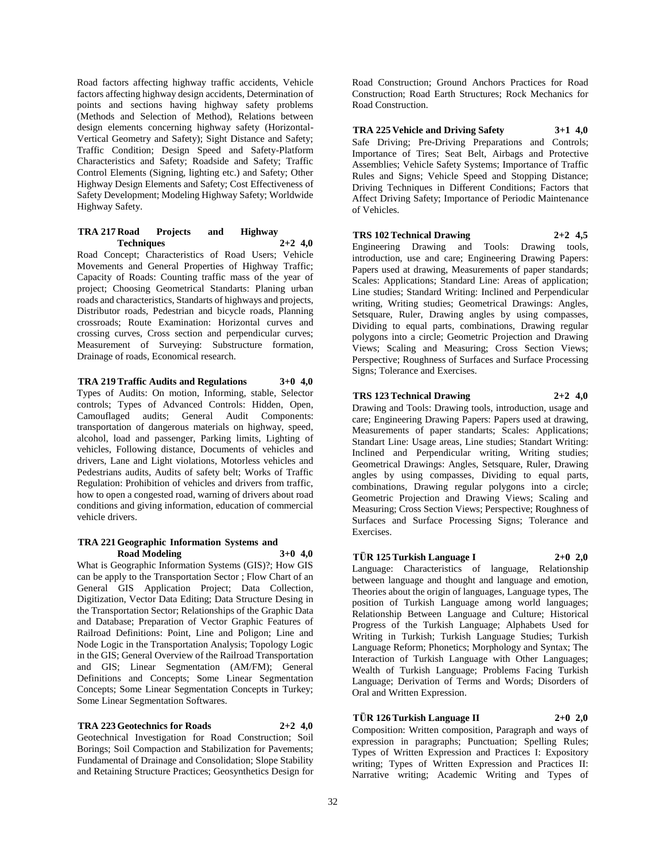Road factors affecting highway traffic accidents, Vehicle factors affecting highway design accidents, Determination of points and sections having highway safety problems (Methods and Selection of Method), Relations between design elements concerning highway safety (Horizontal-Vertical Geometry and Safety); Sight Distance and Safety; Traffic Condition; Design Speed and Safety-Platform Characteristics and Safety; Roadside and Safety; Traffic Control Elements (Signing, lighting etc.) and Safety; Other Highway Design Elements and Safety; Cost Effectiveness of Safety Development; Modeling Highway Safety; Worldwide Highway Safety.

#### **TRA 217 Road Projects and Highway Techniques 2+2 4,0**

Road Concept; Characteristics of Road Users; Vehicle Movements and General Properties of Highway Traffic; Capacity of Roads: Counting traffic mass of the year of project; Choosing Geometrical Standarts: Planing urban roads and characteristics, Standarts of highways and projects, Distributor roads, Pedestrian and bicycle roads, Planning crossroads; Route Examination: Horizontal curves and crossing curves, Cross section and perpendicular curves; Measurement of Surveying: Substructure formation, Drainage of roads, Economical research.

## **TRA 219 Traffic Audits and Regulations 3+0 4,0**

Types of Audits: On motion, Informing, stable, Selector controls; Types of Advanced Controls: Hidden, Open, Camouflaged audits; General Audit Components: transportation of dangerous materials on highway, speed, alcohol, load and passenger, Parking limits, Lighting of vehicles, Following distance, Documents of vehicles and drivers, Lane and Light violations, Motorless vehicles and Pedestrians audits, Audits of safety belt; Works of Traffic Regulation: Prohibition of vehicles and drivers from traffic, how to open a congested road, warning of drivers about road conditions and giving information, education of commercial vehicle drivers.

#### **TRA 221 Geographic Information Systems and Road Modeling 3+0 4,0**

What is Geographic Information Systems (GIS)?; How GIS can be apply to the Transportation Sector ; Flow Chart of an General GIS Application Project; Data Collection, Digitization, Vector Data Editing; Data Structure Desing in the Transportation Sector; Relationships of the Graphic Data and Database; Preparation of Vector Graphic Features of Railroad Definitions: Point, Line and Poligon; Line and Node Logic in the Transportation Analysis; Topology Logic in the GIS; General Overview of the Railroad Transportation and GIS; Linear Segmentation (AM/FM); General Definitions and Concepts; Some Linear Segmentation Concepts; Some Linear Segmentation Concepts in Turkey; Some Linear Segmentation Softwares.

#### **TRA 223 Geotechnics for Roads 2+2 4,0**

Geotechnical Investigation for Road Construction; Soil Borings; Soil Compaction and Stabilization for Pavements; Fundamental of Drainage and Consolidation; Slope Stability and Retaining Structure Practices; Geosynthetics Design for Road Construction; Ground Anchors Practices for Road Construction; Road Earth Structures; Rock Mechanics for Road Construction.

**TRA 225 Vehicle and Driving Safety 3+1 4,0** Safe Driving; Pre-Driving Preparations and Controls; Importance of Tires; Seat Belt, Airbags and Protective Assemblies; Vehicle Safety Systems; Importance of Traffic Rules and Signs; Vehicle Speed and Stopping Distance; Driving Techniques in Different Conditions; Factors that Affect Driving Safety; Importance of Periodic Maintenance of Vehicles.

## **TRS 102 Technical Drawing 2+2 4,5**

Engineering Drawing and Tools: Drawing tools, introduction, use and care; Engineering Drawing Papers: Papers used at drawing, Measurements of paper standards; Scales: Applications; Standard Line: Areas of application; Line studies; Standard Writing: Inclined and Perpendicular writing, Writing studies; Geometrical Drawings: Angles, Setsquare, Ruler, Drawing angles by using compasses, Dividing to equal parts, combinations, Drawing regular polygons into a circle; Geometric Projection and Drawing Views; Scaling and Measuring; Cross Section Views; Perspective; Roughness of Surfaces and Surface Processing Signs; Tolerance and Exercises.

#### **TRS 123 Technical Drawing 2+2 4,0**

Drawing and Tools: Drawing tools, introduction, usage and care; Engineering Drawing Papers: Papers used at drawing, Measurements of paper standarts; Scales: Applications; Standart Line: Usage areas, Line studies; Standart Writing: Inclined and Perpendicular writing, Writing studies; Geometrical Drawings: Angles, Setsquare, Ruler, Drawing angles by using compasses, Dividing to equal parts, combinations, Drawing regular polygons into a circle; Geometric Projection and Drawing Views; Scaling and Measuring; Cross Section Views; Perspective; Roughness of Surfaces and Surface Processing Signs; Tolerance and Exercises.

# **TÜR 125 Turkish Language I 2+0 2,0**

Language: Characteristics of language, Relationship between language and thought and language and emotion, Theories about the origin of languages, Language types, The position of Turkish Language among world languages; Relationship Between Language and Culture; Historical Progress of the Turkish Language; Alphabets Used for Writing in Turkish; Turkish Language Studies; Turkish Language Reform; Phonetics; Morphology and Syntax; The Interaction of Turkish Language with Other Languages; Wealth of Turkish Language; Problems Facing Turkish Language; Derivation of Terms and Words; Disorders of Oral and Written Expression.

# **TÜR 126 Turkish Language II 2+0 2,0**

Composition: Written composition, Paragraph and ways of expression in paragraphs; Punctuation; Spelling Rules; Types of Written Expression and Practices I: Expository writing; Types of Written Expression and Practices II: Narrative writing; Academic Writing and Types of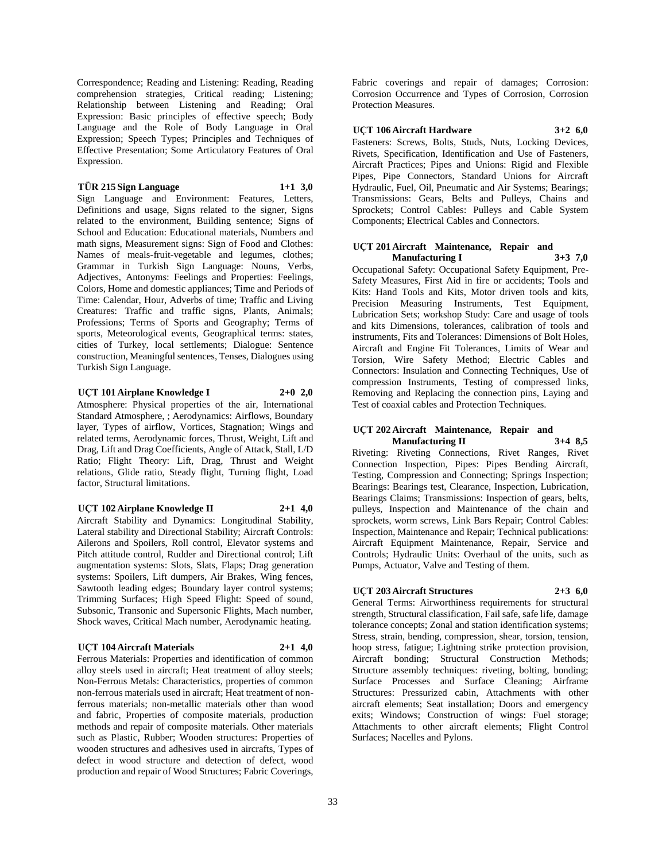Correspondence; Reading and Listening: Reading, Reading comprehension strategies, Critical reading; Listening; Relationship between Listening and Reading; Oral Expression: Basic principles of effective speech; Body Language and the Role of Body Language in Oral Expression; Speech Types; Principles and Techniques of Effective Presentation; Some Articulatory Features of Oral Expression.

# **TÜR 215 Sign Language 1+1 3,0**

Sign Language and Environment: Features, Letters, Definitions and usage, Signs related to the signer, Signs related to the environment, Building sentence; Signs of School and Education: Educational materials, Numbers and math signs, Measurement signs: Sign of Food and Clothes: Names of meals-fruit-vegetable and legumes, clothes; Grammar in Turkish Sign Language: Nouns, Verbs, Adjectives, Antonyms: Feelings and Properties: Feelings, Colors, Home and domestic appliances; Time and Periods of Time: Calendar, Hour, Adverbs of time; Traffic and Living Creatures: Traffic and traffic signs, Plants, Animals; Professions; Terms of Sports and Geography; Terms of sports, Meteorological events, Geographical terms: states, cities of Turkey, local settlements; Dialogue: Sentence construction, Meaningful sentences, Tenses, Dialogues using Turkish Sign Language.

**UÇT 101 Airplane Knowledge I 2+0 2,0** Atmosphere: Physical properties of the air, International Standard Atmosphere, ; Aerodynamics: Airflows, Boundary layer, Types of airflow, Vortices, Stagnation; Wings and related terms, Aerodynamic forces, Thrust, Weight, Lift and Drag, Lift and Drag Coefficients, Angle of Attack, Stall, L/D Ratio; Flight Theory: Lift, Drag, Thrust and Weight relations, Glide ratio, Steady flight, Turning flight, Load factor, Structural limitations.

**UÇT 102 Airplane Knowledge II 2+1 4,0** Aircraft Stability and Dynamics: Longitudinal Stability, Lateral stability and Directional Stability; Aircraft Controls: Ailerons and Spoilers, Roll control, Elevator systems and Pitch attitude control, Rudder and Directional control; Lift augmentation systems: Slots, Slats, Flaps; Drag generation systems: Spoilers, Lift dumpers, Air Brakes, Wing fences, Sawtooth leading edges; Boundary layer control systems; Trimming Surfaces; High Speed Flight: Speed of sound, Subsonic, Transonic and Supersonic Flights, Mach number, Shock waves, Critical Mach number, Aerodynamic heating.

#### **UÇT 104 Aircraft Materials 2+1 4,0**

Ferrous Materials: Properties and identification of common alloy steels used in aircraft; Heat treatment of alloy steels; Non-Ferrous Metals: Characteristics, properties of common non-ferrous materials used in aircraft; Heat treatment of nonferrous materials; non-metallic materials other than wood and fabric, Properties of composite materials, production methods and repair of composite materials. Other materials such as Plastic, Rubber; Wooden structures: Properties of wooden structures and adhesives used in aircrafts, Types of defect in wood structure and detection of defect, wood production and repair of Wood Structures; Fabric Coverings,

Fabric coverings and repair of damages; Corrosion: Corrosion Occurrence and Types of Corrosion, Corrosion Protection Measures.

**UÇT 106 Aircraft Hardware 3+2 6,0**

Fasteners: Screws, Bolts, Studs, Nuts, Locking Devices, Rivets, Specification, Identification and Use of Fasteners, Aircraft Practices; Pipes and Unions: Rigid and Flexible Pipes, Pipe Connectors, Standard Unions for Aircraft Hydraulic, Fuel, Oil, Pneumatic and Air Systems; Bearings; Transmissions: Gears, Belts and Pulleys, Chains and Sprockets; Control Cables: Pulleys and Cable System Components; Electrical Cables and Connectors.

#### **UÇT 201 Aircraft Maintenance, Repair and Manufacturing I 3+3 7,0**

Occupational Safety: Occupational Safety Equipment, Pre-Safety Measures, First Aid in fire or accidents; Tools and Kits: Hand Tools and Kits, Motor driven tools and kits, Precision Measuring Instruments, Test Equipment, Lubrication Sets; workshop Study: Care and usage of tools and kits Dimensions, tolerances, calibration of tools and instruments, Fits and Tolerances: Dimensions of Bolt Holes, Aircraft and Engine Fit Tolerances, Limits of Wear and Torsion, Wire Safety Method; Electric Cables and Connectors: Insulation and Connecting Techniques, Use of compression Instruments, Testing of compressed links, Removing and Replacing the connection pins, Laying and Test of coaxial cables and Protection Techniques.

#### **UÇT 202 Aircraft Maintenance, Repair and Manufacturing II 3+4 8,5**

Riveting: Riveting Connections, Rivet Ranges, Rivet Connection Inspection, Pipes: Pipes Bending Aircraft, Testing, Compression and Connecting; Springs Inspection; Bearings: Bearings test, Clearance, Inspection, Lubrication, Bearings Claims; Transmissions: Inspection of gears, belts, pulleys, Inspection and Maintenance of the chain and sprockets, worm screws, Link Bars Repair; Control Cables: Inspection, Maintenance and Repair; Technical publications: Aircraft Equipment Maintenance, Repair, Service and Controls; Hydraulic Units: Overhaul of the units, such as Pumps, Actuator, Valve and Testing of them.

# **UÇT 203 Aircraft Structures 2+3 6,0**

General Terms: Airworthiness requirements for structural strength, Structural classification, Fail safe, safe life, damage tolerance concepts; Zonal and station identification systems; Stress, strain, bending, compression, shear, torsion, tension, hoop stress, fatigue; Lightning strike protection provision, Aircraft bonding; Structural Construction Methods; Structure assembly techniques: riveting, bolting, bonding; Surface Processes and Surface Cleaning; Airframe Structures: Pressurized cabin, Attachments with other aircraft elements; Seat installation; Doors and emergency exits; Windows; Construction of wings: Fuel storage; Attachments to other aircraft elements; Flight Control Surfaces; Nacelles and Pylons.